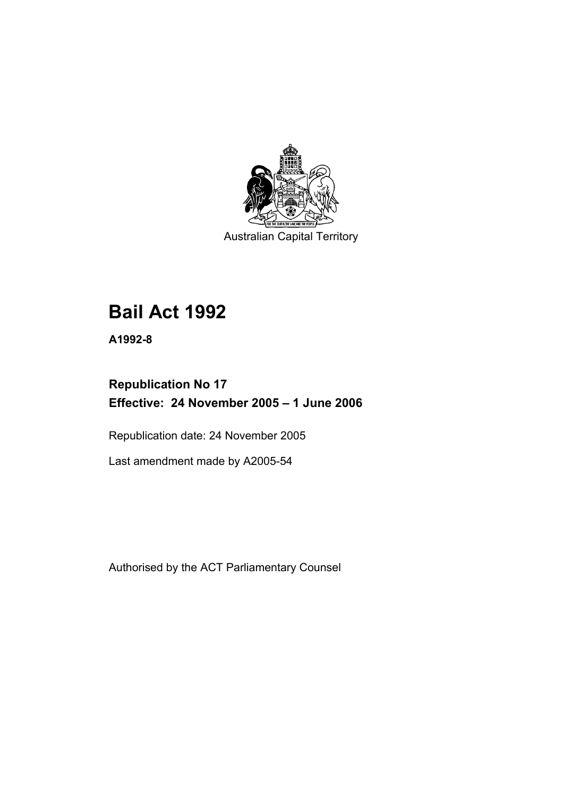

Australian Capital Territory

# **Bail Act 1992**

**A1992-8** 

# **Republication No 17 Effective: 24 November 2005 – 1 June 2006**

Republication date: 24 November 2005

Last amendment made by A2005-54

Authorised by the ACT Parliamentary Counsel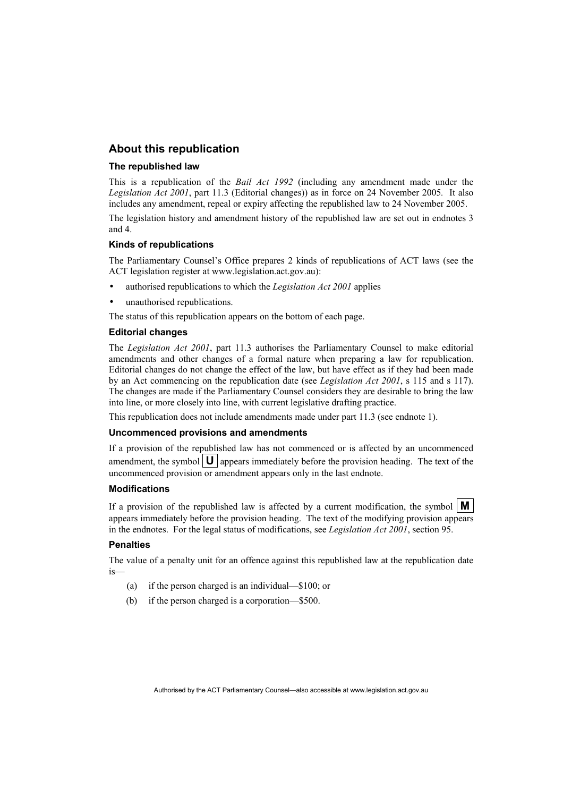## **About this republication**

#### **The republished law**

This is a republication of the *Bail Act 1992* (including any amendment made under the *Legislation Act 2001*, part 11.3 (Editorial changes)) as in force on 24 November 2005*.* It also includes any amendment, repeal or expiry affecting the republished law to 24 November 2005.

The legislation history and amendment history of the republished law are set out in endnotes 3 and 4.

#### **Kinds of republications**

The Parliamentary Counsel's Office prepares 2 kinds of republications of ACT laws (see the ACT legislation register at www.legislation.act.gov.au):

- authorised republications to which the *Legislation Act 2001* applies
- unauthorised republications.

The status of this republication appears on the bottom of each page.

#### **Editorial changes**

The *Legislation Act 2001*, part 11.3 authorises the Parliamentary Counsel to make editorial amendments and other changes of a formal nature when preparing a law for republication. Editorial changes do not change the effect of the law, but have effect as if they had been made by an Act commencing on the republication date (see *Legislation Act 2001*, s 115 and s 117). The changes are made if the Parliamentary Counsel considers they are desirable to bring the law into line, or more closely into line, with current legislative drafting practice.

This republication does not include amendments made under part 11.3 (see endnote 1).

#### **Uncommenced provisions and amendments**

If a provision of the republished law has not commenced or is affected by an uncommenced amendment, the symbol  $\mathbf{U}$  appears immediately before the provision heading. The text of the uncommenced provision or amendment appears only in the last endnote.

#### **Modifications**

If a provision of the republished law is affected by a current modification, the symbol  $\mathbf{M}$ appears immediately before the provision heading. The text of the modifying provision appears in the endnotes. For the legal status of modifications, see *Legislation Act 2001*, section 95.

#### **Penalties**

The value of a penalty unit for an offence against this republished law at the republication date is—

- (a) if the person charged is an individual—\$100; or
- (b) if the person charged is a corporation—\$500.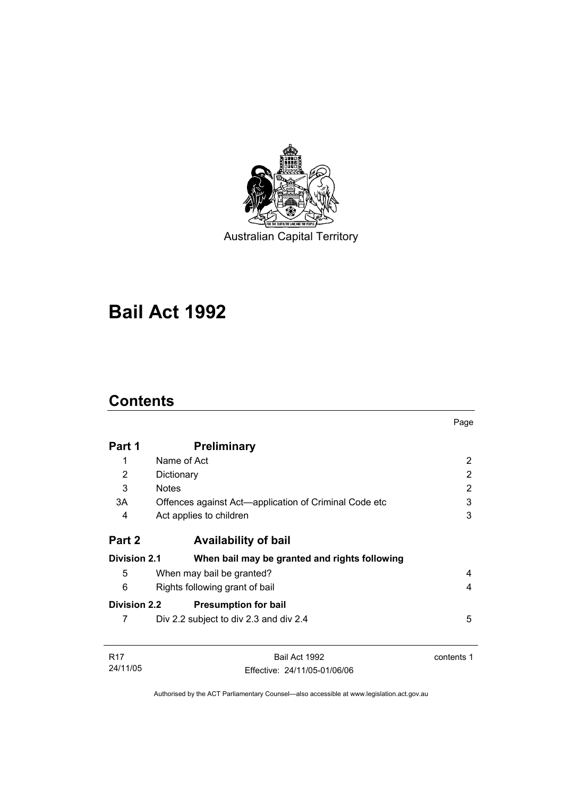

Australian Capital Territory

# **Bail Act 1992**

# **Contents**

|                     |                                                       | Page       |
|---------------------|-------------------------------------------------------|------------|
| Part 1              | <b>Preliminary</b>                                    |            |
| 1                   | Name of Act                                           | 2          |
| 2                   | Dictionary                                            | 2          |
| 3                   | <b>Notes</b>                                          | 2          |
| 3A                  | Offences against Act—application of Criminal Code etc | 3          |
| 4                   | Act applies to children                               | 3          |
| Part 2              | <b>Availability of bail</b>                           |            |
| <b>Division 2.1</b> | When bail may be granted and rights following         |            |
| 5                   | When may bail be granted?                             | 4          |
| 6                   | Rights following grant of bail                        | 4          |
| <b>Division 2.2</b> | <b>Presumption for bail</b>                           |            |
| 7                   | Div 2.2 subject to div 2.3 and div 2.4                | 5          |
| R <sub>17</sub>     | Bail Act 1992                                         | contents 1 |
| 24/11/05            | Fffective: 24/11/05-01/06/06                          |            |

Authorised by the ACT Parliamentary Counsel—also accessible at www.legislation.act.gov.au

Effective: 24/11/05-01/06/06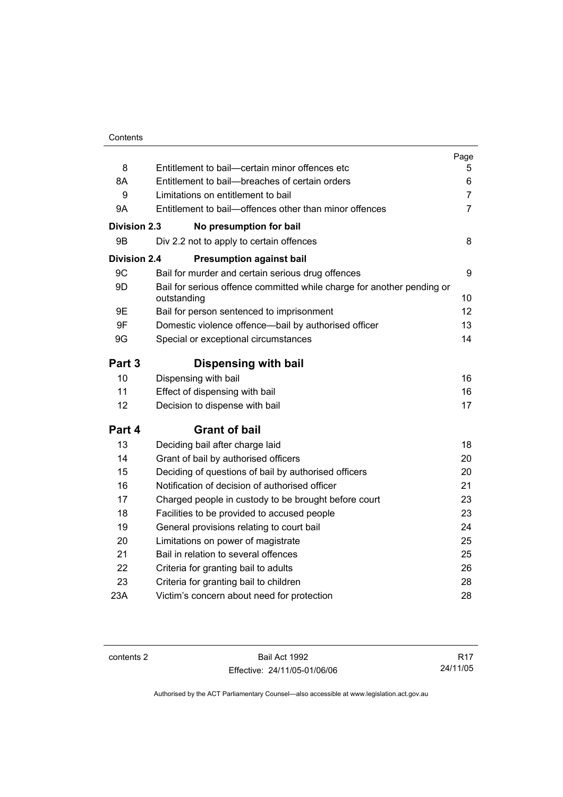|                     |                                                                                       | Page           |
|---------------------|---------------------------------------------------------------------------------------|----------------|
| 8                   | Entitlement to bail-certain minor offences etc                                        | 5              |
| 8A                  | Entitlement to bail-breaches of certain orders                                        | 6              |
| 9                   | Limitations on entitlement to bail                                                    | $\overline{7}$ |
| <b>9A</b>           | Entitlement to bail-offences other than minor offences                                | $\overline{7}$ |
| <b>Division 2.3</b> | No presumption for bail                                                               |                |
| 9 <sub>B</sub>      | Div 2.2 not to apply to certain offences                                              | 8              |
| <b>Division 2.4</b> | <b>Presumption against bail</b>                                                       |                |
| 9C                  | Bail for murder and certain serious drug offences                                     | 9              |
| 9D                  | Bail for serious offence committed while charge for another pending or<br>outstanding | 10             |
| 9E                  | Bail for person sentenced to imprisonment                                             | 12             |
| 9F                  | Domestic violence offence-bail by authorised officer                                  | 13             |
| 9G                  | Special or exceptional circumstances                                                  | 14             |
| Part 3              | <b>Dispensing with bail</b>                                                           |                |
| 10                  | Dispensing with bail                                                                  | 16             |
| 11                  | Effect of dispensing with bail                                                        | 16             |
| 12                  | Decision to dispense with bail                                                        | 17             |
| Part 4              | <b>Grant of bail</b>                                                                  |                |
| 13                  | Deciding bail after charge laid                                                       | 18             |
| 14                  | Grant of bail by authorised officers                                                  | 20             |
| 15                  | Deciding of questions of bail by authorised officers                                  | 20             |
| 16                  | Notification of decision of authorised officer                                        | 21             |
| 17                  | Charged people in custody to be brought before court                                  | 23             |
| 18                  | Facilities to be provided to accused people                                           | 23             |
| 19                  | General provisions relating to court bail                                             | 24             |
| 20                  | Limitations on power of magistrate                                                    | 25             |
| 21                  | Bail in relation to several offences                                                  | 25             |
| 22                  | Criteria for granting bail to adults                                                  | 26             |
| 23                  | Criteria for granting bail to children                                                | 28             |
| 23A                 | Victim's concern about need for protection                                            | 28             |

contents 2 Bail Act 1992 Effective: 24/11/05-01/06/06

R17 24/11/05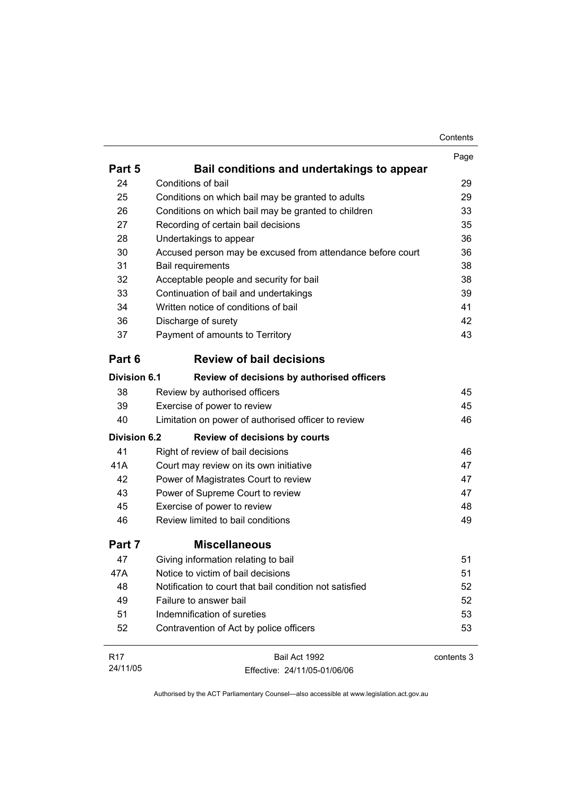| Contents |
|----------|
|----------|

|                     |                                                            | Page       |
|---------------------|------------------------------------------------------------|------------|
| Part 5              | Bail conditions and undertakings to appear                 |            |
| 24                  | Conditions of bail                                         | 29         |
| 25                  | Conditions on which bail may be granted to adults          | 29         |
| 26                  | Conditions on which bail may be granted to children        | 33         |
| 27                  | Recording of certain bail decisions                        | 35         |
| 28                  | Undertakings to appear                                     | 36         |
| 30                  | Accused person may be excused from attendance before court | 36         |
| 31                  | Bail requirements                                          | 38         |
| 32                  | Acceptable people and security for bail                    | 38         |
| 33                  | Continuation of bail and undertakings                      | 39         |
| 34                  | Written notice of conditions of bail                       | 41         |
| 36                  | Discharge of surety                                        | 42         |
| 37                  | Payment of amounts to Territory                            | 43         |
| Part 6              | <b>Review of bail decisions</b>                            |            |
| <b>Division 6.1</b> | Review of decisions by authorised officers                 |            |
| 38                  | Review by authorised officers                              | 45         |
| 39                  | Exercise of power to review                                | 45         |
| 40                  | Limitation on power of authorised officer to review        | 46         |
| <b>Division 6.2</b> | <b>Review of decisions by courts</b>                       |            |
| 41                  | Right of review of bail decisions                          | 46         |
| 41A                 | Court may review on its own initiative                     | 47         |
| 42                  | Power of Magistrates Court to review                       | 47         |
| 43                  | Power of Supreme Court to review                           | 47         |
| 45                  | Exercise of power to review                                | 48         |
| 46                  | Review limited to bail conditions                          | 49         |
| Part 7              | <b>Miscellaneous</b>                                       |            |
| 47                  | Giving information relating to bail                        | 51         |
| 47A                 | Notice to victim of bail decisions                         | 51         |
| 48                  | Notification to court that bail condition not satisfied    | 52         |
| 49                  | Failure to answer bail                                     | 52         |
| 51                  | Indemnification of sureties                                | 53         |
| 52                  | Contravention of Act by police officers                    | 53         |
| R <sub>17</sub>     | Bail Act 1992                                              | contents 3 |
| 24/11/05            | Effective: 24/11/05-01/06/06                               |            |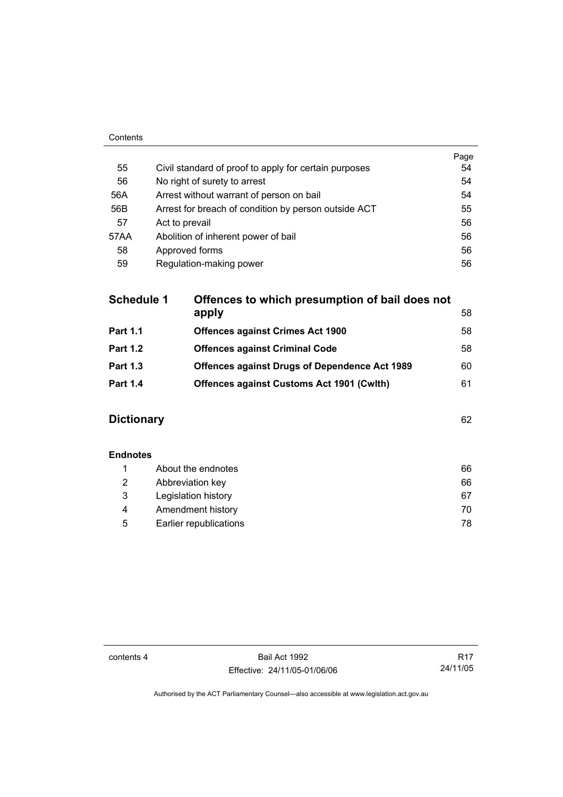| Contents |                                                       |      |
|----------|-------------------------------------------------------|------|
|          |                                                       | Page |
| 55       | Civil standard of proof to apply for certain purposes | 54   |
| 56       | No right of surety to arrest                          | 54   |
| 56A      | Arrest without warrant of person on bail              | 54   |
| 56B      | Arrest for breach of condition by person outside ACT  | 55   |
| 57       | Act to prevail                                        | 56   |
| 57AA     | Abolition of inherent power of bail                   | 56   |
| 58       | Approved forms                                        | 56   |
| 59       | Regulation-making power                               | 56   |

| <b>Schedule 1</b> | Offences to which presumption of bail does not       |    |
|-------------------|------------------------------------------------------|----|
|                   | apply                                                | 58 |
| <b>Part 1.1</b>   | <b>Offences against Crimes Act 1900</b>              | 58 |
| <b>Part 1.2</b>   | <b>Offences against Criminal Code</b>                | 58 |
| <b>Part 1.3</b>   | <b>Offences against Drugs of Dependence Act 1989</b> | 60 |
| <b>Part 1.4</b>   | <b>Offences against Customs Act 1901 (Cwith)</b>     | 61 |
|                   |                                                      |    |

## **Dictionary** 62

| <b>Endnotes</b> |                        |    |
|-----------------|------------------------|----|
|                 | About the endnotes     | 66 |
| 2               | Abbreviation key       | 66 |
| 3               | Legislation history    | 67 |
| 4               | Amendment history      | 70 |
| 5               | Earlier republications | 78 |

contents 4 Bail Act 1992 Effective: 24/11/05-01/06/06

R17 24/11/05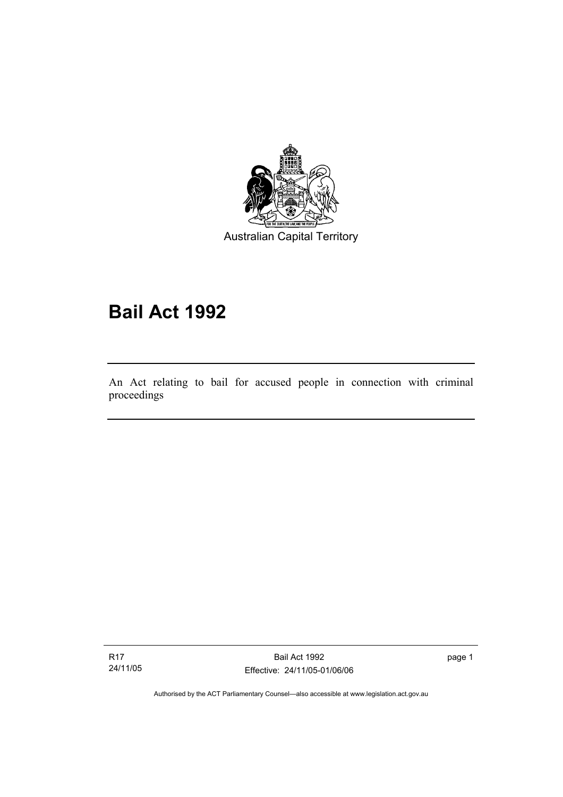

Australian Capital Territory

# **Bail Act 1992**

An Act relating to bail for accused people in connection with criminal proceedings

R17 24/11/05

I

Bail Act 1992 Effective: 24/11/05-01/06/06 page 1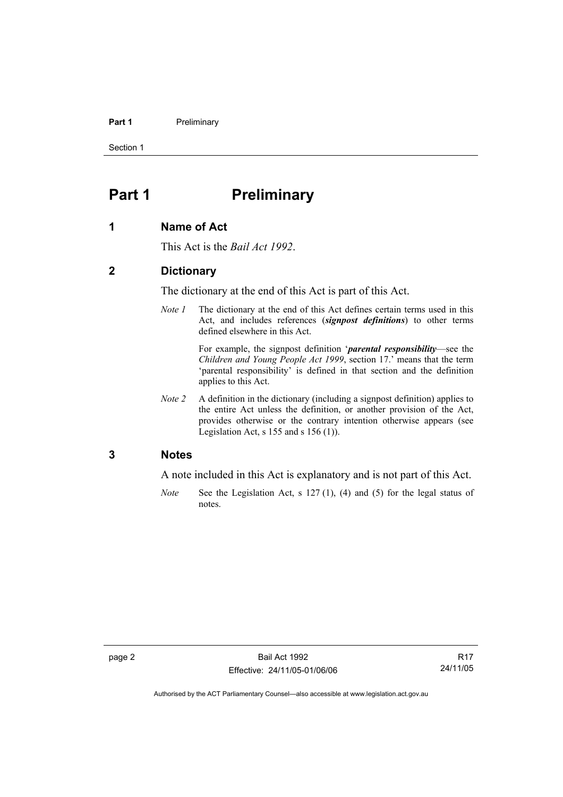#### **Part 1** Preliminary

Section 1

# **Part 1** Preliminary

#### **1 Name of Act**

This Act is the *Bail Act 1992*.

## **2 Dictionary**

The dictionary at the end of this Act is part of this Act.

*Note 1* The dictionary at the end of this Act defines certain terms used in this Act, and includes references (*signpost definitions*) to other terms defined elsewhere in this Act.

> For example, the signpost definition '*parental responsibility*—see the *Children and Young People Act 1999*, section 17.' means that the term 'parental responsibility' is defined in that section and the definition applies to this Act.

*Note 2* A definition in the dictionary (including a signpost definition) applies to the entire Act unless the definition, or another provision of the Act, provides otherwise or the contrary intention otherwise appears (see Legislation Act, s  $155$  and s  $156$  (1)).

## **3 Notes**

A note included in this Act is explanatory and is not part of this Act.

*Note* See the Legislation Act, s 127 (1), (4) and (5) for the legal status of notes.

R17 24/11/05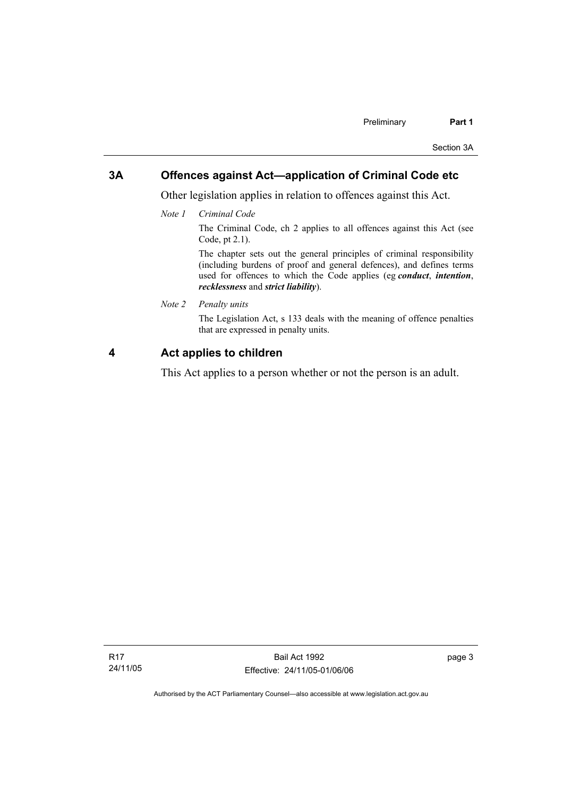## **3A Offences against Act—application of Criminal Code etc**

Other legislation applies in relation to offences against this Act.

*Note 1 Criminal Code*

The Criminal Code, ch 2 applies to all offences against this Act (see Code, pt 2.1).

The chapter sets out the general principles of criminal responsibility (including burdens of proof and general defences), and defines terms used for offences to which the Code applies (eg *conduct*, *intention*, *recklessness* and *strict liability*).

*Note 2 Penalty units* 

The Legislation Act, s 133 deals with the meaning of offence penalties that are expressed in penalty units.

## **4 Act applies to children**

This Act applies to a person whether or not the person is an adult.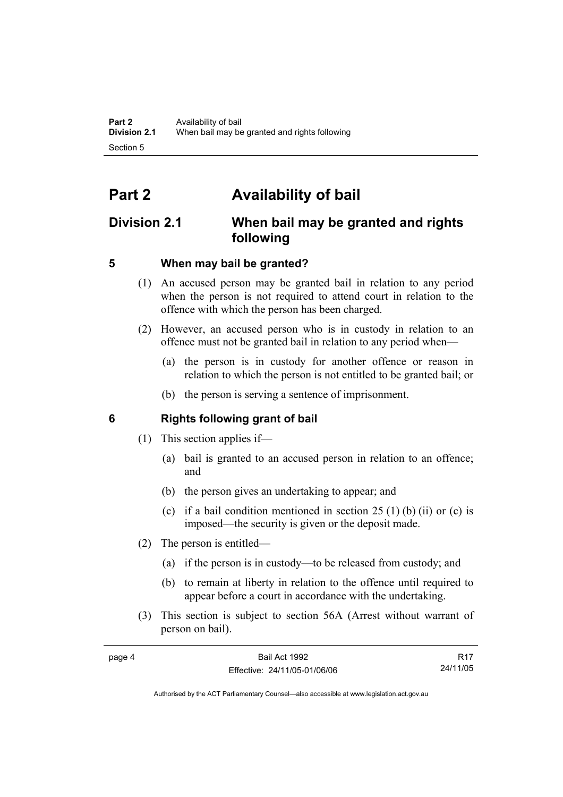# **Part 2 Availability of bail**

## **Division 2.1 When bail may be granted and rights following**

## **5 When may bail be granted?**

- (1) An accused person may be granted bail in relation to any period when the person is not required to attend court in relation to the offence with which the person has been charged.
- (2) However, an accused person who is in custody in relation to an offence must not be granted bail in relation to any period when—
	- (a) the person is in custody for another offence or reason in relation to which the person is not entitled to be granted bail; or
	- (b) the person is serving a sentence of imprisonment.

## **6 Rights following grant of bail**

- (1) This section applies if—
	- (a) bail is granted to an accused person in relation to an offence; and
	- (b) the person gives an undertaking to appear; and
	- (c) if a bail condition mentioned in section  $25(1)$  (b) (ii) or (c) is imposed—the security is given or the deposit made.
- (2) The person is entitled—
	- (a) if the person is in custody—to be released from custody; and
	- (b) to remain at liberty in relation to the offence until required to appear before a court in accordance with the undertaking.
- (3) This section is subject to section 56A (Arrest without warrant of person on bail).

| page 4 | Bail Act 1992                | <b>R17</b> |
|--------|------------------------------|------------|
|        | Effective: 24/11/05-01/06/06 | 24/11/05   |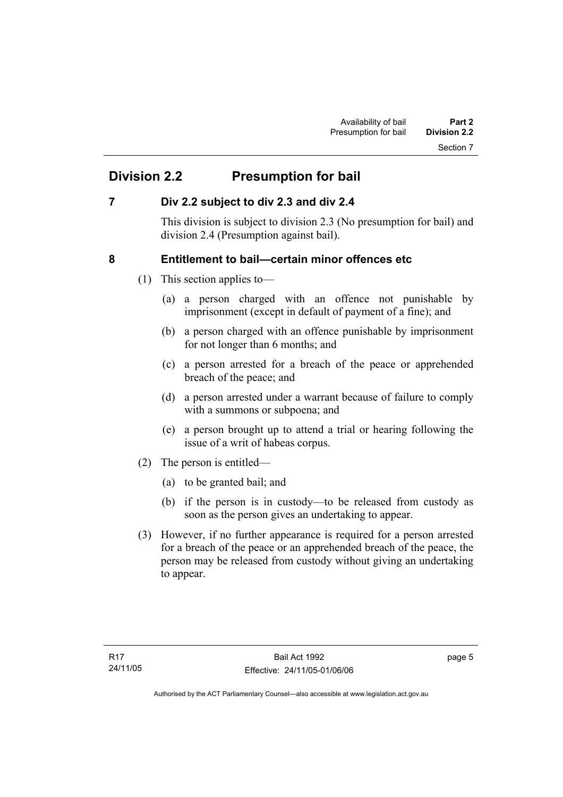# **Division 2.2 Presumption for bail**

## **7 Div 2.2 subject to div 2.3 and div 2.4**

This division is subject to division 2.3 (No presumption for bail) and division 2.4 (Presumption against bail).

## **8 Entitlement to bail—certain minor offences etc**

- (1) This section applies to—
	- (a) a person charged with an offence not punishable by imprisonment (except in default of payment of a fine); and
	- (b) a person charged with an offence punishable by imprisonment for not longer than 6 months; and
	- (c) a person arrested for a breach of the peace or apprehended breach of the peace; and
	- (d) a person arrested under a warrant because of failure to comply with a summons or subpoena; and
	- (e) a person brought up to attend a trial or hearing following the issue of a writ of habeas corpus.
- (2) The person is entitled—
	- (a) to be granted bail; and
	- (b) if the person is in custody—to be released from custody as soon as the person gives an undertaking to appear.
- (3) However, if no further appearance is required for a person arrested for a breach of the peace or an apprehended breach of the peace, the person may be released from custody without giving an undertaking to appear.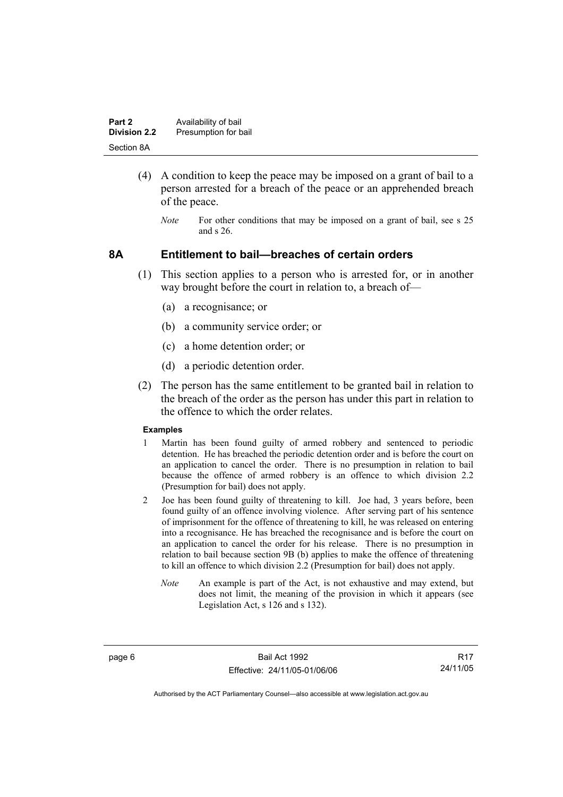| Part 2              | Availability of bail |
|---------------------|----------------------|
| <b>Division 2.2</b> | Presumption for bail |
| Section 8A          |                      |

- (4) A condition to keep the peace may be imposed on a grant of bail to a person arrested for a breach of the peace or an apprehended breach of the peace.
	- *Note* For other conditions that may be imposed on a grant of bail, see s 25 and s 26.

### **8A Entitlement to bail—breaches of certain orders**

- (1) This section applies to a person who is arrested for, or in another way brought before the court in relation to, a breach of—
	- (a) a recognisance; or
	- (b) a community service order; or
	- (c) a home detention order; or
	- (d) a periodic detention order.
- (2) The person has the same entitlement to be granted bail in relation to the breach of the order as the person has under this part in relation to the offence to which the order relates.

#### **Examples**

- 1 Martin has been found guilty of armed robbery and sentenced to periodic detention. He has breached the periodic detention order and is before the court on an application to cancel the order. There is no presumption in relation to bail because the offence of armed robbery is an offence to which division 2.2 (Presumption for bail) does not apply.
- 2 Joe has been found guilty of threatening to kill. Joe had, 3 years before, been found guilty of an offence involving violence. After serving part of his sentence of imprisonment for the offence of threatening to kill, he was released on entering into a recognisance. He has breached the recognisance and is before the court on an application to cancel the order for his release. There is no presumption in relation to bail because section 9B (b) applies to make the offence of threatening to kill an offence to which division 2.2 (Presumption for bail) does not apply.
	- *Note* An example is part of the Act, is not exhaustive and may extend, but does not limit, the meaning of the provision in which it appears (see Legislation Act, s 126 and s 132).

page 6 Bail Act 1992 Effective: 24/11/05-01/06/06

R17 24/11/05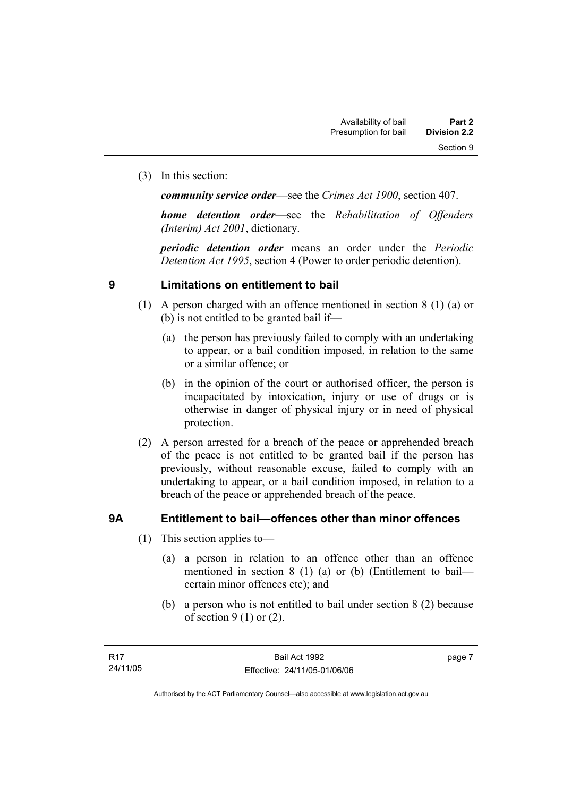(3) In this section:

*community service order*—see the *Crimes Act 1900*, section 407.

*home detention order*—see the *Rehabilitation of Offenders (Interim) Act 2001*, dictionary.

*periodic detention order* means an order under the *Periodic Detention Act 1995*, section 4 (Power to order periodic detention).

## **9 Limitations on entitlement to bail**

- (1) A person charged with an offence mentioned in section 8 (1) (a) or (b) is not entitled to be granted bail if—
	- (a) the person has previously failed to comply with an undertaking to appear, or a bail condition imposed, in relation to the same or a similar offence; or
	- (b) in the opinion of the court or authorised officer, the person is incapacitated by intoxication, injury or use of drugs or is otherwise in danger of physical injury or in need of physical protection.
- (2) A person arrested for a breach of the peace or apprehended breach of the peace is not entitled to be granted bail if the person has previously, without reasonable excuse, failed to comply with an undertaking to appear, or a bail condition imposed, in relation to a breach of the peace or apprehended breach of the peace.

## **9A Entitlement to bail—offences other than minor offences**

- (1) This section applies to—
	- (a) a person in relation to an offence other than an offence mentioned in section 8 (1) (a) or (b) (Entitlement to bail certain minor offences etc); and
	- (b) a person who is not entitled to bail under section 8 (2) because of section  $9(1)$  or  $(2)$ .

page 7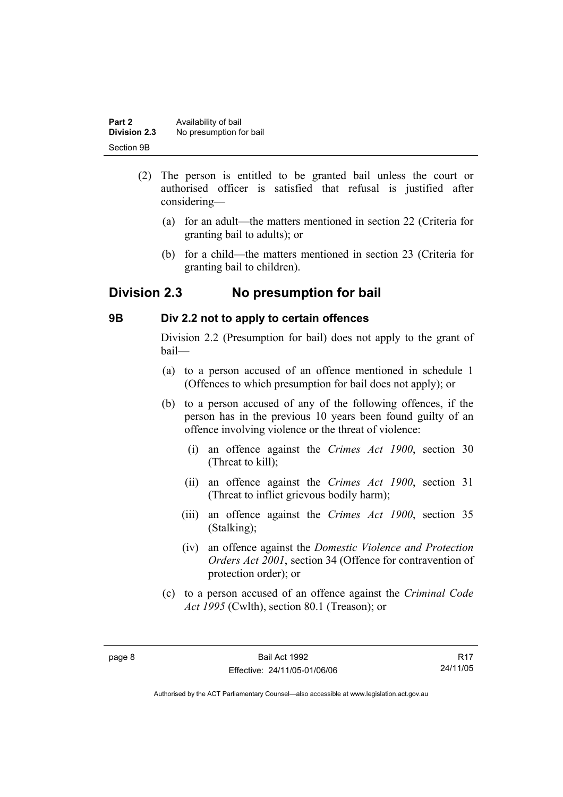| Part 2       | Availability of bail    |
|--------------|-------------------------|
| Division 2.3 | No presumption for bail |
| Section 9B   |                         |

- (2) The person is entitled to be granted bail unless the court or authorised officer is satisfied that refusal is justified after considering—
	- (a) for an adult—the matters mentioned in section 22 (Criteria for granting bail to adults); or
	- (b) for a child—the matters mentioned in section 23 (Criteria for granting bail to children).

## **Division 2.3 No presumption for bail**

## **9B Div 2.2 not to apply to certain offences**

Division 2.2 (Presumption for bail) does not apply to the grant of bail—

- (a) to a person accused of an offence mentioned in schedule 1 (Offences to which presumption for bail does not apply); or
- (b) to a person accused of any of the following offences, if the person has in the previous 10 years been found guilty of an offence involving violence or the threat of violence:
	- (i) an offence against the *Crimes Act 1900*, section 30 (Threat to kill);
	- (ii) an offence against the *Crimes Act 1900*, section 31 (Threat to inflict grievous bodily harm);
	- (iii) an offence against the *Crimes Act 1900*, section 35 (Stalking);
	- (iv) an offence against the *Domestic Violence and Protection Orders Act 2001*, section 34 (Offence for contravention of protection order); or
- (c) to a person accused of an offence against the *Criminal Code Act 1995* (Cwlth), section 80.1 (Treason); or

R17 24/11/05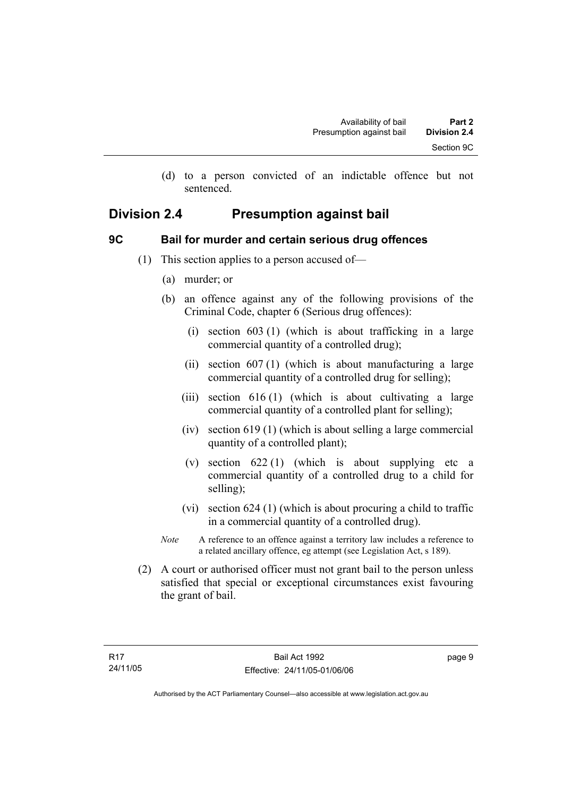(d) to a person convicted of an indictable offence but not sentenced.

## **Division 2.4 Presumption against bail**

## **9C Bail for murder and certain serious drug offences**

- (1) This section applies to a person accused of—
	- (a) murder; or
	- (b) an offence against any of the following provisions of the Criminal Code, chapter 6 (Serious drug offences):
		- (i) section 603 (1) (which is about trafficking in a large commercial quantity of a controlled drug);
		- (ii) section 607 (1) (which is about manufacturing a large commercial quantity of a controlled drug for selling);
		- (iii) section 616 (1) (which is about cultivating a large commercial quantity of a controlled plant for selling);
		- (iv) section 619 (1) (which is about selling a large commercial quantity of a controlled plant);
		- (v) section  $622(1)$  (which is about supplying etc a commercial quantity of a controlled drug to a child for selling);
		- (vi) section 624 (1) (which is about procuring a child to traffic in a commercial quantity of a controlled drug).
	- *Note* A reference to an offence against a territory law includes a reference to a related ancillary offence, eg attempt (see Legislation Act, s 189).
- (2) A court or authorised officer must not grant bail to the person unless satisfied that special or exceptional circumstances exist favouring the grant of bail.

page 9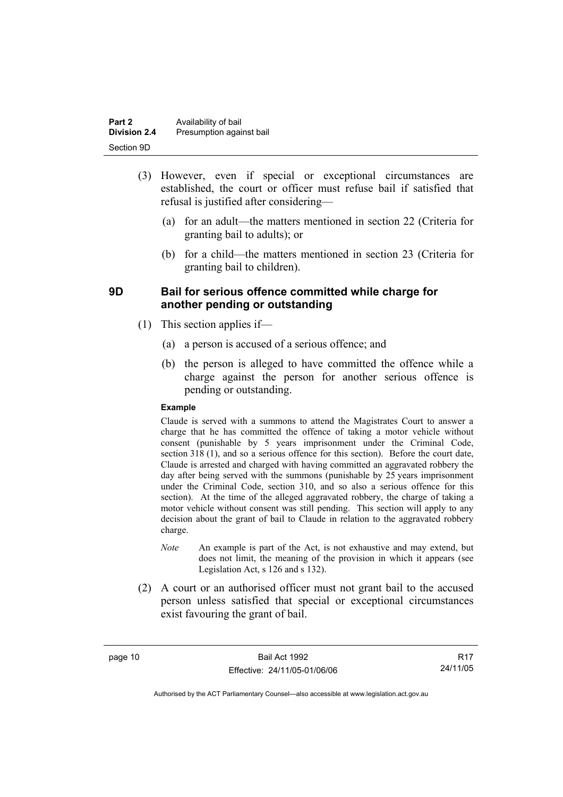| Part 2              | Availability of bail     |
|---------------------|--------------------------|
| <b>Division 2.4</b> | Presumption against bail |
| Section 9D          |                          |

- (3) However, even if special or exceptional circumstances are established, the court or officer must refuse bail if satisfied that refusal is justified after considering—
	- (a) for an adult—the matters mentioned in section 22 (Criteria for granting bail to adults); or
	- (b) for a child—the matters mentioned in section 23 (Criteria for granting bail to children).

## **9D Bail for serious offence committed while charge for another pending or outstanding**

- (1) This section applies if—
	- (a) a person is accused of a serious offence; and
	- (b) the person is alleged to have committed the offence while a charge against the person for another serious offence is pending or outstanding.

#### **Example**

Claude is served with a summons to attend the Magistrates Court to answer a charge that he has committed the offence of taking a motor vehicle without consent (punishable by 5 years imprisonment under the Criminal Code, section 318 (1), and so a serious offence for this section). Before the court date, Claude is arrested and charged with having committed an aggravated robbery the day after being served with the summons (punishable by 25 years imprisonment under the Criminal Code, section 310, and so also a serious offence for this section). At the time of the alleged aggravated robbery, the charge of taking a motor vehicle without consent was still pending. This section will apply to any decision about the grant of bail to Claude in relation to the aggravated robbery charge.

- *Note* An example is part of the Act, is not exhaustive and may extend, but does not limit, the meaning of the provision in which it appears (see Legislation Act, s 126 and s 132).
- (2) A court or an authorised officer must not grant bail to the accused person unless satisfied that special or exceptional circumstances exist favouring the grant of bail.

page 10 Bail Act 1992 Effective: 24/11/05-01/06/06

R17 24/11/05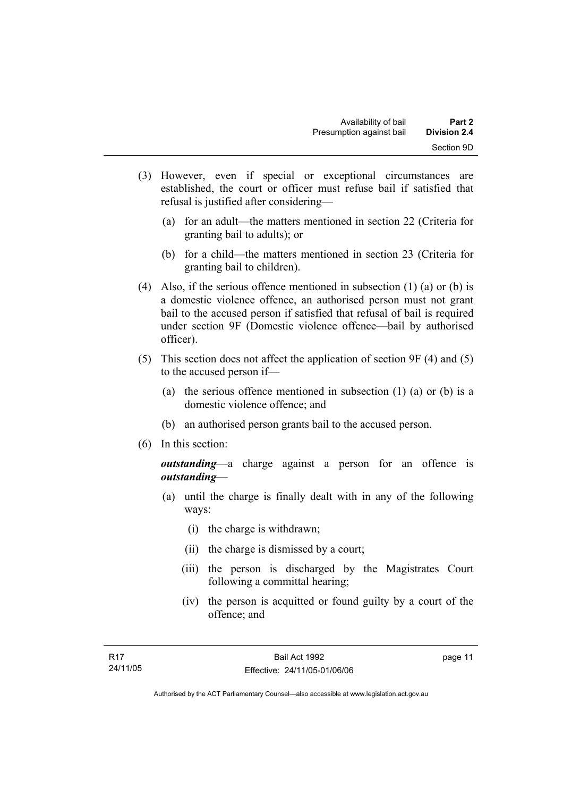- (3) However, even if special or exceptional circumstances are established, the court or officer must refuse bail if satisfied that refusal is justified after considering—
	- (a) for an adult—the matters mentioned in section 22 (Criteria for granting bail to adults); or
	- (b) for a child—the matters mentioned in section 23 (Criteria for granting bail to children).
- (4) Also, if the serious offence mentioned in subsection (1) (a) or (b) is a domestic violence offence, an authorised person must not grant bail to the accused person if satisfied that refusal of bail is required under section 9F (Domestic violence offence—bail by authorised officer).
- (5) This section does not affect the application of section 9F (4) and (5) to the accused person if—
	- (a) the serious offence mentioned in subsection (1) (a) or (b) is a domestic violence offence; and
	- (b) an authorised person grants bail to the accused person.
- (6) In this section:

*outstanding*—a charge against a person for an offence is *outstanding*—

- (a) until the charge is finally dealt with in any of the following ways:
	- (i) the charge is withdrawn;
	- (ii) the charge is dismissed by a court;
	- (iii) the person is discharged by the Magistrates Court following a committal hearing;
	- (iv) the person is acquitted or found guilty by a court of the offence; and

page 11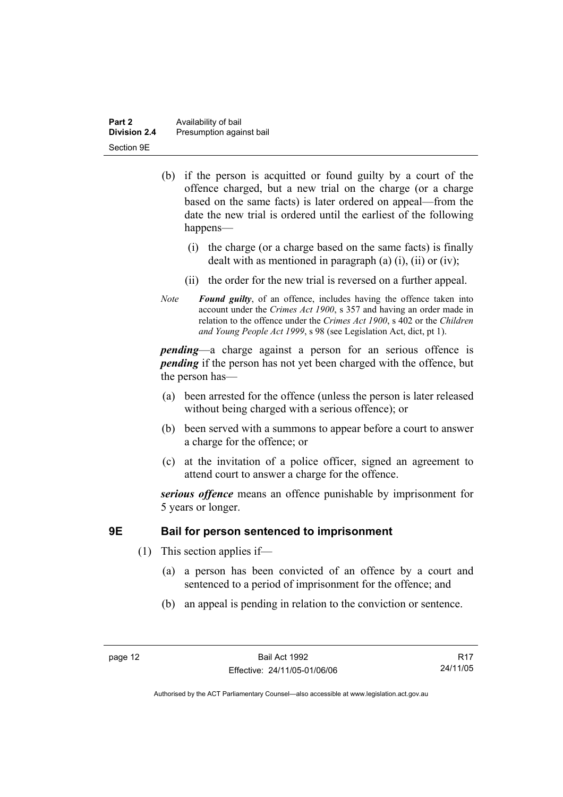| Part 2              | Availability of bail     |
|---------------------|--------------------------|
| <b>Division 2.4</b> | Presumption against bail |
| Section 9E          |                          |

- (b) if the person is acquitted or found guilty by a court of the offence charged, but a new trial on the charge (or a charge based on the same facts) is later ordered on appeal—from the date the new trial is ordered until the earliest of the following happens—
	- (i) the charge (or a charge based on the same facts) is finally dealt with as mentioned in paragraph (a)  $(i)$ ,  $(ii)$  or  $(iv)$ ;
	- (ii) the order for the new trial is reversed on a further appeal.
- *Note Found guilty*, of an offence, includes having the offence taken into account under the *Crimes Act 1900*, s 357 and having an order made in relation to the offence under the *Crimes Act 1900*, s 402 or the *Children and Young People Act 1999*, s 98 (see Legislation Act, dict, pt 1).

*pending*—a charge against a person for an serious offence is *pending* if the person has not yet been charged with the offence, but the person has—

- (a) been arrested for the offence (unless the person is later released without being charged with a serious offence); or
- (b) been served with a summons to appear before a court to answer a charge for the offence; or
- (c) at the invitation of a police officer, signed an agreement to attend court to answer a charge for the offence.

*serious offence* means an offence punishable by imprisonment for 5 years or longer.

## **9E Bail for person sentenced to imprisonment**

- (1) This section applies if—
	- (a) a person has been convicted of an offence by a court and sentenced to a period of imprisonment for the offence; and
	- (b) an appeal is pending in relation to the conviction or sentence.

R17 24/11/05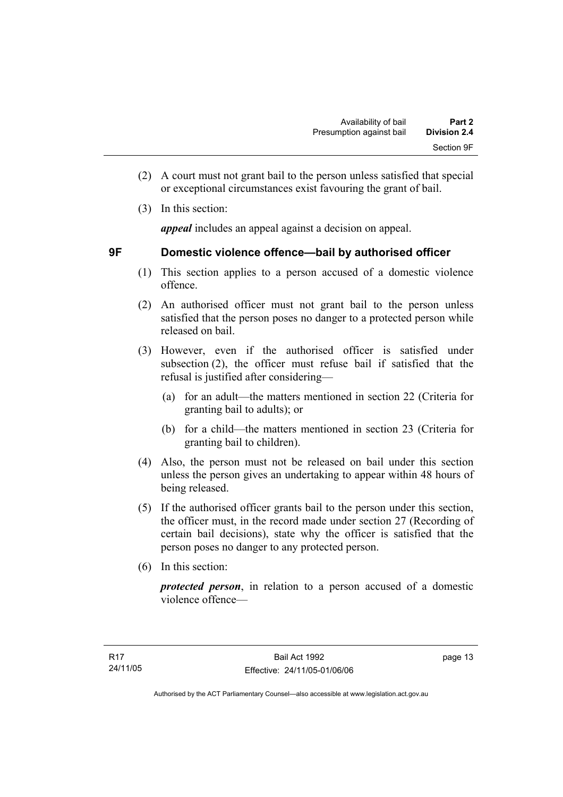- (2) A court must not grant bail to the person unless satisfied that special or exceptional circumstances exist favouring the grant of bail.
- (3) In this section:

*appeal* includes an appeal against a decision on appeal.

## **9F Domestic violence offence—bail by authorised officer**

- (1) This section applies to a person accused of a domestic violence offence.
- (2) An authorised officer must not grant bail to the person unless satisfied that the person poses no danger to a protected person while released on bail.
- (3) However, even if the authorised officer is satisfied under subsection (2), the officer must refuse bail if satisfied that the refusal is justified after considering—
	- (a) for an adult—the matters mentioned in section 22 (Criteria for granting bail to adults); or
	- (b) for a child—the matters mentioned in section 23 (Criteria for granting bail to children).
- (4) Also, the person must not be released on bail under this section unless the person gives an undertaking to appear within 48 hours of being released.
- (5) If the authorised officer grants bail to the person under this section, the officer must, in the record made under section 27 (Recording of certain bail decisions), state why the officer is satisfied that the person poses no danger to any protected person.
- (6) In this section:

*protected person*, in relation to a person accused of a domestic violence offence—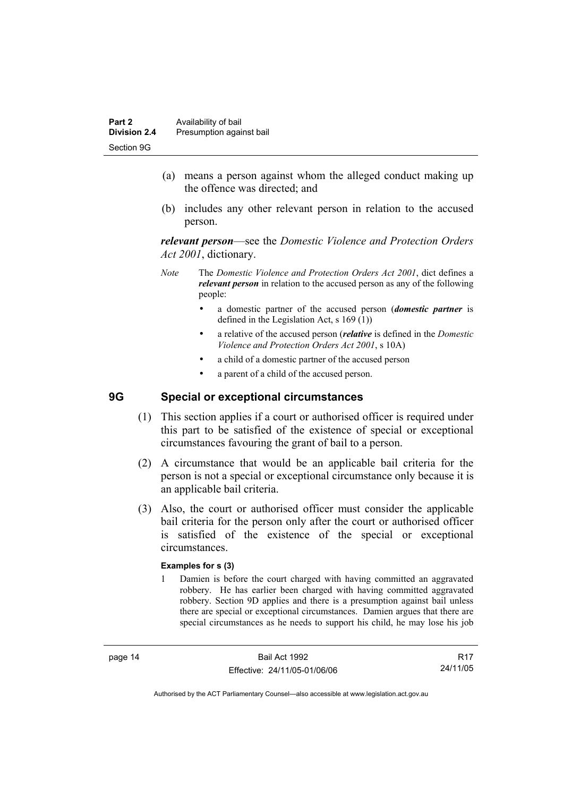- (a) means a person against whom the alleged conduct making up the offence was directed; and
- (b) includes any other relevant person in relation to the accused person.

*relevant person*—see the *Domestic Violence and Protection Orders Act 2001*, dictionary.

- *Note* The *Domestic Violence and Protection Orders Act 2001*, dict defines a *relevant person* in relation to the accused person as any of the following people:
	- a domestic partner of the accused person (*domestic partner* is defined in the Legislation Act, s 169 (1))
	- a relative of the accused person (*relative* is defined in the *Domestic Violence and Protection Orders Act 2001*, s 10A)
	- a child of a domestic partner of the accused person
	- a parent of a child of the accused person.

## **9G Special or exceptional circumstances**

- (1) This section applies if a court or authorised officer is required under this part to be satisfied of the existence of special or exceptional circumstances favouring the grant of bail to a person.
- (2) A circumstance that would be an applicable bail criteria for the person is not a special or exceptional circumstance only because it is an applicable bail criteria.
- (3) Also, the court or authorised officer must consider the applicable bail criteria for the person only after the court or authorised officer is satisfied of the existence of the special or exceptional circumstances.

#### **Examples for s (3)**

1 Damien is before the court charged with having committed an aggravated robbery. He has earlier been charged with having committed aggravated robbery. Section 9D applies and there is a presumption against bail unless there are special or exceptional circumstances. Damien argues that there are special circumstances as he needs to support his child, he may lose his job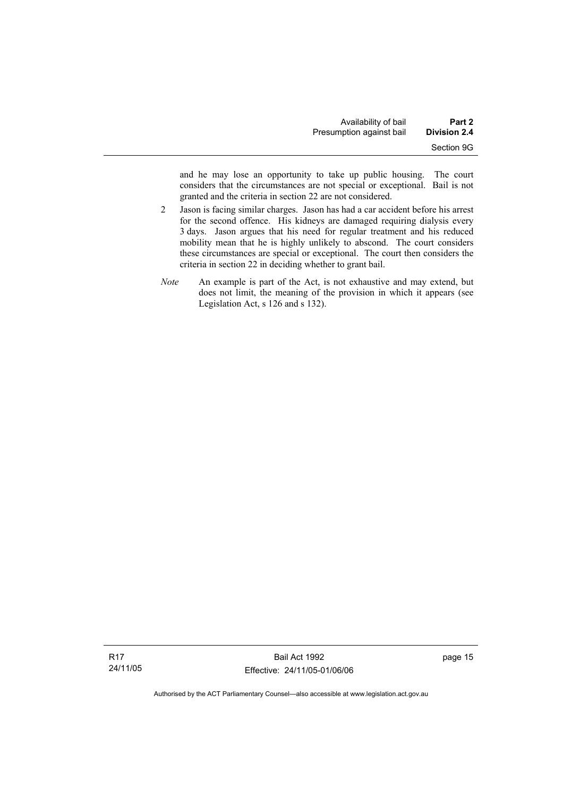and he may lose an opportunity to take up public housing. The court considers that the circumstances are not special or exceptional. Bail is not granted and the criteria in section 22 are not considered.

- 2 Jason is facing similar charges. Jason has had a car accident before his arrest for the second offence. His kidneys are damaged requiring dialysis every 3 days. Jason argues that his need for regular treatment and his reduced mobility mean that he is highly unlikely to abscond. The court considers these circumstances are special or exceptional. The court then considers the criteria in section 22 in deciding whether to grant bail.
- *Note* An example is part of the Act, is not exhaustive and may extend, but does not limit, the meaning of the provision in which it appears (see Legislation Act, s 126 and s 132).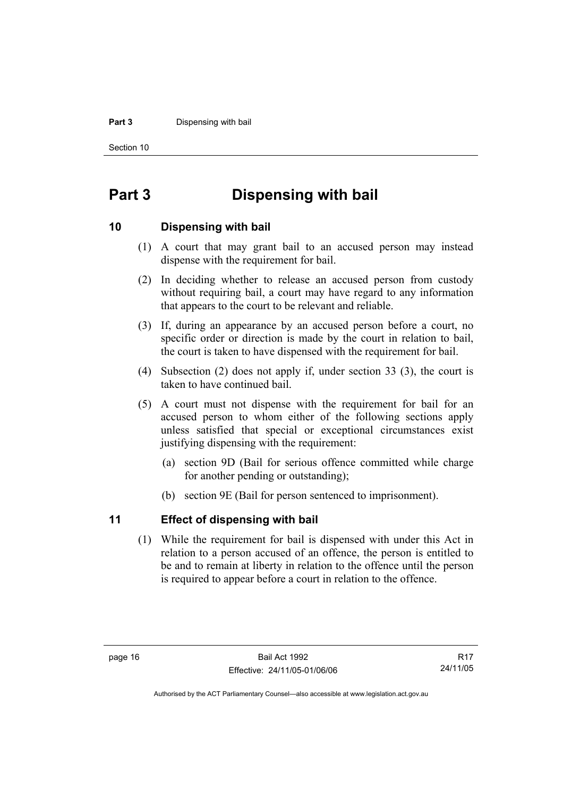#### **Part 3** Dispensing with bail

Section 10

# **Part 3 Dispensing with bail**

### **10 Dispensing with bail**

- (1) A court that may grant bail to an accused person may instead dispense with the requirement for bail.
- (2) In deciding whether to release an accused person from custody without requiring bail, a court may have regard to any information that appears to the court to be relevant and reliable.
- (3) If, during an appearance by an accused person before a court, no specific order or direction is made by the court in relation to bail, the court is taken to have dispensed with the requirement for bail.
- (4) Subsection (2) does not apply if, under section 33 (3), the court is taken to have continued bail.
- (5) A court must not dispense with the requirement for bail for an accused person to whom either of the following sections apply unless satisfied that special or exceptional circumstances exist justifying dispensing with the requirement:
	- (a) section 9D (Bail for serious offence committed while charge for another pending or outstanding);
	- (b) section 9E (Bail for person sentenced to imprisonment).

## **11 Effect of dispensing with bail**

 (1) While the requirement for bail is dispensed with under this Act in relation to a person accused of an offence, the person is entitled to be and to remain at liberty in relation to the offence until the person is required to appear before a court in relation to the offence.

R17 24/11/05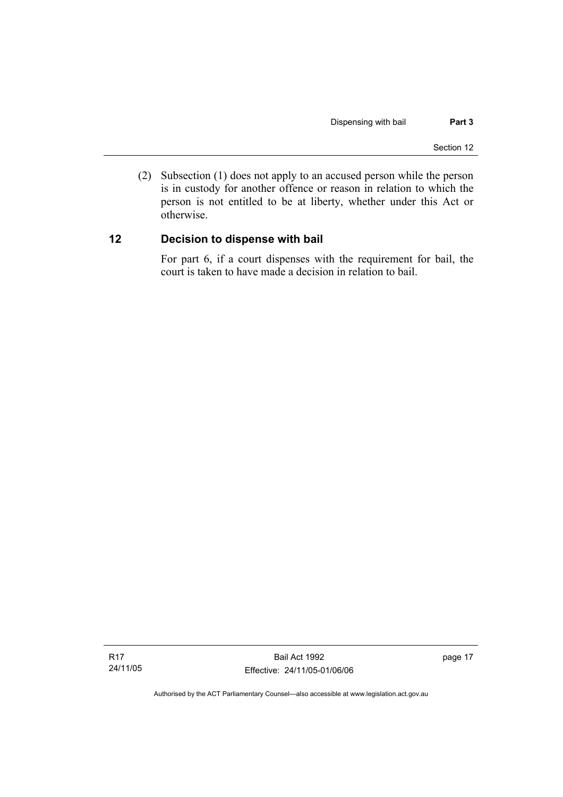(2) Subsection (1) does not apply to an accused person while the person is in custody for another offence or reason in relation to which the person is not entitled to be at liberty, whether under this Act or otherwise.

## **12 Decision to dispense with bail**

For part 6, if a court dispenses with the requirement for bail, the court is taken to have made a decision in relation to bail.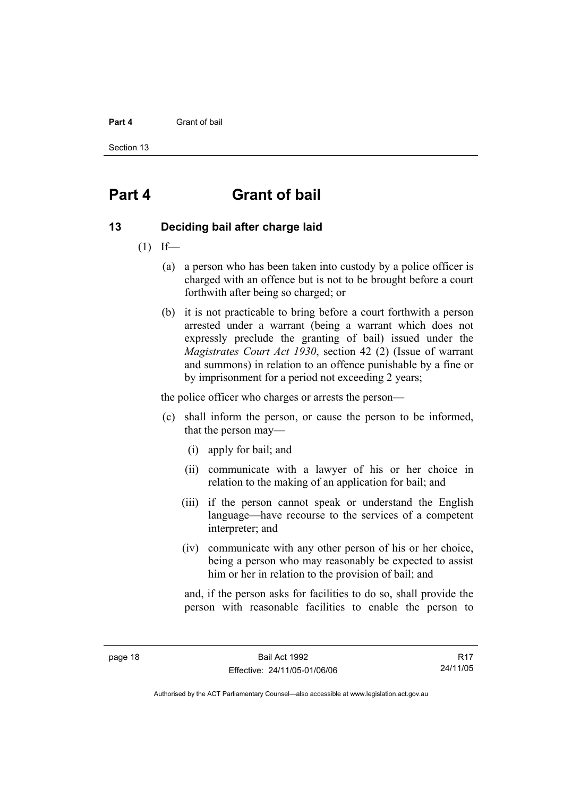#### **Part 4** Grant of bail

Section 13

# **Part 4 Grant of bail**

## **13 Deciding bail after charge laid**

- $(1)$  If—
	- (a) a person who has been taken into custody by a police officer is charged with an offence but is not to be brought before a court forthwith after being so charged; or
	- (b) it is not practicable to bring before a court forthwith a person arrested under a warrant (being a warrant which does not expressly preclude the granting of bail) issued under the *Magistrates Court Act 1930*, section 42 (2) (Issue of warrant and summons) in relation to an offence punishable by a fine or by imprisonment for a period not exceeding 2 years;

the police officer who charges or arrests the person—

- (c) shall inform the person, or cause the person to be informed, that the person may—
	- (i) apply for bail; and
	- (ii) communicate with a lawyer of his or her choice in relation to the making of an application for bail; and
	- (iii) if the person cannot speak or understand the English language—have recourse to the services of a competent interpreter; and
	- (iv) communicate with any other person of his or her choice, being a person who may reasonably be expected to assist him or her in relation to the provision of bail; and

and, if the person asks for facilities to do so, shall provide the person with reasonable facilities to enable the person to

R17 24/11/05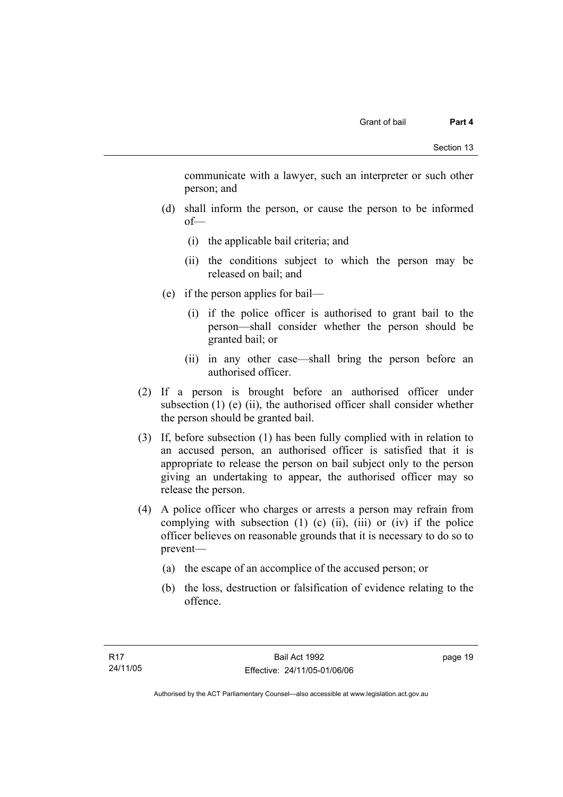communicate with a lawyer, such an interpreter or such other person; and

- (d) shall inform the person, or cause the person to be informed of—
	- (i) the applicable bail criteria; and
	- (ii) the conditions subject to which the person may be released on bail; and
- (e) if the person applies for bail—
	- (i) if the police officer is authorised to grant bail to the person—shall consider whether the person should be granted bail; or
	- (ii) in any other case—shall bring the person before an authorised officer.
- (2) If a person is brought before an authorised officer under subsection  $(1)$  (e)  $(ii)$ , the authorised officer shall consider whether the person should be granted bail.
- (3) If, before subsection (1) has been fully complied with in relation to an accused person, an authorised officer is satisfied that it is appropriate to release the person on bail subject only to the person giving an undertaking to appear, the authorised officer may so release the person.
- (4) A police officer who charges or arrests a person may refrain from complying with subsection  $(1)$   $(c)$   $(ii)$ ,  $(iii)$  or  $(iv)$  if the police officer believes on reasonable grounds that it is necessary to do so to prevent—
	- (a) the escape of an accomplice of the accused person; or
	- (b) the loss, destruction or falsification of evidence relating to the offence.

page 19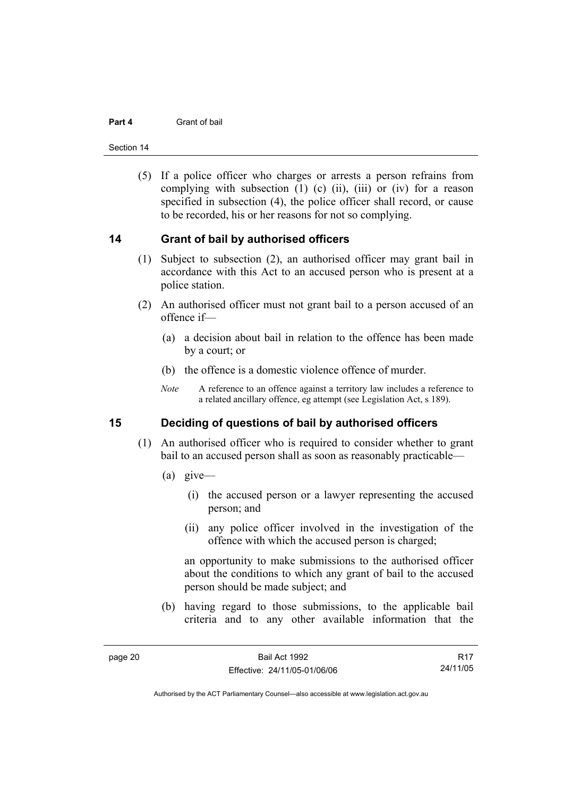#### **Part 4** Grant of bail

Section 14

 (5) If a police officer who charges or arrests a person refrains from complying with subsection  $(1)$   $(c)$   $(ii)$ ,  $(iii)$  or  $(iv)$  for a reason specified in subsection (4), the police officer shall record, or cause to be recorded, his or her reasons for not so complying.

## **14 Grant of bail by authorised officers**

- (1) Subject to subsection (2), an authorised officer may grant bail in accordance with this Act to an accused person who is present at a police station.
- (2) An authorised officer must not grant bail to a person accused of an offence if—
	- (a) a decision about bail in relation to the offence has been made by a court; or
	- (b) the offence is a domestic violence offence of murder.
	- *Note* A reference to an offence against a territory law includes a reference to a related ancillary offence, eg attempt (see Legislation Act, s 189).

## **15 Deciding of questions of bail by authorised officers**

- (1) An authorised officer who is required to consider whether to grant bail to an accused person shall as soon as reasonably practicable—
	- (a) give—
		- (i) the accused person or a lawyer representing the accused person; and
		- (ii) any police officer involved in the investigation of the offence with which the accused person is charged;

an opportunity to make submissions to the authorised officer about the conditions to which any grant of bail to the accused person should be made subject; and

 (b) having regard to those submissions, to the applicable bail criteria and to any other available information that the

R17 24/11/05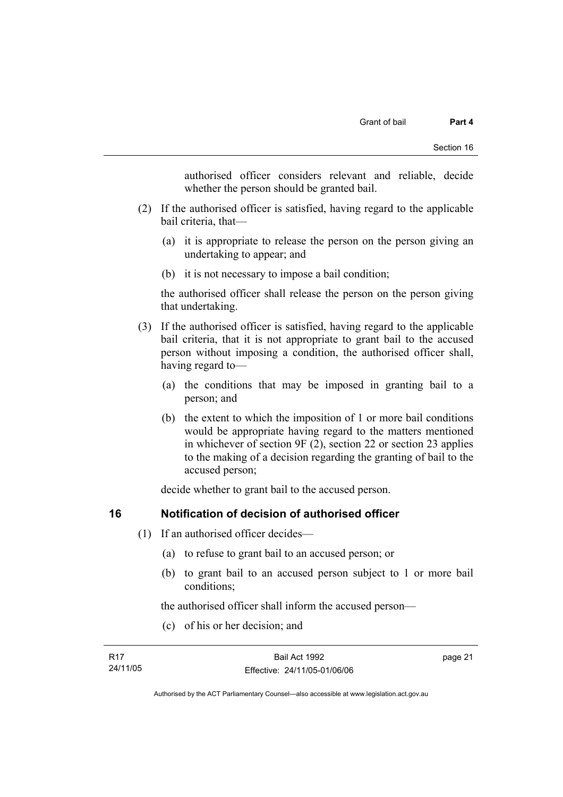authorised officer considers relevant and reliable, decide whether the person should be granted bail.

- (2) If the authorised officer is satisfied, having regard to the applicable bail criteria, that—
	- (a) it is appropriate to release the person on the person giving an undertaking to appear; and
	- (b) it is not necessary to impose a bail condition;

the authorised officer shall release the person on the person giving that undertaking.

- (3) If the authorised officer is satisfied, having regard to the applicable bail criteria, that it is not appropriate to grant bail to the accused person without imposing a condition, the authorised officer shall, having regard to—
	- (a) the conditions that may be imposed in granting bail to a person; and
	- (b) the extent to which the imposition of 1 or more bail conditions would be appropriate having regard to the matters mentioned in whichever of section 9F (2), section 22 or section 23 applies to the making of a decision regarding the granting of bail to the accused person;

decide whether to grant bail to the accused person.

## **16 Notification of decision of authorised officer**

- (1) If an authorised officer decides—
	- (a) to refuse to grant bail to an accused person; or
	- (b) to grant bail to an accused person subject to 1 or more bail conditions;

the authorised officer shall inform the accused person—

(c) of his or her decision; and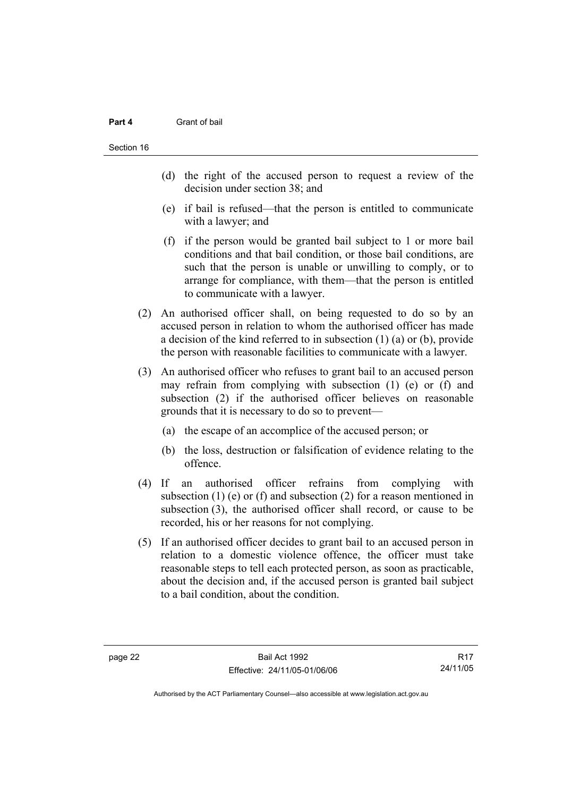#### **Part 4** Grant of bail

- (d) the right of the accused person to request a review of the decision under section 38; and
- (e) if bail is refused—that the person is entitled to communicate with a lawyer; and
- (f) if the person would be granted bail subject to 1 or more bail conditions and that bail condition, or those bail conditions, are such that the person is unable or unwilling to comply, or to arrange for compliance, with them—that the person is entitled to communicate with a lawyer.
- (2) An authorised officer shall, on being requested to do so by an accused person in relation to whom the authorised officer has made a decision of the kind referred to in subsection (1) (a) or (b), provide the person with reasonable facilities to communicate with a lawyer.
- (3) An authorised officer who refuses to grant bail to an accused person may refrain from complying with subsection (1) (e) or (f) and subsection (2) if the authorised officer believes on reasonable grounds that it is necessary to do so to prevent—
	- (a) the escape of an accomplice of the accused person; or
	- (b) the loss, destruction or falsification of evidence relating to the offence.
- (4) If an authorised officer refrains from complying with subsection (1) (e) or (f) and subsection (2) for a reason mentioned in subsection (3), the authorised officer shall record, or cause to be recorded, his or her reasons for not complying.
- (5) If an authorised officer decides to grant bail to an accused person in relation to a domestic violence offence, the officer must take reasonable steps to tell each protected person, as soon as practicable, about the decision and, if the accused person is granted bail subject to a bail condition, about the condition.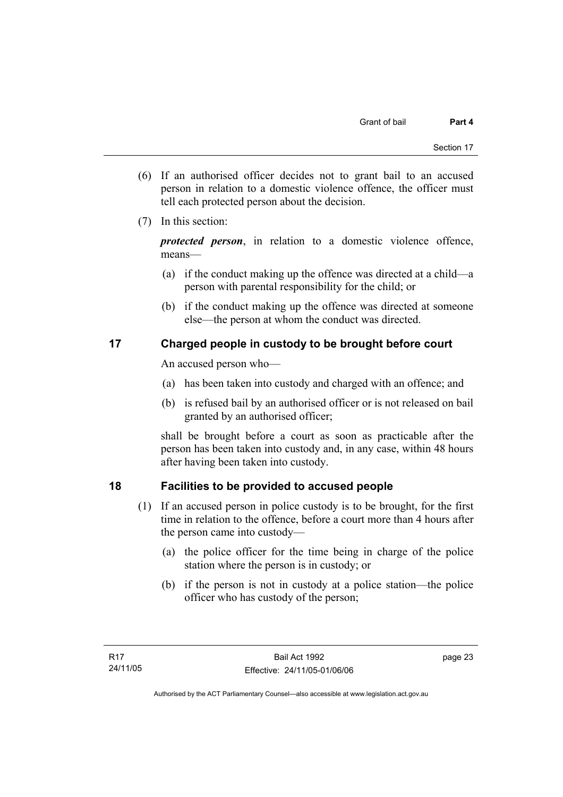- (6) If an authorised officer decides not to grant bail to an accused person in relation to a domestic violence offence, the officer must tell each protected person about the decision.
- (7) In this section:

*protected person*, in relation to a domestic violence offence, means—

- (a) if the conduct making up the offence was directed at a child—a person with parental responsibility for the child; or
- (b) if the conduct making up the offence was directed at someone else—the person at whom the conduct was directed.

## **17 Charged people in custody to be brought before court**

An accused person who—

- (a) has been taken into custody and charged with an offence; and
- (b) is refused bail by an authorised officer or is not released on bail granted by an authorised officer;

shall be brought before a court as soon as practicable after the person has been taken into custody and, in any case, within 48 hours after having been taken into custody.

## **18 Facilities to be provided to accused people**

- (1) If an accused person in police custody is to be brought, for the first time in relation to the offence, before a court more than 4 hours after the person came into custody—
	- (a) the police officer for the time being in charge of the police station where the person is in custody; or
	- (b) if the person is not in custody at a police station—the police officer who has custody of the person;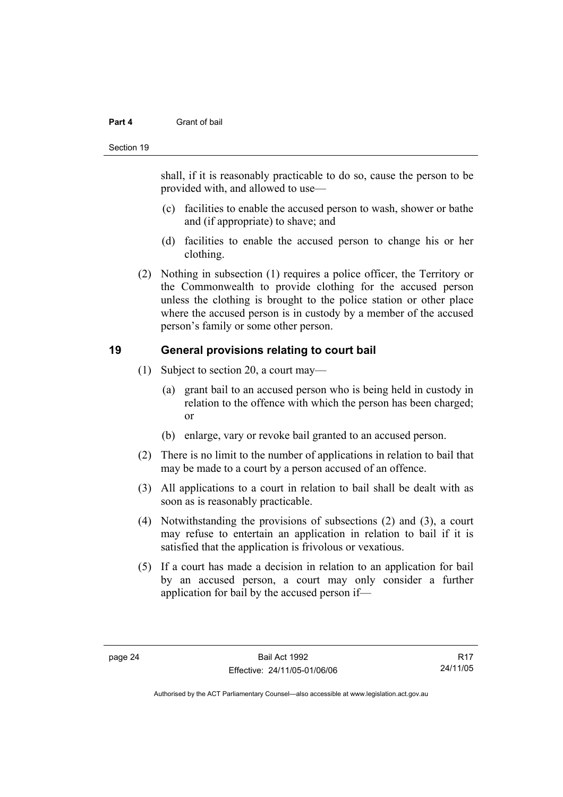#### **Part 4** Grant of bail

#### Section 19

shall, if it is reasonably practicable to do so, cause the person to be provided with, and allowed to use—

- (c) facilities to enable the accused person to wash, shower or bathe and (if appropriate) to shave; and
- (d) facilities to enable the accused person to change his or her clothing.
- (2) Nothing in subsection (1) requires a police officer, the Territory or the Commonwealth to provide clothing for the accused person unless the clothing is brought to the police station or other place where the accused person is in custody by a member of the accused person's family or some other person.

## **19 General provisions relating to court bail**

- (1) Subject to section 20, a court may—
	- (a) grant bail to an accused person who is being held in custody in relation to the offence with which the person has been charged; or
	- (b) enlarge, vary or revoke bail granted to an accused person.
- (2) There is no limit to the number of applications in relation to bail that may be made to a court by a person accused of an offence.
- (3) All applications to a court in relation to bail shall be dealt with as soon as is reasonably practicable.
- (4) Notwithstanding the provisions of subsections (2) and (3), a court may refuse to entertain an application in relation to bail if it is satisfied that the application is frivolous or vexatious.
- (5) If a court has made a decision in relation to an application for bail by an accused person, a court may only consider a further application for bail by the accused person if—

R17 24/11/05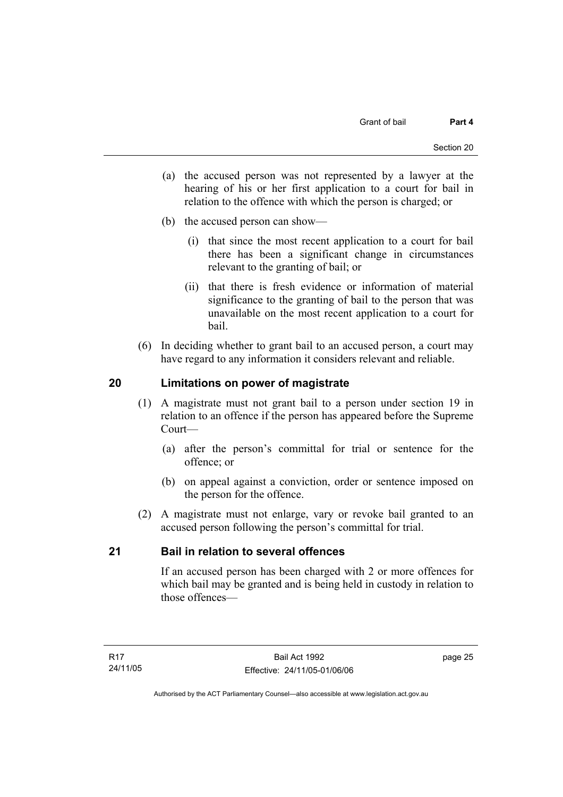- (a) the accused person was not represented by a lawyer at the hearing of his or her first application to a court for bail in relation to the offence with which the person is charged; or
- (b) the accused person can show—
	- (i) that since the most recent application to a court for bail there has been a significant change in circumstances relevant to the granting of bail; or
	- (ii) that there is fresh evidence or information of material significance to the granting of bail to the person that was unavailable on the most recent application to a court for bail.
- (6) In deciding whether to grant bail to an accused person, a court may have regard to any information it considers relevant and reliable.

## **20 Limitations on power of magistrate**

- (1) A magistrate must not grant bail to a person under section 19 in relation to an offence if the person has appeared before the Supreme Court—
	- (a) after the person's committal for trial or sentence for the offence; or
	- (b) on appeal against a conviction, order or sentence imposed on the person for the offence.
- (2) A magistrate must not enlarge, vary or revoke bail granted to an accused person following the person's committal for trial.

## **21 Bail in relation to several offences**

If an accused person has been charged with 2 or more offences for which bail may be granted and is being held in custody in relation to those offences—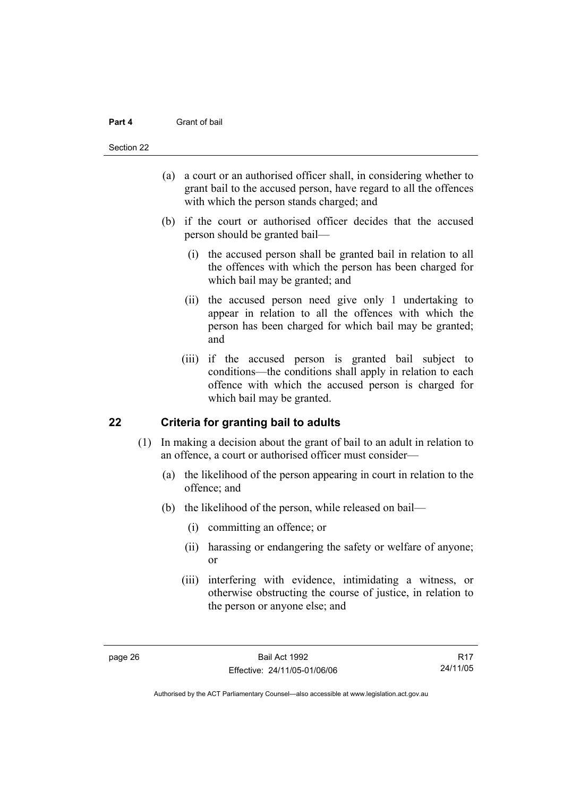#### **Part 4** Grant of bail

#### Section 22

- (a) a court or an authorised officer shall, in considering whether to grant bail to the accused person, have regard to all the offences with which the person stands charged; and
- (b) if the court or authorised officer decides that the accused person should be granted bail—
	- (i) the accused person shall be granted bail in relation to all the offences with which the person has been charged for which bail may be granted; and
	- (ii) the accused person need give only 1 undertaking to appear in relation to all the offences with which the person has been charged for which bail may be granted; and
	- (iii) if the accused person is granted bail subject to conditions—the conditions shall apply in relation to each offence with which the accused person is charged for which bail may be granted.

## **22 Criteria for granting bail to adults**

- (1) In making a decision about the grant of bail to an adult in relation to an offence, a court or authorised officer must consider—
	- (a) the likelihood of the person appearing in court in relation to the offence; and
	- (b) the likelihood of the person, while released on bail—
		- (i) committing an offence; or
		- (ii) harassing or endangering the safety or welfare of anyone; or
		- (iii) interfering with evidence, intimidating a witness, or otherwise obstructing the course of justice, in relation to the person or anyone else; and

R17 24/11/05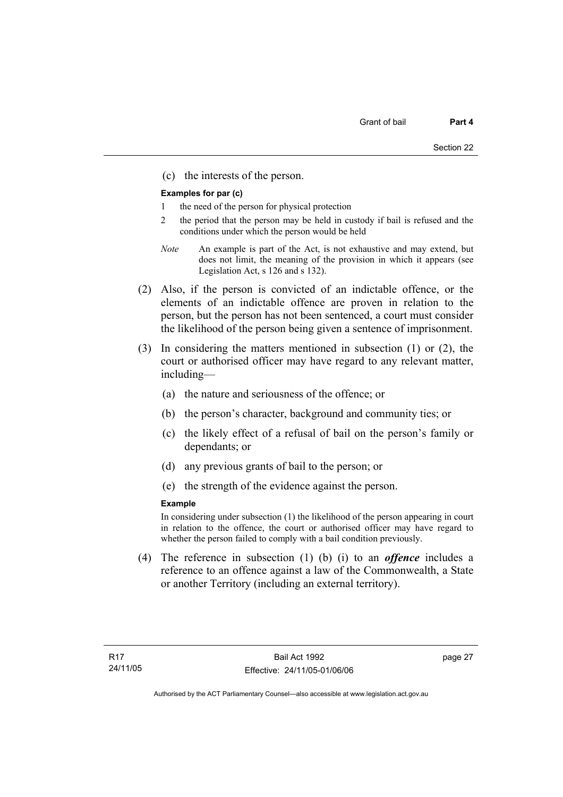(c) the interests of the person.

#### **Examples for par (c)**

- 1 the need of the person for physical protection
- 2 the period that the person may be held in custody if bail is refused and the conditions under which the person would be held
- *Note* An example is part of the Act, is not exhaustive and may extend, but does not limit, the meaning of the provision in which it appears (see Legislation Act, s 126 and s 132).
- (2) Also, if the person is convicted of an indictable offence, or the elements of an indictable offence are proven in relation to the person, but the person has not been sentenced, a court must consider the likelihood of the person being given a sentence of imprisonment.
- (3) In considering the matters mentioned in subsection (1) or (2), the court or authorised officer may have regard to any relevant matter, including—
	- (a) the nature and seriousness of the offence; or
	- (b) the person's character, background and community ties; or
	- (c) the likely effect of a refusal of bail on the person's family or dependants; or
	- (d) any previous grants of bail to the person; or
	- (e) the strength of the evidence against the person.

#### **Example**

In considering under subsection (1) the likelihood of the person appearing in court in relation to the offence, the court or authorised officer may have regard to whether the person failed to comply with a bail condition previously.

 (4) The reference in subsection (1) (b) (i) to an *offence* includes a reference to an offence against a law of the Commonwealth, a State or another Territory (including an external territory).

page 27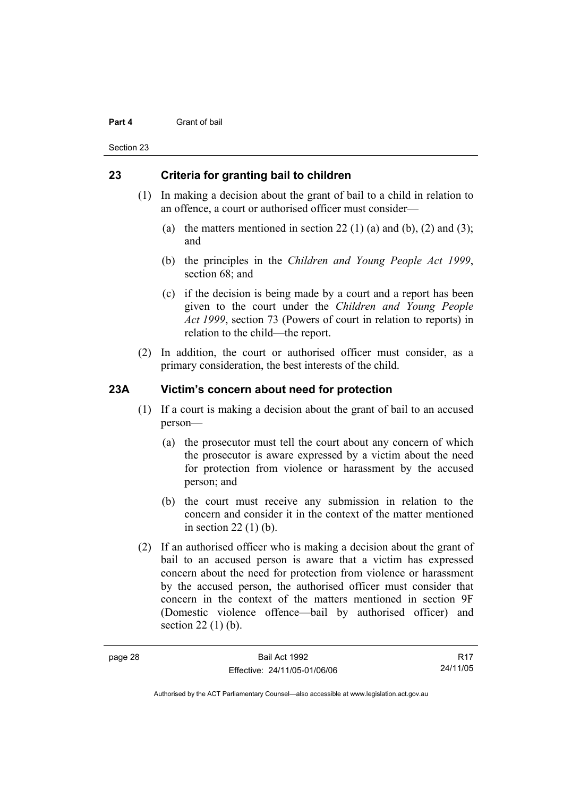#### **Part 4** Grant of bail

Section 23

## **23 Criteria for granting bail to children**

- (1) In making a decision about the grant of bail to a child in relation to an offence, a court or authorised officer must consider—
	- (a) the matters mentioned in section 22 (1) (a) and (b), (2) and (3); and
	- (b) the principles in the *Children and Young People Act 1999*, section 68; and
	- (c) if the decision is being made by a court and a report has been given to the court under the *Children and Young People Act 1999*, section 73 (Powers of court in relation to reports) in relation to the child—the report.
- (2) In addition, the court or authorised officer must consider, as a primary consideration, the best interests of the child.

## **23A Victim's concern about need for protection**

- (1) If a court is making a decision about the grant of bail to an accused person—
	- (a) the prosecutor must tell the court about any concern of which the prosecutor is aware expressed by a victim about the need for protection from violence or harassment by the accused person; and
	- (b) the court must receive any submission in relation to the concern and consider it in the context of the matter mentioned in section 22 (1) (b).
- (2) If an authorised officer who is making a decision about the grant of bail to an accused person is aware that a victim has expressed concern about the need for protection from violence or harassment by the accused person, the authorised officer must consider that concern in the context of the matters mentioned in section 9F (Domestic violence offence—bail by authorised officer) and section 22 (1) (b).

R17 24/11/05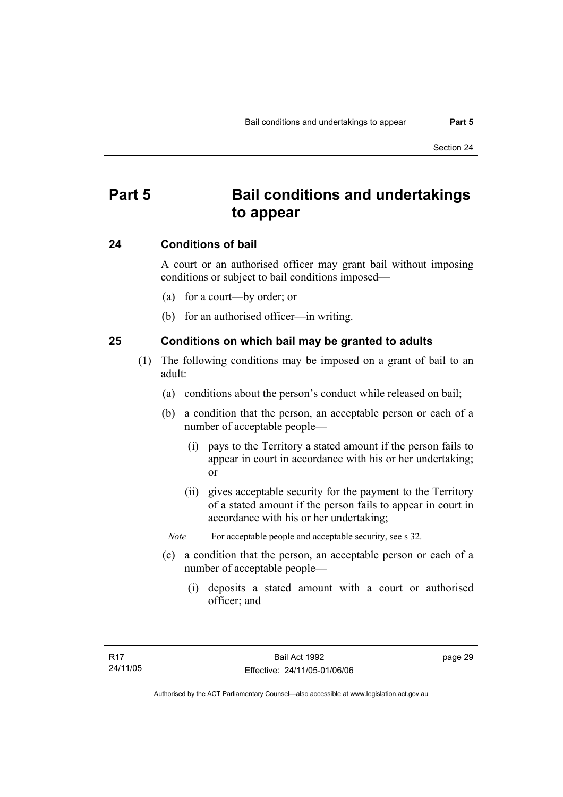# **Part 5 Bail conditions and undertakings to appear**

## **24 Conditions of bail**

A court or an authorised officer may grant bail without imposing conditions or subject to bail conditions imposed—

- (a) for a court—by order; or
- (b) for an authorised officer—in writing.

## **25 Conditions on which bail may be granted to adults**

- (1) The following conditions may be imposed on a grant of bail to an adult:
	- (a) conditions about the person's conduct while released on bail;
	- (b) a condition that the person, an acceptable person or each of a number of acceptable people—
		- (i) pays to the Territory a stated amount if the person fails to appear in court in accordance with his or her undertaking; or
		- (ii) gives acceptable security for the payment to the Territory of a stated amount if the person fails to appear in court in accordance with his or her undertaking;
		- *Note* For acceptable people and acceptable security, see s 32.
	- (c) a condition that the person, an acceptable person or each of a number of acceptable people—
		- (i) deposits a stated amount with a court or authorised officer; and

page 29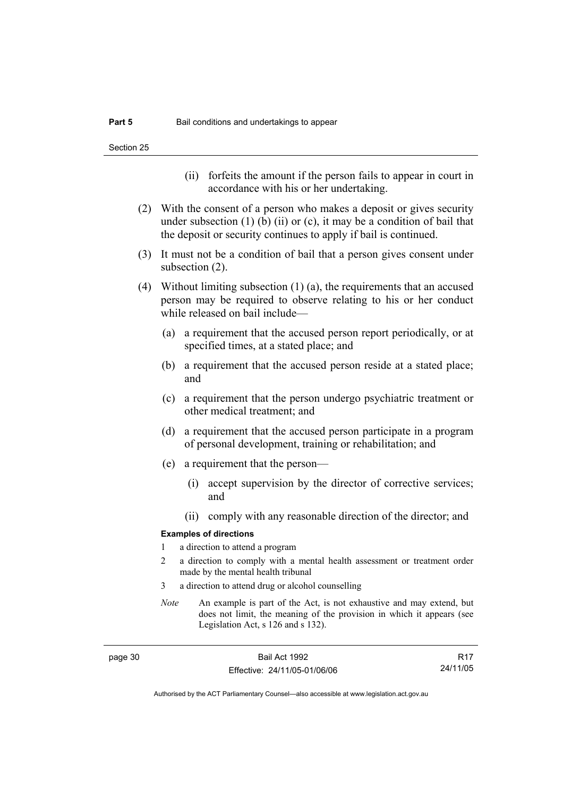- (ii) forfeits the amount if the person fails to appear in court in accordance with his or her undertaking.
- (2) With the consent of a person who makes a deposit or gives security under subsection  $(1)$  (b)  $(ii)$  or  $(c)$ , it may be a condition of bail that the deposit or security continues to apply if bail is continued.
- (3) It must not be a condition of bail that a person gives consent under subsection (2).
- (4) Without limiting subsection (1) (a), the requirements that an accused person may be required to observe relating to his or her conduct while released on bail include—
	- (a) a requirement that the accused person report periodically, or at specified times, at a stated place; and
	- (b) a requirement that the accused person reside at a stated place; and
	- (c) a requirement that the person undergo psychiatric treatment or other medical treatment; and
	- (d) a requirement that the accused person participate in a program of personal development, training or rehabilitation; and
	- (e) a requirement that the person—
		- (i) accept supervision by the director of corrective services; and
		- (ii) comply with any reasonable direction of the director; and

#### **Examples of directions**

- 1 a direction to attend a program
- 2 a direction to comply with a mental health assessment or treatment order made by the mental health tribunal
- 3 a direction to attend drug or alcohol counselling
- *Note* An example is part of the Act, is not exhaustive and may extend, but does not limit, the meaning of the provision in which it appears (see Legislation Act, s 126 and s 132).

R17 24/11/05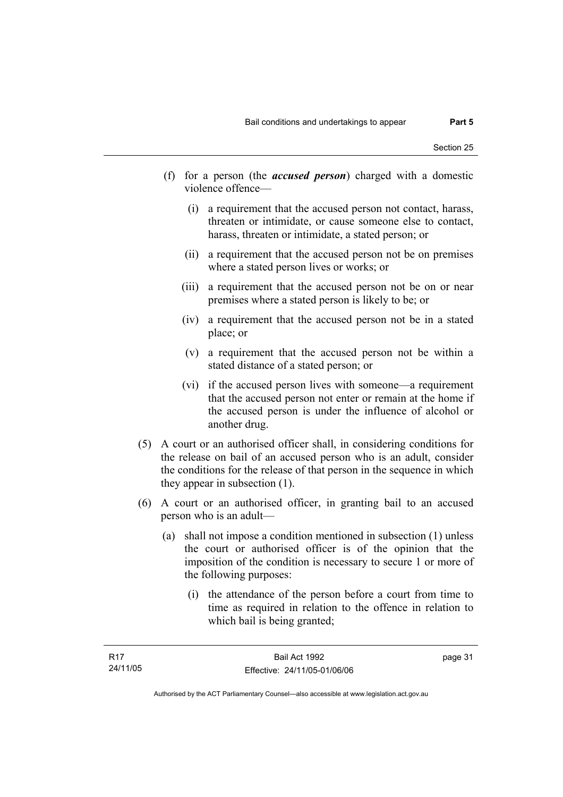- (f) for a person (the *accused person*) charged with a domestic violence offence—
	- (i) a requirement that the accused person not contact, harass, threaten or intimidate, or cause someone else to contact, harass, threaten or intimidate, a stated person; or
	- (ii) a requirement that the accused person not be on premises where a stated person lives or works; or
	- (iii) a requirement that the accused person not be on or near premises where a stated person is likely to be; or
	- (iv) a requirement that the accused person not be in a stated place; or
	- (v) a requirement that the accused person not be within a stated distance of a stated person; or
	- (vi) if the accused person lives with someone—a requirement that the accused person not enter or remain at the home if the accused person is under the influence of alcohol or another drug.
- (5) A court or an authorised officer shall, in considering conditions for the release on bail of an accused person who is an adult, consider the conditions for the release of that person in the sequence in which they appear in subsection (1).
- (6) A court or an authorised officer, in granting bail to an accused person who is an adult—
	- (a) shall not impose a condition mentioned in subsection (1) unless the court or authorised officer is of the opinion that the imposition of the condition is necessary to secure 1 or more of the following purposes:
		- (i) the attendance of the person before a court from time to time as required in relation to the offence in relation to which bail is being granted;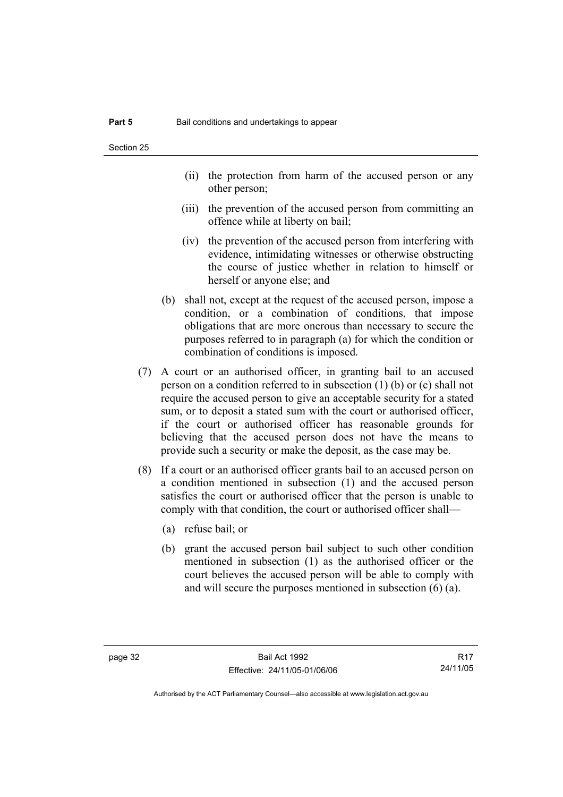- (ii) the protection from harm of the accused person or any other person;
- (iii) the prevention of the accused person from committing an offence while at liberty on bail;
- (iv) the prevention of the accused person from interfering with evidence, intimidating witnesses or otherwise obstructing the course of justice whether in relation to himself or herself or anyone else; and
- (b) shall not, except at the request of the accused person, impose a condition, or a combination of conditions, that impose obligations that are more onerous than necessary to secure the purposes referred to in paragraph (a) for which the condition or combination of conditions is imposed.
- (7) A court or an authorised officer, in granting bail to an accused person on a condition referred to in subsection (1) (b) or (c) shall not require the accused person to give an acceptable security for a stated sum, or to deposit a stated sum with the court or authorised officer, if the court or authorised officer has reasonable grounds for believing that the accused person does not have the means to provide such a security or make the deposit, as the case may be.
- (8) If a court or an authorised officer grants bail to an accused person on a condition mentioned in subsection (1) and the accused person satisfies the court or authorised officer that the person is unable to comply with that condition, the court or authorised officer shall—
	- (a) refuse bail; or
	- (b) grant the accused person bail subject to such other condition mentioned in subsection (1) as the authorised officer or the court believes the accused person will be able to comply with and will secure the purposes mentioned in subsection (6) (a).

R17 24/11/05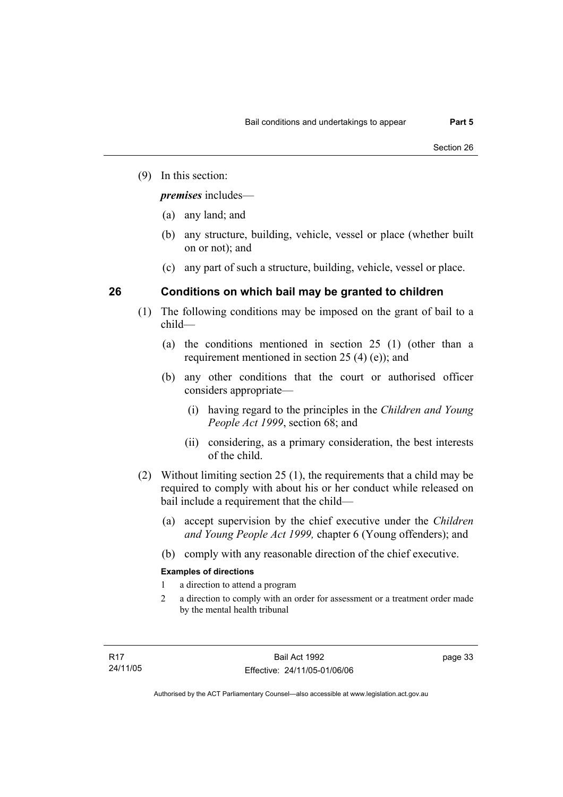(9) In this section:

*premises* includes—

- (a) any land; and
- (b) any structure, building, vehicle, vessel or place (whether built on or not); and
- (c) any part of such a structure, building, vehicle, vessel or place.

## **26 Conditions on which bail may be granted to children**

- (1) The following conditions may be imposed on the grant of bail to a child—
	- (a) the conditions mentioned in section 25 (1) (other than a requirement mentioned in section 25 (4) (e)); and
	- (b) any other conditions that the court or authorised officer considers appropriate—
		- (i) having regard to the principles in the *Children and Young People Act 1999*, section 68; and
		- (ii) considering, as a primary consideration, the best interests of the child.
- (2) Without limiting section 25 (1), the requirements that a child may be required to comply with about his or her conduct while released on bail include a requirement that the child—
	- (a) accept supervision by the chief executive under the *Children and Young People Act 1999,* chapter 6 (Young offenders); and
	- (b) comply with any reasonable direction of the chief executive.

#### **Examples of directions**

- 1 a direction to attend a program
- 2 a direction to comply with an order for assessment or a treatment order made by the mental health tribunal

page 33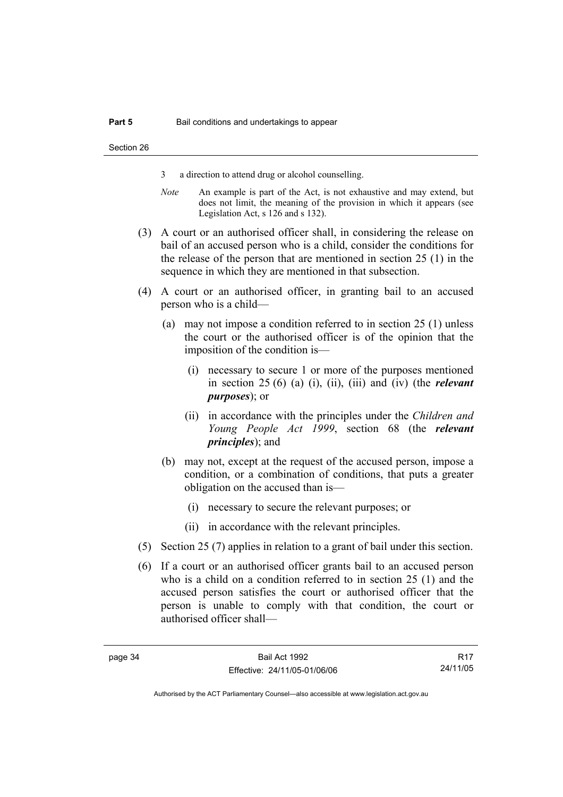- 3 a direction to attend drug or alcohol counselling.
- *Note* An example is part of the Act, is not exhaustive and may extend, but does not limit, the meaning of the provision in which it appears (see Legislation Act, s 126 and s 132).
- (3) A court or an authorised officer shall, in considering the release on bail of an accused person who is a child, consider the conditions for the release of the person that are mentioned in section 25 (1) in the sequence in which they are mentioned in that subsection.
- (4) A court or an authorised officer, in granting bail to an accused person who is a child—
	- (a) may not impose a condition referred to in section 25 (1) unless the court or the authorised officer is of the opinion that the imposition of the condition is—
		- (i) necessary to secure 1 or more of the purposes mentioned in section 25 (6) (a) (i), (ii), (iii) and (iv) (the *relevant purposes*); or
		- (ii) in accordance with the principles under the *Children and Young People Act 1999*, section 68 (the *relevant principles*); and
	- (b) may not, except at the request of the accused person, impose a condition, or a combination of conditions, that puts a greater obligation on the accused than is—
		- (i) necessary to secure the relevant purposes; or
		- (ii) in accordance with the relevant principles.
- (5) Section 25 (7) applies in relation to a grant of bail under this section.
- (6) If a court or an authorised officer grants bail to an accused person who is a child on a condition referred to in section 25 (1) and the accused person satisfies the court or authorised officer that the person is unable to comply with that condition, the court or authorised officer shall—

R17 24/11/05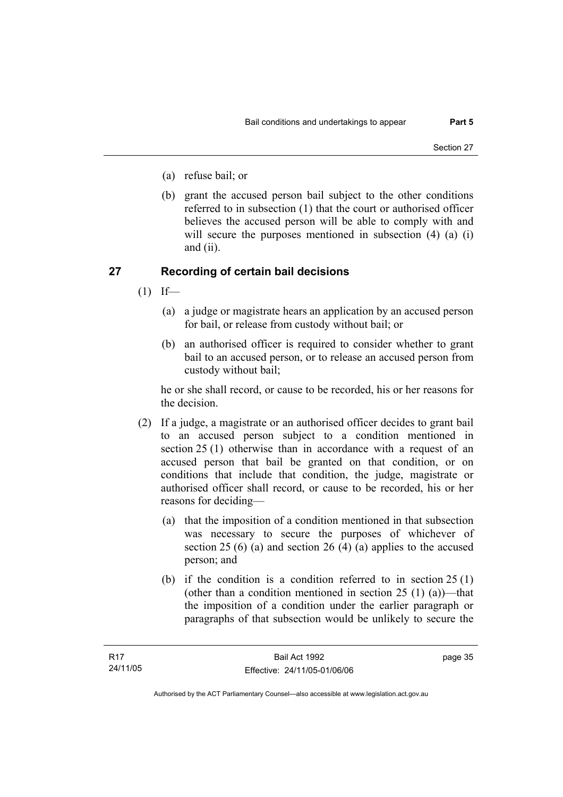- (a) refuse bail; or
- (b) grant the accused person bail subject to the other conditions referred to in subsection (1) that the court or authorised officer believes the accused person will be able to comply with and will secure the purposes mentioned in subsection (4) (a) (i) and (ii).

#### **27 Recording of certain bail decisions**

- $(1)$  If—
	- (a) a judge or magistrate hears an application by an accused person for bail, or release from custody without bail; or
	- (b) an authorised officer is required to consider whether to grant bail to an accused person, or to release an accused person from custody without bail;

he or she shall record, or cause to be recorded, his or her reasons for the decision.

- (2) If a judge, a magistrate or an authorised officer decides to grant bail to an accused person subject to a condition mentioned in section 25 (1) otherwise than in accordance with a request of an accused person that bail be granted on that condition, or on conditions that include that condition, the judge, magistrate or authorised officer shall record, or cause to be recorded, his or her reasons for deciding—
	- (a) that the imposition of a condition mentioned in that subsection was necessary to secure the purposes of whichever of section 25 (6) (a) and section 26 (4) (a) applies to the accused person; and
	- (b) if the condition is a condition referred to in section 25 (1) (other than a condition mentioned in section  $25(1)(a)$ )—that the imposition of a condition under the earlier paragraph or paragraphs of that subsection would be unlikely to secure the

page 35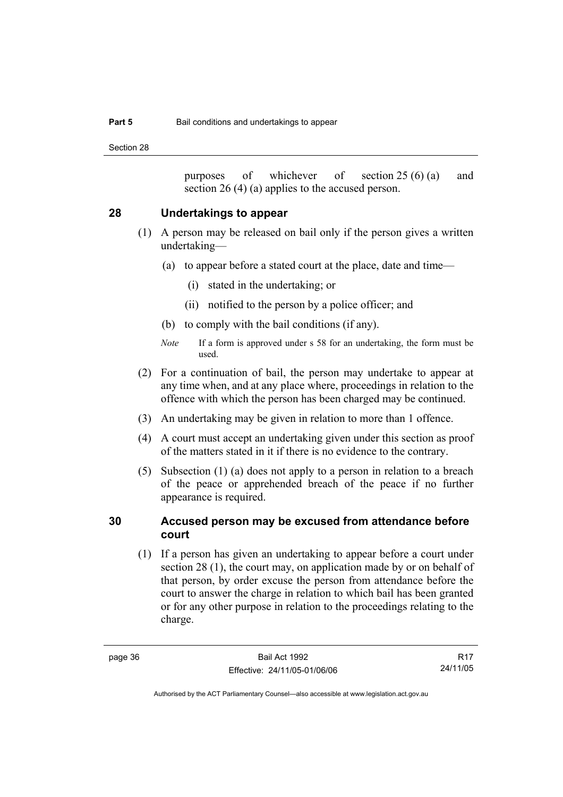Section 28

purposes of whichever of section 25 (6) (a) and section 26 (4) (a) applies to the accused person.

#### **28 Undertakings to appear**

- (1) A person may be released on bail only if the person gives a written undertaking—
	- (a) to appear before a stated court at the place, date and time—
		- (i) stated in the undertaking; or
		- (ii) notified to the person by a police officer; and
	- (b) to comply with the bail conditions (if any).
	- *Note* If a form is approved under s 58 for an undertaking, the form must be used.
- (2) For a continuation of bail, the person may undertake to appear at any time when, and at any place where, proceedings in relation to the offence with which the person has been charged may be continued.
- (3) An undertaking may be given in relation to more than 1 offence.
- (4) A court must accept an undertaking given under this section as proof of the matters stated in it if there is no evidence to the contrary.
- (5) Subsection (1) (a) does not apply to a person in relation to a breach of the peace or apprehended breach of the peace if no further appearance is required.

#### **30 Accused person may be excused from attendance before court**

 (1) If a person has given an undertaking to appear before a court under section 28 (1), the court may, on application made by or on behalf of that person, by order excuse the person from attendance before the court to answer the charge in relation to which bail has been granted or for any other purpose in relation to the proceedings relating to the charge.

R17 24/11/05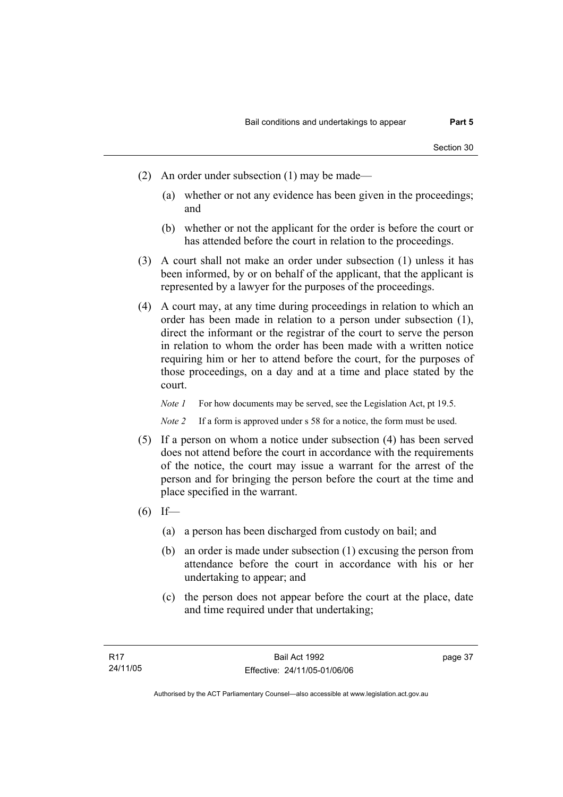- (2) An order under subsection (1) may be made—
	- (a) whether or not any evidence has been given in the proceedings; and
	- (b) whether or not the applicant for the order is before the court or has attended before the court in relation to the proceedings.
- (3) A court shall not make an order under subsection (1) unless it has been informed, by or on behalf of the applicant, that the applicant is represented by a lawyer for the purposes of the proceedings.
- (4) A court may, at any time during proceedings in relation to which an order has been made in relation to a person under subsection (1), direct the informant or the registrar of the court to serve the person in relation to whom the order has been made with a written notice requiring him or her to attend before the court, for the purposes of those proceedings, on a day and at a time and place stated by the court.

*Note 1* For how documents may be served, see the Legislation Act, pt 19.5.

*Note 2* If a form is approved under s 58 for a notice, the form must be used.

- (5) If a person on whom a notice under subsection (4) has been served does not attend before the court in accordance with the requirements of the notice, the court may issue a warrant for the arrest of the person and for bringing the person before the court at the time and place specified in the warrant.
- $(6)$  If—
	- (a) a person has been discharged from custody on bail; and
	- (b) an order is made under subsection (1) excusing the person from attendance before the court in accordance with his or her undertaking to appear; and
	- (c) the person does not appear before the court at the place, date and time required under that undertaking;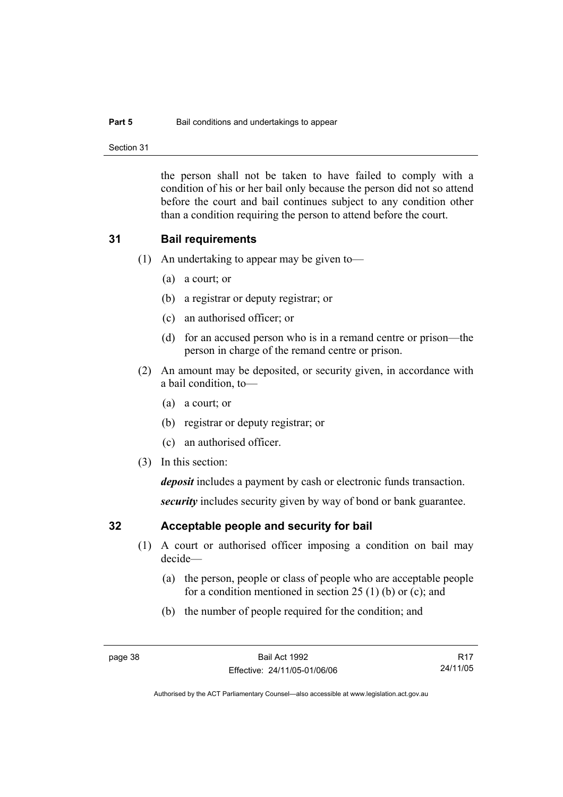#### **Part 5 Bail conditions and undertakings to appear**

Section 31

the person shall not be taken to have failed to comply with a condition of his or her bail only because the person did not so attend before the court and bail continues subject to any condition other than a condition requiring the person to attend before the court.

#### **31 Bail requirements**

- (1) An undertaking to appear may be given to—
	- (a) a court; or
	- (b) a registrar or deputy registrar; or
	- (c) an authorised officer; or
	- (d) for an accused person who is in a remand centre or prison—the person in charge of the remand centre or prison.
- (2) An amount may be deposited, or security given, in accordance with a bail condition, to—
	- (a) a court; or
	- (b) registrar or deputy registrar; or
	- (c) an authorised officer.
- (3) In this section:

*deposit* includes a payment by cash or electronic funds transaction.

*security* includes security given by way of bond or bank guarantee.

## **32 Acceptable people and security for bail**

- (1) A court or authorised officer imposing a condition on bail may decide—
	- (a) the person, people or class of people who are acceptable people for a condition mentioned in section 25 (1) (b) or (c); and
	- (b) the number of people required for the condition; and

R17 24/11/05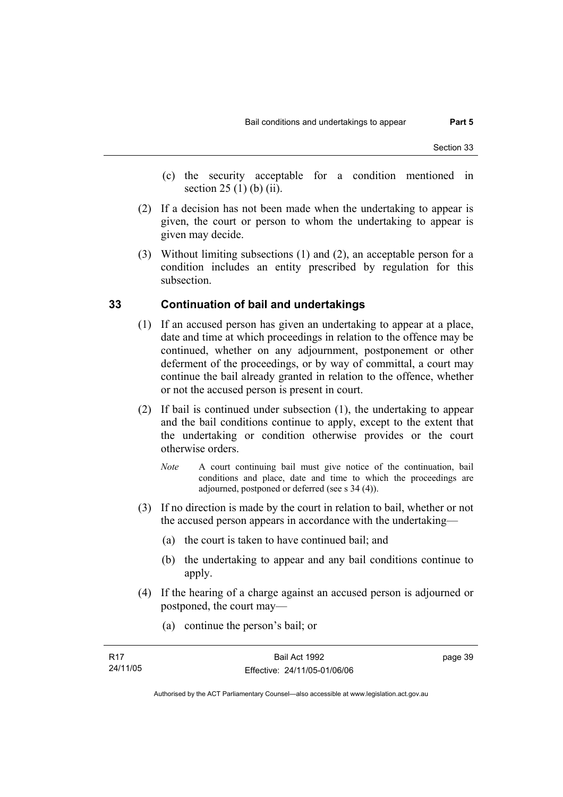- (c) the security acceptable for a condition mentioned in section 25 (1) (b) (ii).
- (2) If a decision has not been made when the undertaking to appear is given, the court or person to whom the undertaking to appear is given may decide.
- (3) Without limiting subsections (1) and (2), an acceptable person for a condition includes an entity prescribed by regulation for this subsection.

#### **33 Continuation of bail and undertakings**

- (1) If an accused person has given an undertaking to appear at a place, date and time at which proceedings in relation to the offence may be continued, whether on any adjournment, postponement or other deferment of the proceedings, or by way of committal, a court may continue the bail already granted in relation to the offence, whether or not the accused person is present in court.
- (2) If bail is continued under subsection (1), the undertaking to appear and the bail conditions continue to apply, except to the extent that the undertaking or condition otherwise provides or the court otherwise orders.
	- *Note* A court continuing bail must give notice of the continuation, bail conditions and place, date and time to which the proceedings are adjourned, postponed or deferred (see s 34 (4)).
- (3) If no direction is made by the court in relation to bail, whether or not the accused person appears in accordance with the undertaking—
	- (a) the court is taken to have continued bail; and
	- (b) the undertaking to appear and any bail conditions continue to apply.
- (4) If the hearing of a charge against an accused person is adjourned or postponed, the court may—
	- (a) continue the person's bail; or

| R17      | Bail Act 1992                | page 39 |
|----------|------------------------------|---------|
| 24/11/05 | Effective: 24/11/05-01/06/06 |         |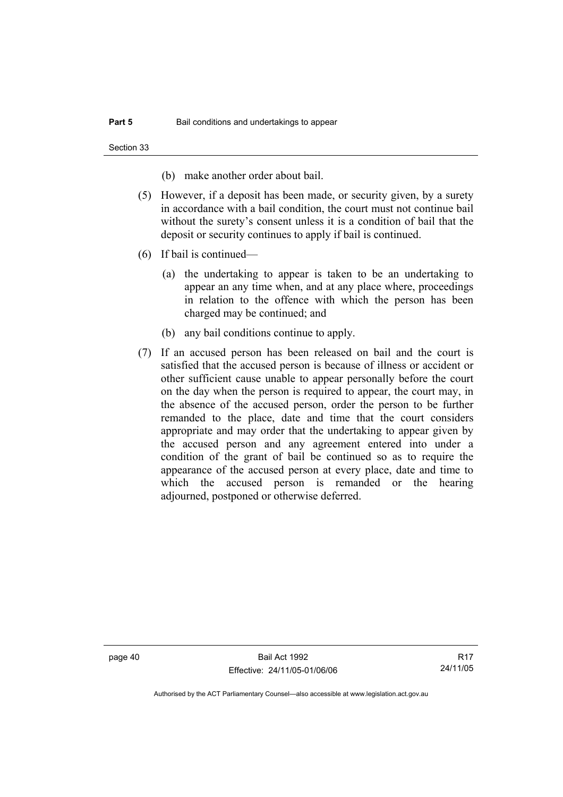Section 33

(b) make another order about bail.

- (5) However, if a deposit has been made, or security given, by a surety in accordance with a bail condition, the court must not continue bail without the surety's consent unless it is a condition of bail that the deposit or security continues to apply if bail is continued.
- (6) If bail is continued—
	- (a) the undertaking to appear is taken to be an undertaking to appear an any time when, and at any place where, proceedings in relation to the offence with which the person has been charged may be continued; and
	- (b) any bail conditions continue to apply.
- (7) If an accused person has been released on bail and the court is satisfied that the accused person is because of illness or accident or other sufficient cause unable to appear personally before the court on the day when the person is required to appear, the court may, in the absence of the accused person, order the person to be further remanded to the place, date and time that the court considers appropriate and may order that the undertaking to appear given by the accused person and any agreement entered into under a condition of the grant of bail be continued so as to require the appearance of the accused person at every place, date and time to which the accused person is remanded or the hearing adjourned, postponed or otherwise deferred.

page 40 Bail Act 1992 Effective: 24/11/05-01/06/06

R17 24/11/05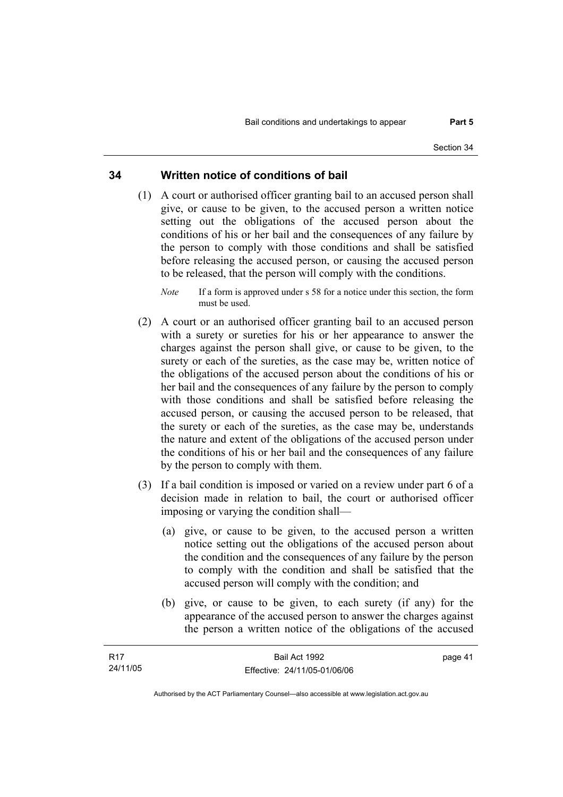#### **34 Written notice of conditions of bail**

- (1) A court or authorised officer granting bail to an accused person shall give, or cause to be given, to the accused person a written notice setting out the obligations of the accused person about the conditions of his or her bail and the consequences of any failure by the person to comply with those conditions and shall be satisfied before releasing the accused person, or causing the accused person to be released, that the person will comply with the conditions.
	- *Note* If a form is approved under s 58 for a notice under this section, the form must be used.
- (2) A court or an authorised officer granting bail to an accused person with a surety or sureties for his or her appearance to answer the charges against the person shall give, or cause to be given, to the surety or each of the sureties, as the case may be, written notice of the obligations of the accused person about the conditions of his or her bail and the consequences of any failure by the person to comply with those conditions and shall be satisfied before releasing the accused person, or causing the accused person to be released, that the surety or each of the sureties, as the case may be, understands the nature and extent of the obligations of the accused person under the conditions of his or her bail and the consequences of any failure by the person to comply with them.
- (3) If a bail condition is imposed or varied on a review under part 6 of a decision made in relation to bail, the court or authorised officer imposing or varying the condition shall—
	- (a) give, or cause to be given, to the accused person a written notice setting out the obligations of the accused person about the condition and the consequences of any failure by the person to comply with the condition and shall be satisfied that the accused person will comply with the condition; and
	- (b) give, or cause to be given, to each surety (if any) for the appearance of the accused person to answer the charges against the person a written notice of the obligations of the accused

| - R17    | Bail Act 1992                | page 41 |
|----------|------------------------------|---------|
| 24/11/05 | Effective: 24/11/05-01/06/06 |         |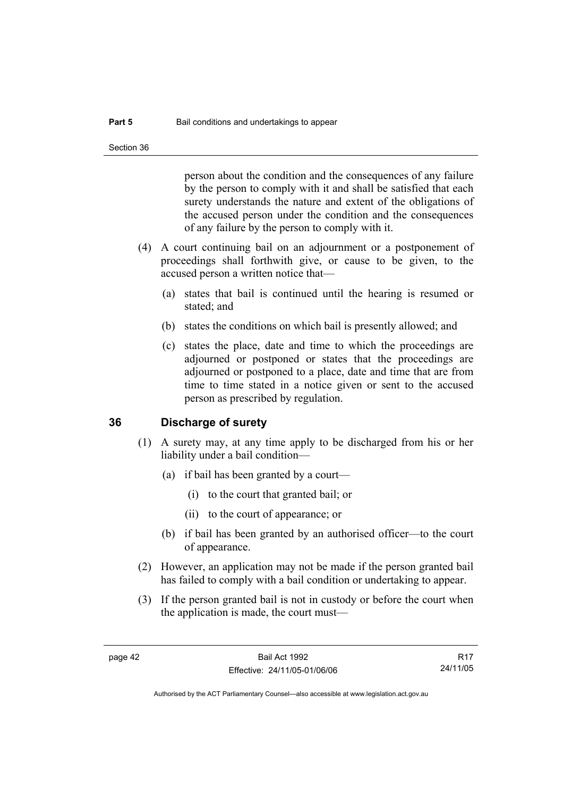person about the condition and the consequences of any failure by the person to comply with it and shall be satisfied that each surety understands the nature and extent of the obligations of the accused person under the condition and the consequences of any failure by the person to comply with it.

- (4) A court continuing bail on an adjournment or a postponement of proceedings shall forthwith give, or cause to be given, to the accused person a written notice that—
	- (a) states that bail is continued until the hearing is resumed or stated; and
	- (b) states the conditions on which bail is presently allowed; and
	- (c) states the place, date and time to which the proceedings are adjourned or postponed or states that the proceedings are adjourned or postponed to a place, date and time that are from time to time stated in a notice given or sent to the accused person as prescribed by regulation.

#### **36 Discharge of surety**

- (1) A surety may, at any time apply to be discharged from his or her liability under a bail condition—
	- (a) if bail has been granted by a court—
		- (i) to the court that granted bail; or
		- (ii) to the court of appearance; or
	- (b) if bail has been granted by an authorised officer—to the court of appearance.
- (2) However, an application may not be made if the person granted bail has failed to comply with a bail condition or undertaking to appear.
- (3) If the person granted bail is not in custody or before the court when the application is made, the court must—

R17 24/11/05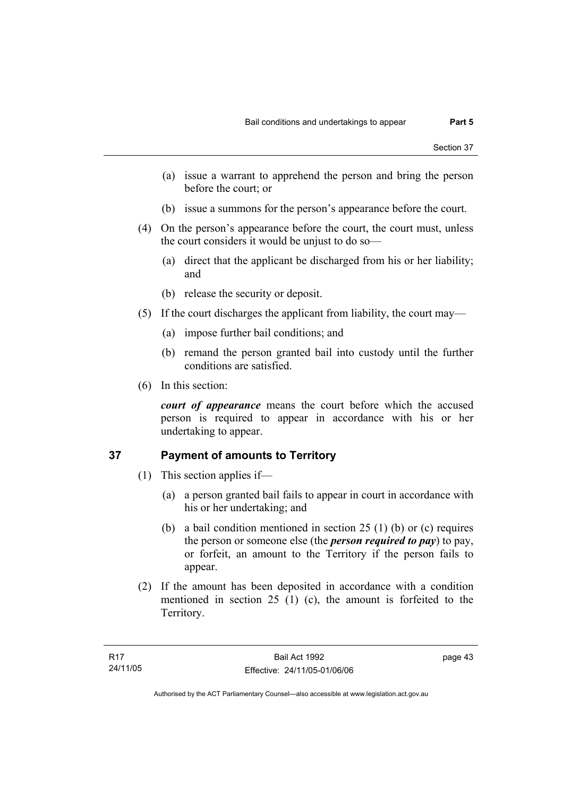- (a) issue a warrant to apprehend the person and bring the person before the court; or
- (b) issue a summons for the person's appearance before the court.
- (4) On the person's appearance before the court, the court must, unless the court considers it would be unjust to do so—
	- (a) direct that the applicant be discharged from his or her liability; and
	- (b) release the security or deposit.
- (5) If the court discharges the applicant from liability, the court may—
	- (a) impose further bail conditions; and
	- (b) remand the person granted bail into custody until the further conditions are satisfied.
- (6) In this section:

*court of appearance* means the court before which the accused person is required to appear in accordance with his or her undertaking to appear.

## **37 Payment of amounts to Territory**

- (1) This section applies if—
	- (a) a person granted bail fails to appear in court in accordance with his or her undertaking; and
	- (b) a bail condition mentioned in section 25 (1) (b) or (c) requires the person or someone else (the *person required to pay*) to pay, or forfeit, an amount to the Territory if the person fails to appear.
- (2) If the amount has been deposited in accordance with a condition mentioned in section 25 (1) (c), the amount is forfeited to the Territory.

page 43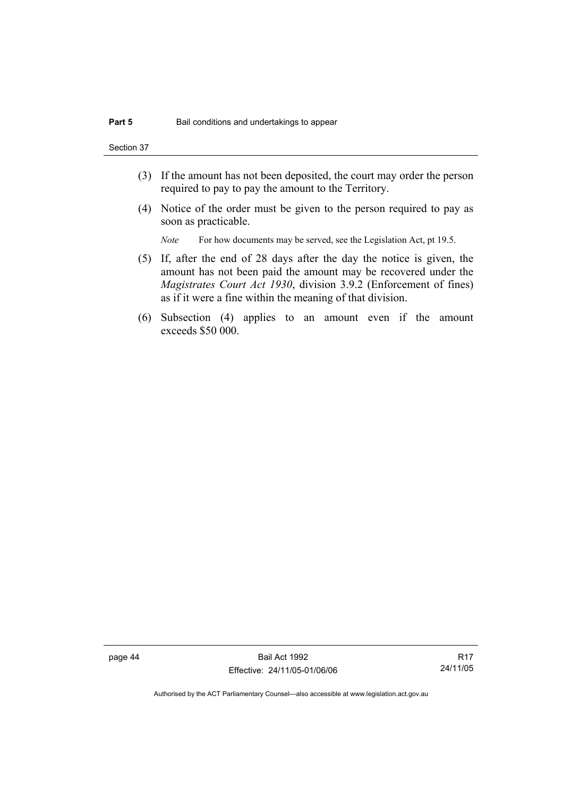Section 37

- (3) If the amount has not been deposited, the court may order the person required to pay to pay the amount to the Territory.
- (4) Notice of the order must be given to the person required to pay as soon as practicable.

*Note* For how documents may be served, see the Legislation Act, pt 19.5.

- (5) If, after the end of 28 days after the day the notice is given, the amount has not been paid the amount may be recovered under the *Magistrates Court Act 1930*, division 3.9.2 (Enforcement of fines) as if it were a fine within the meaning of that division.
- (6) Subsection (4) applies to an amount even if the amount exceeds \$50 000.

page 44 Bail Act 1992 Effective: 24/11/05-01/06/06

R17 24/11/05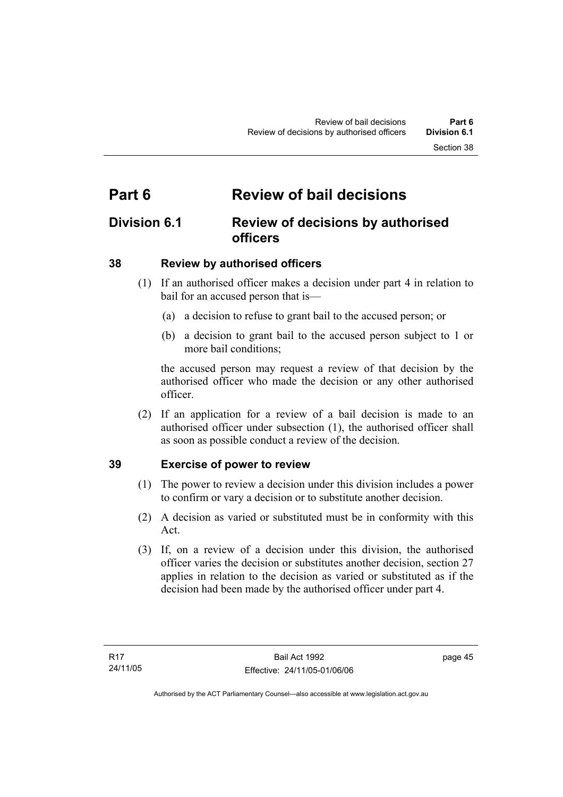# **Part 6 Review of bail decisions**

## **Division 6.1 Review of decisions by authorised officers**

## **38 Review by authorised officers**

- (1) If an authorised officer makes a decision under part 4 in relation to bail for an accused person that is—
	- (a) a decision to refuse to grant bail to the accused person; or
	- (b) a decision to grant bail to the accused person subject to 1 or more bail conditions;

the accused person may request a review of that decision by the authorised officer who made the decision or any other authorised officer.

 (2) If an application for a review of a bail decision is made to an authorised officer under subsection (1), the authorised officer shall as soon as possible conduct a review of the decision.

## **39 Exercise of power to review**

- (1) The power to review a decision under this division includes a power to confirm or vary a decision or to substitute another decision.
- (2) A decision as varied or substituted must be in conformity with this Act.
- (3) If, on a review of a decision under this division, the authorised officer varies the decision or substitutes another decision, section 27 applies in relation to the decision as varied or substituted as if the decision had been made by the authorised officer under part 4.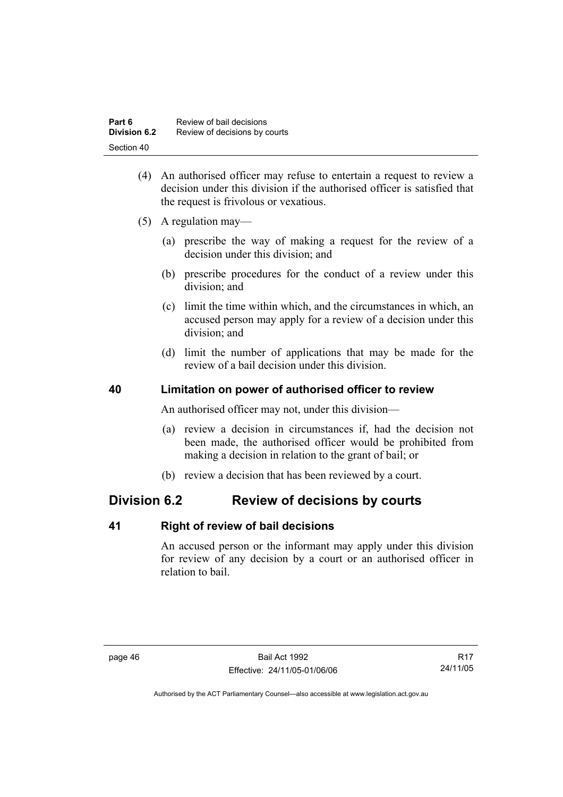| Part 6              | Review of bail decisions      |
|---------------------|-------------------------------|
| <b>Division 6.2</b> | Review of decisions by courts |
| Section 40          |                               |

- (4) An authorised officer may refuse to entertain a request to review a decision under this division if the authorised officer is satisfied that the request is frivolous or vexatious.
- (5) A regulation may—
	- (a) prescribe the way of making a request for the review of a decision under this division; and
	- (b) prescribe procedures for the conduct of a review under this division; and
	- (c) limit the time within which, and the circumstances in which, an accused person may apply for a review of a decision under this division; and
	- (d) limit the number of applications that may be made for the review of a bail decision under this division.

## **40 Limitation on power of authorised officer to review**

An authorised officer may not, under this division—

- (a) review a decision in circumstances if, had the decision not been made, the authorised officer would be prohibited from making a decision in relation to the grant of bail; or
- (b) review a decision that has been reviewed by a court.

## **Division 6.2 Review of decisions by courts**

#### **41 Right of review of bail decisions**

An accused person or the informant may apply under this division for review of any decision by a court or an authorised officer in relation to bail.

R17 24/11/05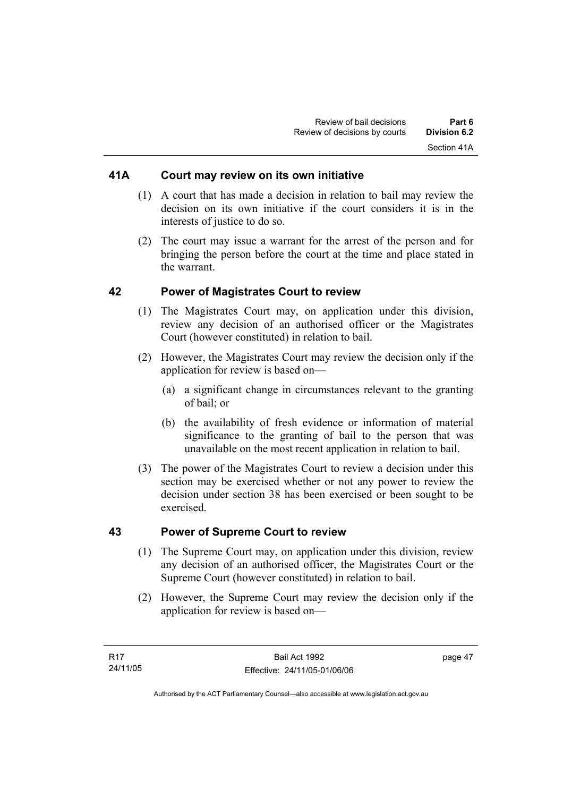#### **41A Court may review on its own initiative**

- (1) A court that has made a decision in relation to bail may review the decision on its own initiative if the court considers it is in the interests of justice to do so.
- (2) The court may issue a warrant for the arrest of the person and for bringing the person before the court at the time and place stated in the warrant.

#### **42 Power of Magistrates Court to review**

- (1) The Magistrates Court may, on application under this division, review any decision of an authorised officer or the Magistrates Court (however constituted) in relation to bail.
- (2) However, the Magistrates Court may review the decision only if the application for review is based on—
	- (a) a significant change in circumstances relevant to the granting of bail; or
	- (b) the availability of fresh evidence or information of material significance to the granting of bail to the person that was unavailable on the most recent application in relation to bail.
- (3) The power of the Magistrates Court to review a decision under this section may be exercised whether or not any power to review the decision under section 38 has been exercised or been sought to be exercised.

#### **43 Power of Supreme Court to review**

- (1) The Supreme Court may, on application under this division, review any decision of an authorised officer, the Magistrates Court or the Supreme Court (however constituted) in relation to bail.
- (2) However, the Supreme Court may review the decision only if the application for review is based on—

page 47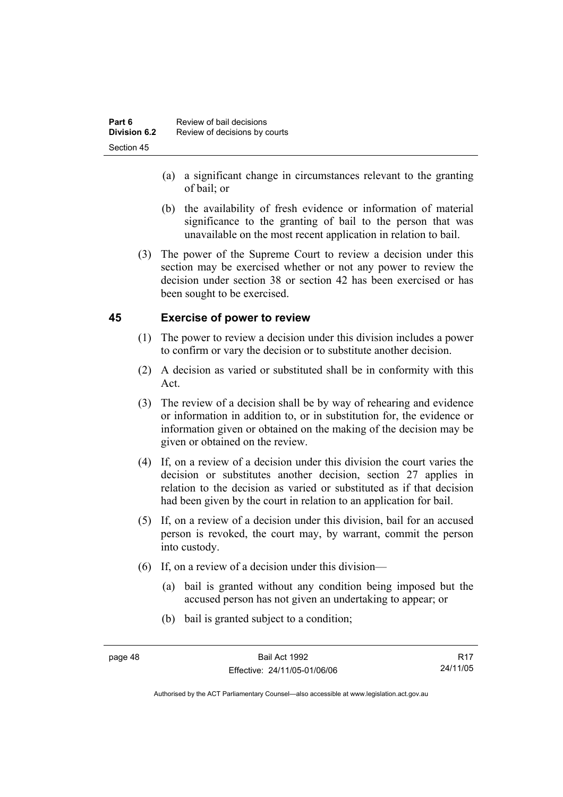- (a) a significant change in circumstances relevant to the granting of bail; or
- (b) the availability of fresh evidence or information of material significance to the granting of bail to the person that was unavailable on the most recent application in relation to bail.
- (3) The power of the Supreme Court to review a decision under this section may be exercised whether or not any power to review the decision under section 38 or section 42 has been exercised or has been sought to be exercised.

## **45 Exercise of power to review**

- (1) The power to review a decision under this division includes a power to confirm or vary the decision or to substitute another decision.
- (2) A decision as varied or substituted shall be in conformity with this Act.
- (3) The review of a decision shall be by way of rehearing and evidence or information in addition to, or in substitution for, the evidence or information given or obtained on the making of the decision may be given or obtained on the review.
- (4) If, on a review of a decision under this division the court varies the decision or substitutes another decision, section 27 applies in relation to the decision as varied or substituted as if that decision had been given by the court in relation to an application for bail.
- (5) If, on a review of a decision under this division, bail for an accused person is revoked, the court may, by warrant, commit the person into custody.
- (6) If, on a review of a decision under this division—
	- (a) bail is granted without any condition being imposed but the accused person has not given an undertaking to appear; or
	- (b) bail is granted subject to a condition;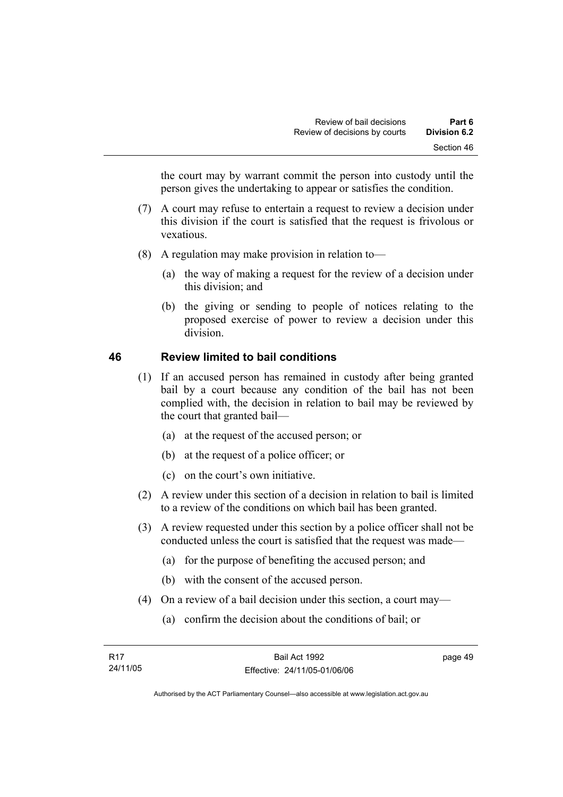the court may by warrant commit the person into custody until the person gives the undertaking to appear or satisfies the condition.

- (7) A court may refuse to entertain a request to review a decision under this division if the court is satisfied that the request is frivolous or vexatious.
- (8) A regulation may make provision in relation to—
	- (a) the way of making a request for the review of a decision under this division; and
	- (b) the giving or sending to people of notices relating to the proposed exercise of power to review a decision under this division.

## **46 Review limited to bail conditions**

- (1) If an accused person has remained in custody after being granted bail by a court because any condition of the bail has not been complied with, the decision in relation to bail may be reviewed by the court that granted bail—
	- (a) at the request of the accused person; or
	- (b) at the request of a police officer; or
	- (c) on the court's own initiative.
- (2) A review under this section of a decision in relation to bail is limited to a review of the conditions on which bail has been granted.
- (3) A review requested under this section by a police officer shall not be conducted unless the court is satisfied that the request was made—
	- (a) for the purpose of benefiting the accused person; and
	- (b) with the consent of the accused person.
- (4) On a review of a bail decision under this section, a court may—
	- (a) confirm the decision about the conditions of bail; or

page 49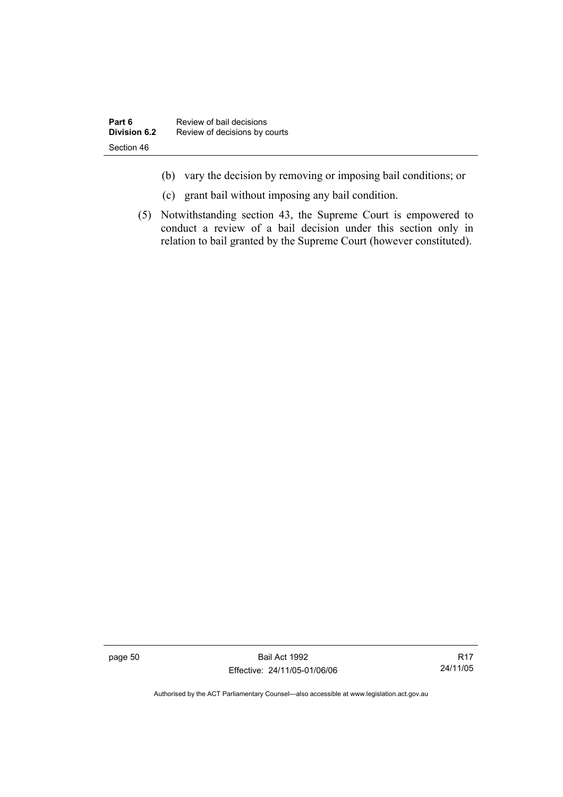- (b) vary the decision by removing or imposing bail conditions; or
- (c) grant bail without imposing any bail condition.
- (5) Notwithstanding section 43, the Supreme Court is empowered to conduct a review of a bail decision under this section only in relation to bail granted by the Supreme Court (however constituted).

page 50 Bail Act 1992 Effective: 24/11/05-01/06/06

R17 24/11/05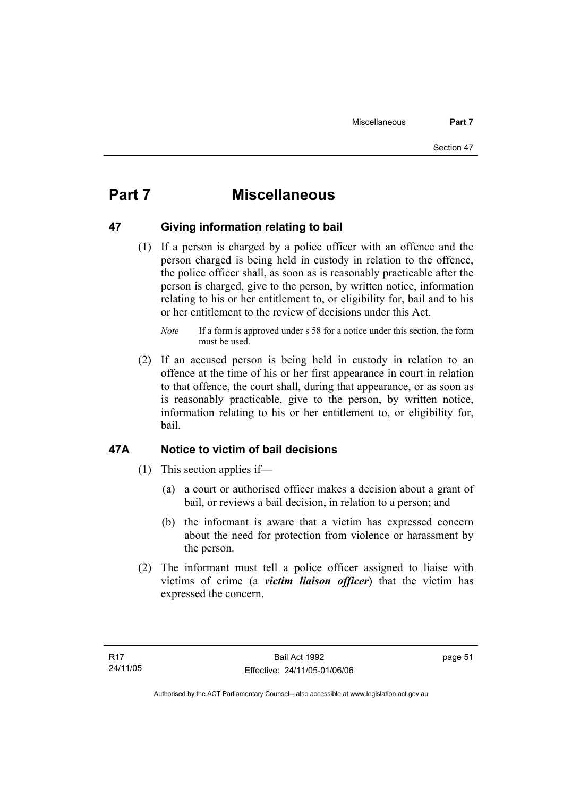# **Part 7 Miscellaneous**

## **47 Giving information relating to bail**

 (1) If a person is charged by a police officer with an offence and the person charged is being held in custody in relation to the offence, the police officer shall, as soon as is reasonably practicable after the person is charged, give to the person, by written notice, information relating to his or her entitlement to, or eligibility for, bail and to his or her entitlement to the review of decisions under this Act.

 (2) If an accused person is being held in custody in relation to an offence at the time of his or her first appearance in court in relation to that offence, the court shall, during that appearance, or as soon as is reasonably practicable, give to the person, by written notice, information relating to his or her entitlement to, or eligibility for, bail.

## **47A Notice to victim of bail decisions**

- (1) This section applies if—
	- (a) a court or authorised officer makes a decision about a grant of bail, or reviews a bail decision, in relation to a person; and
	- (b) the informant is aware that a victim has expressed concern about the need for protection from violence or harassment by the person.
- (2) The informant must tell a police officer assigned to liaise with victims of crime (a *victim liaison officer*) that the victim has expressed the concern.

page 51

*Note* If a form is approved under s 58 for a notice under this section, the form must be used.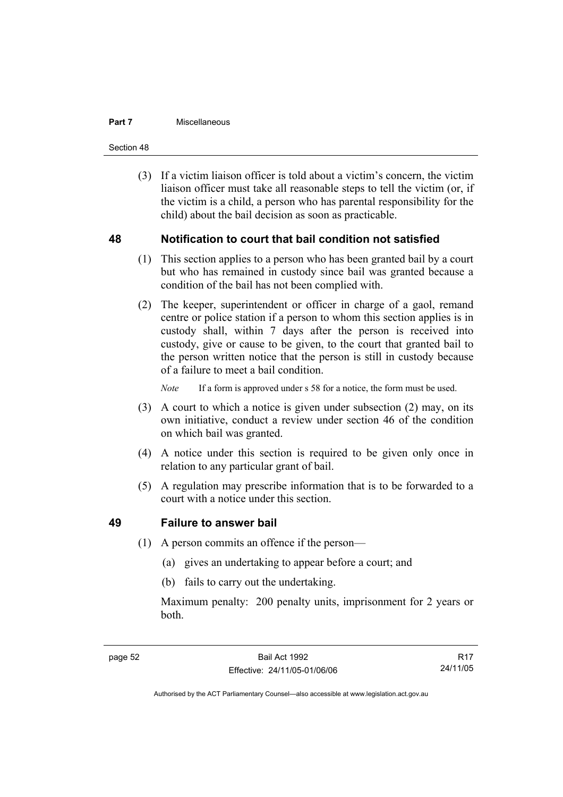#### **Part 7 Miscellaneous**

Section 48

 (3) If a victim liaison officer is told about a victim's concern, the victim liaison officer must take all reasonable steps to tell the victim (or, if the victim is a child, a person who has parental responsibility for the child) about the bail decision as soon as practicable.

#### **48 Notification to court that bail condition not satisfied**

- (1) This section applies to a person who has been granted bail by a court but who has remained in custody since bail was granted because a condition of the bail has not been complied with.
- (2) The keeper, superintendent or officer in charge of a gaol, remand centre or police station if a person to whom this section applies is in custody shall, within 7 days after the person is received into custody, give or cause to be given, to the court that granted bail to the person written notice that the person is still in custody because of a failure to meet a bail condition.

*Note* If a form is approved under s 58 for a notice, the form must be used.

- (3) A court to which a notice is given under subsection (2) may, on its own initiative, conduct a review under section 46 of the condition on which bail was granted.
- (4) A notice under this section is required to be given only once in relation to any particular grant of bail.
- (5) A regulation may prescribe information that is to be forwarded to a court with a notice under this section.

#### **49 Failure to answer bail**

- (1) A person commits an offence if the person—
	- (a) gives an undertaking to appear before a court; and
	- (b) fails to carry out the undertaking.

Maximum penalty: 200 penalty units, imprisonment for 2 years or both.

R17 24/11/05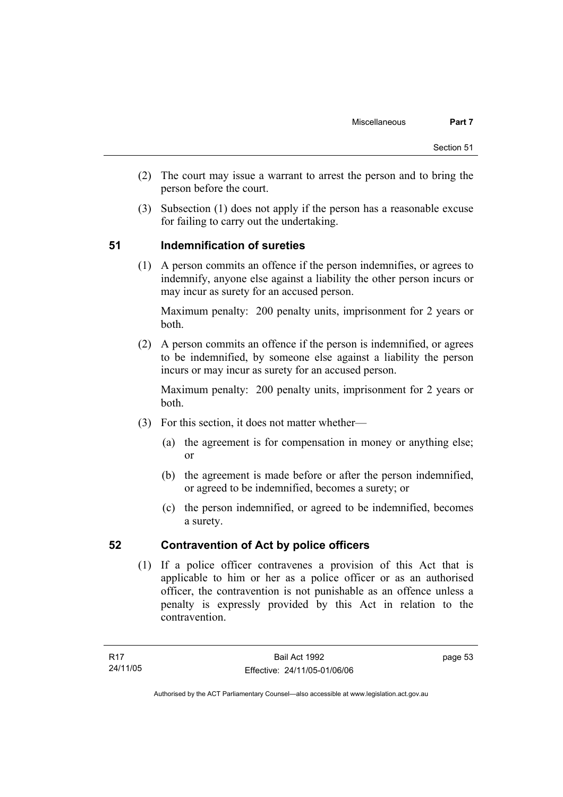- (2) The court may issue a warrant to arrest the person and to bring the person before the court.
- (3) Subsection (1) does not apply if the person has a reasonable excuse for failing to carry out the undertaking.

## **51 Indemnification of sureties**

 (1) A person commits an offence if the person indemnifies, or agrees to indemnify, anyone else against a liability the other person incurs or may incur as surety for an accused person.

Maximum penalty: 200 penalty units, imprisonment for 2 years or both.

 (2) A person commits an offence if the person is indemnified, or agrees to be indemnified, by someone else against a liability the person incurs or may incur as surety for an accused person.

Maximum penalty: 200 penalty units, imprisonment for 2 years or both.

- (3) For this section, it does not matter whether—
	- (a) the agreement is for compensation in money or anything else; or
	- (b) the agreement is made before or after the person indemnified, or agreed to be indemnified, becomes a surety; or
	- (c) the person indemnified, or agreed to be indemnified, becomes a surety.

## **52 Contravention of Act by police officers**

 (1) If a police officer contravenes a provision of this Act that is applicable to him or her as a police officer or as an authorised officer, the contravention is not punishable as an offence unless a penalty is expressly provided by this Act in relation to the contravention.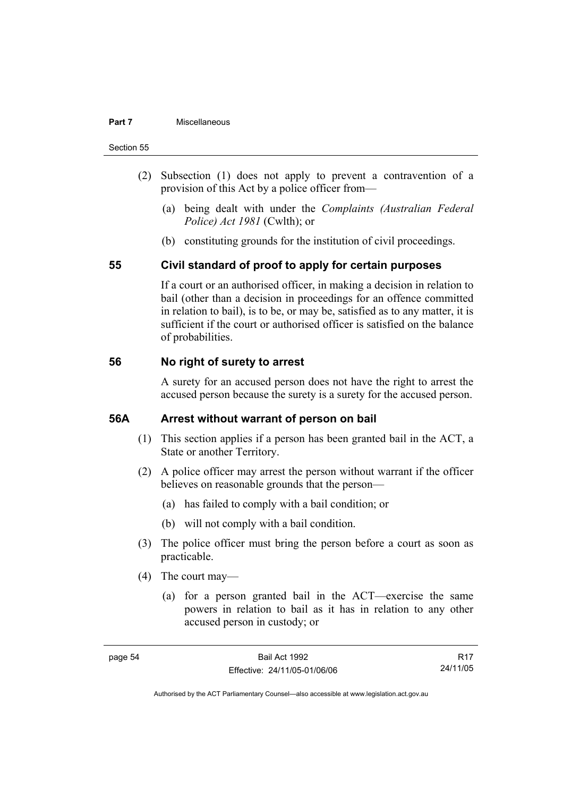#### **Part 7 Miscellaneous**

#### Section 55

- (2) Subsection (1) does not apply to prevent a contravention of a provision of this Act by a police officer from—
	- (a) being dealt with under the *Complaints (Australian Federal Police) Act 1981* (Cwlth); or
	- (b) constituting grounds for the institution of civil proceedings.

#### **55 Civil standard of proof to apply for certain purposes**

If a court or an authorised officer, in making a decision in relation to bail (other than a decision in proceedings for an offence committed in relation to bail), is to be, or may be, satisfied as to any matter, it is sufficient if the court or authorised officer is satisfied on the balance of probabilities.

#### **56 No right of surety to arrest**

A surety for an accused person does not have the right to arrest the accused person because the surety is a surety for the accused person.

#### **56A Arrest without warrant of person on bail**

- (1) This section applies if a person has been granted bail in the ACT, a State or another Territory.
- (2) A police officer may arrest the person without warrant if the officer believes on reasonable grounds that the person—
	- (a) has failed to comply with a bail condition; or
	- (b) will not comply with a bail condition.
- (3) The police officer must bring the person before a court as soon as practicable.
- (4) The court may—
	- (a) for a person granted bail in the ACT—exercise the same powers in relation to bail as it has in relation to any other accused person in custody; or

R17 24/11/05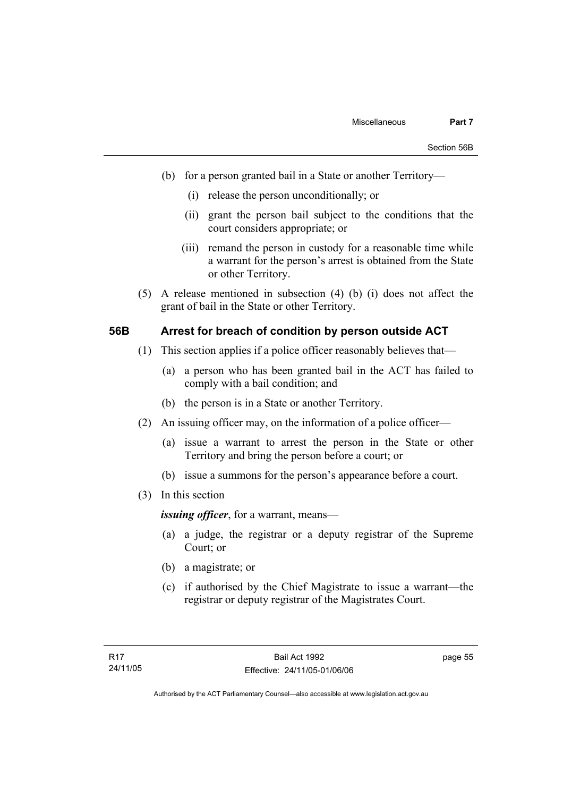- (b) for a person granted bail in a State or another Territory—
	- (i) release the person unconditionally; or
	- (ii) grant the person bail subject to the conditions that the court considers appropriate; or
	- (iii) remand the person in custody for a reasonable time while a warrant for the person's arrest is obtained from the State or other Territory.
- (5) A release mentioned in subsection (4) (b) (i) does not affect the grant of bail in the State or other Territory.

#### **56B Arrest for breach of condition by person outside ACT**

- (1) This section applies if a police officer reasonably believes that—
	- (a) a person who has been granted bail in the ACT has failed to comply with a bail condition; and
	- (b) the person is in a State or another Territory.
- (2) An issuing officer may, on the information of a police officer—
	- (a) issue a warrant to arrest the person in the State or other Territory and bring the person before a court; or
	- (b) issue a summons for the person's appearance before a court.
- (3) In this section

*issuing officer*, for a warrant, means—

- (a) a judge, the registrar or a deputy registrar of the Supreme Court; or
- (b) a magistrate; or
- (c) if authorised by the Chief Magistrate to issue a warrant—the registrar or deputy registrar of the Magistrates Court.

page 55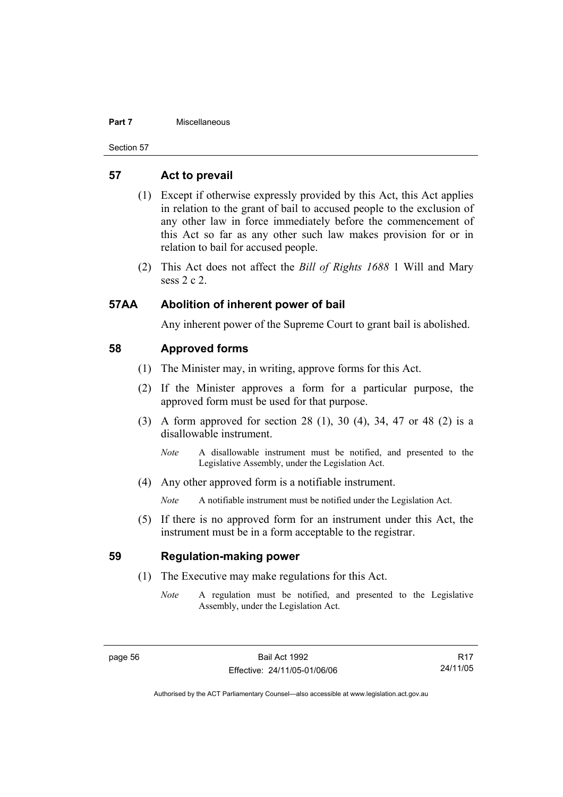#### **Part 7 Miscellaneous**

Section 57

#### **57 Act to prevail**

- (1) Except if otherwise expressly provided by this Act, this Act applies in relation to the grant of bail to accused people to the exclusion of any other law in force immediately before the commencement of this Act so far as any other such law makes provision for or in relation to bail for accused people.
- (2) This Act does not affect the *Bill of Rights 1688* 1 Will and Mary sess 2 c 2.

#### **57AA Abolition of inherent power of bail**

Any inherent power of the Supreme Court to grant bail is abolished.

#### **58 Approved forms**

- (1) The Minister may, in writing, approve forms for this Act.
- (2) If the Minister approves a form for a particular purpose, the approved form must be used for that purpose.
- (3) A form approved for section 28 (1), 30 (4), 34, 47 or 48 (2) is a disallowable instrument.
	- *Note* A disallowable instrument must be notified, and presented to the Legislative Assembly, under the Legislation Act.
- (4) Any other approved form is a notifiable instrument.

*Note* A notifiable instrument must be notified under the Legislation Act.

 (5) If there is no approved form for an instrument under this Act, the instrument must be in a form acceptable to the registrar.

#### **59 Regulation-making power**

- (1) The Executive may make regulations for this Act.
	- *Note* A regulation must be notified, and presented to the Legislative Assembly, under the Legislation Act.

R17 24/11/05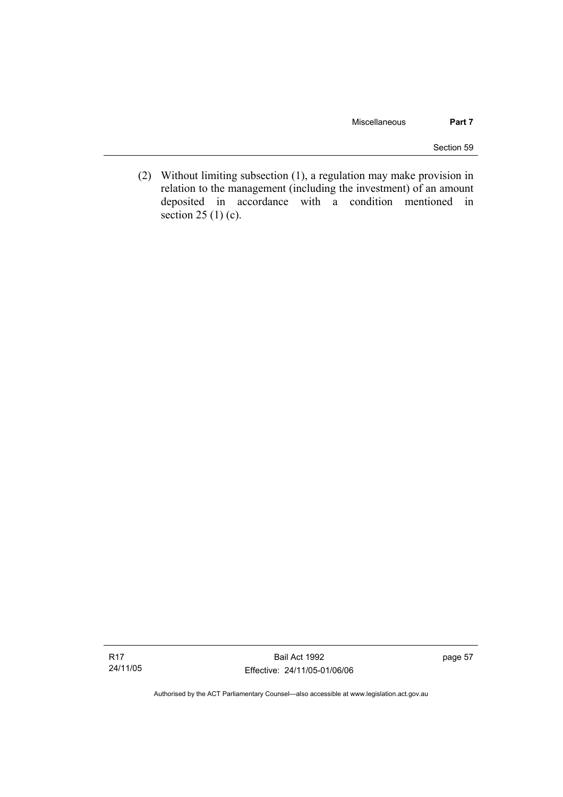Section 59

 (2) Without limiting subsection (1), a regulation may make provision in relation to the management (including the investment) of an amount deposited in accordance with a condition mentioned in section 25 (1) (c).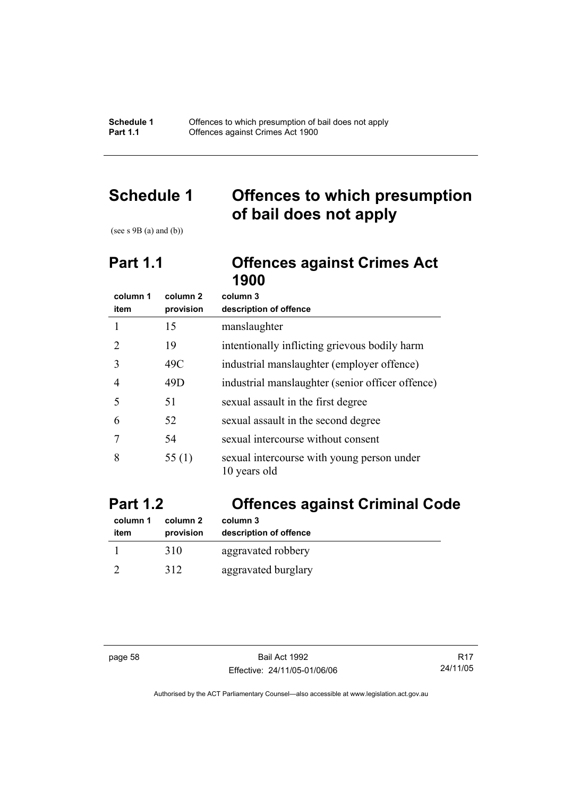**Schedule 1** Offences to which presumption of bail does not apply **Part 1.1 Compare Compare Crimes Act 1900** 

# **Schedule 1 Offences to which presumption of bail does not apply**

(see s  $9B$  (a) and (b))

# **Part 1.1 Offences against Crimes Act 1900**

| column 1                    | column 2  | column 3                                                   |
|-----------------------------|-----------|------------------------------------------------------------|
| item                        | provision | description of offence                                     |
|                             | 15        | manslaughter                                               |
| $\mathcal{D}_{\mathcal{A}}$ | 19        | intentionally inflicting grievous bodily harm              |
| 3                           | 49C       | industrial manslaughter (employer offence)                 |
| 4                           | 49D       | industrial manslaughter (senior officer offence)           |
| 5                           | 51        | sexual assault in the first degree                         |
| 6                           | 52        | sexual assault in the second degree                        |
|                             | 54        | sexual intercourse without consent                         |
| 8                           | 55(1)     | sexual intercourse with young person under<br>10 years old |

# **Part 1.2 Offences against Criminal Code**

| column 1 | column 2  | column 3               |
|----------|-----------|------------------------|
| item     | provision | description of offence |
|          | 310       | aggravated robbery     |
|          | 312       | aggravated burglary    |

page 58 Bail Act 1992 Effective: 24/11/05-01/06/06

R17 24/11/05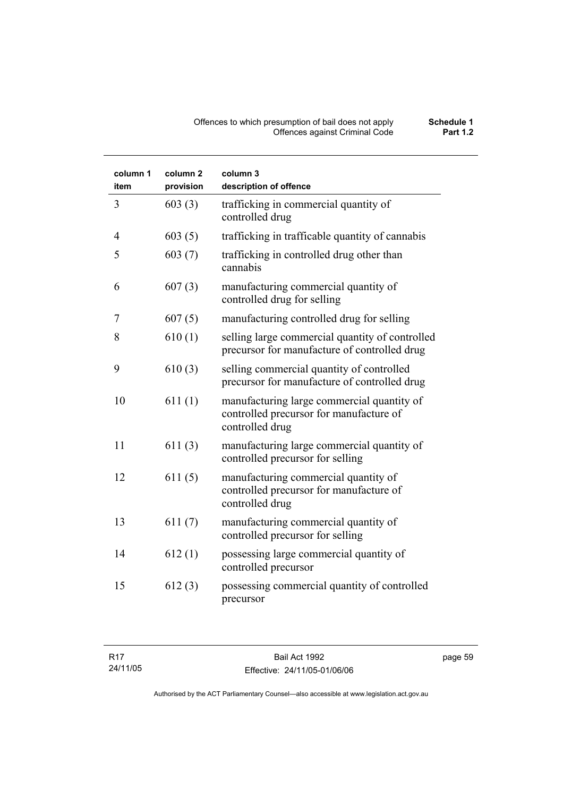#### Offences to which presumption of bail does not apply **Schedule 1** Offences against Criminal Code **Part 1.2**

| column 1<br>item | column 2<br>provision | column 3<br>description of offence                                                                       |
|------------------|-----------------------|----------------------------------------------------------------------------------------------------------|
| 3                | 603(3)                | trafficking in commercial quantity of<br>controlled drug                                                 |
| 4                | 603(5)                | trafficking in trafficable quantity of cannabis                                                          |
| 5                | 603(7)                | trafficking in controlled drug other than<br>cannabis                                                    |
| 6                | 607(3)                | manufacturing commercial quantity of<br>controlled drug for selling                                      |
| 7                | 607(5)                | manufacturing controlled drug for selling                                                                |
| 8                | 610(1)                | selling large commercial quantity of controlled<br>precursor for manufacture of controlled drug          |
| 9                | 610(3)                | selling commercial quantity of controlled<br>precursor for manufacture of controlled drug                |
| 10               | 611(1)                | manufacturing large commercial quantity of<br>controlled precursor for manufacture of<br>controlled drug |
| 11               | 611(3)                | manufacturing large commercial quantity of<br>controlled precursor for selling                           |
| 12               | 611(5)                | manufacturing commercial quantity of<br>controlled precursor for manufacture of<br>controlled drug       |
| 13               | 611(7)                | manufacturing commercial quantity of<br>controlled precursor for selling                                 |
| 14               | 612(1)                | possessing large commercial quantity of<br>controlled precursor                                          |
| 15               | 612(3)                | possessing commercial quantity of controlled<br>precursor                                                |

page 59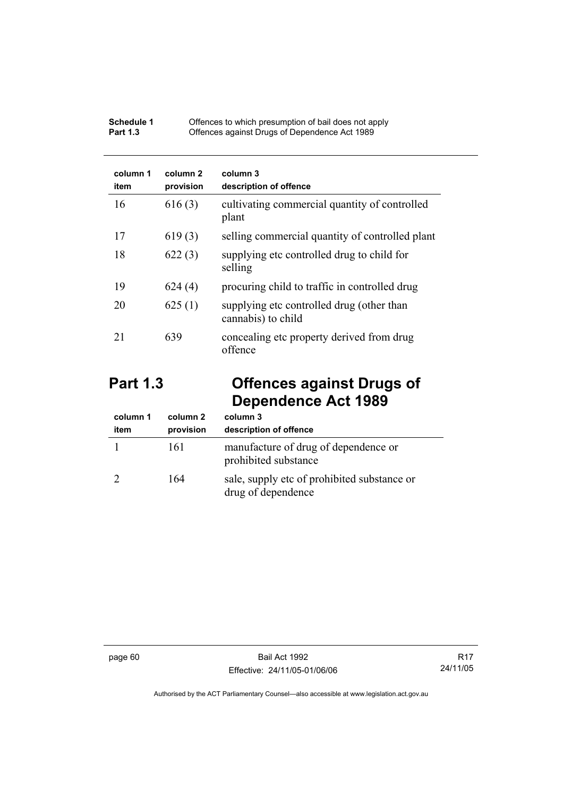| Schedule 1      | Offences to which presumption of bail does not apply |
|-----------------|------------------------------------------------------|
| <b>Part 1.3</b> | Offences against Drugs of Dependence Act 1989        |

| column 1<br>item | column 2<br>provision | column 3<br>description of offence                              |
|------------------|-----------------------|-----------------------------------------------------------------|
| 16               | 616(3)                | cultivating commercial quantity of controlled<br>plant          |
| 17               | 619(3)                | selling commercial quantity of controlled plant                 |
| 18               | 622(3)                | supplying etc controlled drug to child for<br>selling           |
| 19               | 624(4)                | procuring child to traffic in controlled drug                   |
| 20               | 625(1)                | supplying etc controlled drug (other than<br>cannabis) to child |
| 21               | 639                   | concealing etc property derived from drug<br>offence            |

# **Part 1.3 Offences against Drugs of Dependence Act 1989**

| column 1<br>item | column 2<br>provision | column 3<br>description of offence                                |
|------------------|-----------------------|-------------------------------------------------------------------|
|                  | 161                   | manufacture of drug of dependence or<br>prohibited substance      |
|                  | 164                   | sale, supply etc of prohibited substance or<br>drug of dependence |

page 60 Bail Act 1992 Effective: 24/11/05-01/06/06

R17 24/11/05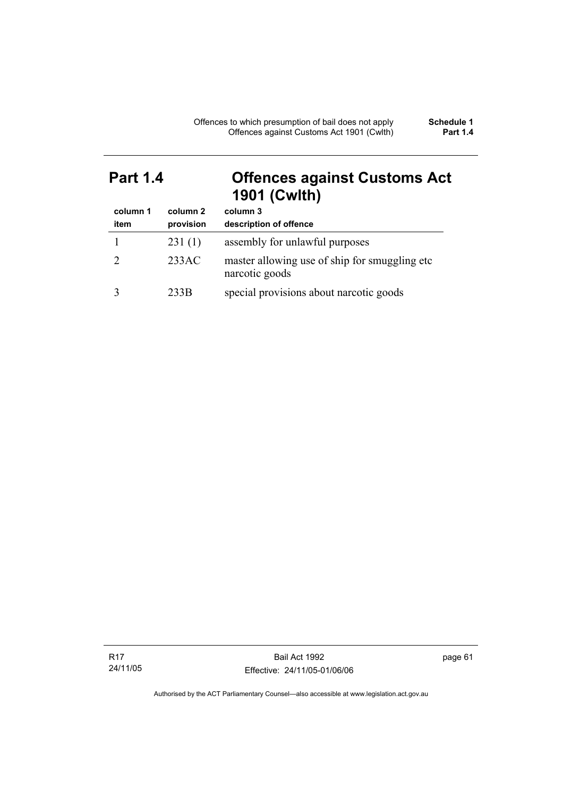# **Part 1.4 Offences against Customs Act 1901 (Cwlth)**

| column 1<br>item | column 2<br>provision | column 3<br>description of offence                              |
|------------------|-----------------------|-----------------------------------------------------------------|
|                  | 231(1)                | assembly for unlawful purposes                                  |
|                  | 233AC                 | master allowing use of ship for smuggling etc<br>narcotic goods |
|                  | 233B                  | special provisions about narcotic goods                         |

R17 24/11/05 page 61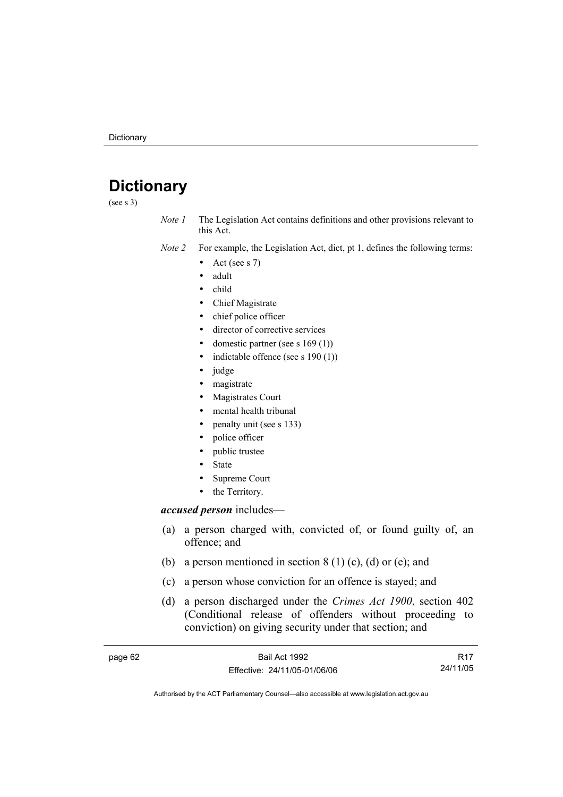# **Dictionary**

(see s 3)

*Note 1* The Legislation Act contains definitions and other provisions relevant to this Act.

*Note 2* For example, the Legislation Act, dict, pt 1, defines the following terms:

- Act (see s  $7$ )
- adult
- child
- Chief Magistrate
- chief police officer
- director of corrective services
- domestic partner (see s  $169(1)$ )
- indictable offence (see s  $190(1)$ )
- judge
- magistrate
- Magistrates Court
- mental health tribunal
- penalty unit (see s 133)
- police officer
- public trustee
- **State**
- Supreme Court
- the Territory.

#### *accused person* includes—

- (a) a person charged with, convicted of, or found guilty of, an offence; and
- (b) a person mentioned in section  $8(1)(c)$ , (d) or (e); and
- (c) a person whose conviction for an offence is stayed; and
- (d) a person discharged under the *Crimes Act 1900*, section 402 (Conditional release of offenders without proceeding to conviction) on giving security under that section; and

| page 62 | Bail Act 1992                | R <sub>17</sub> |
|---------|------------------------------|-----------------|
|         | Effective: 24/11/05-01/06/06 | 24/11/05        |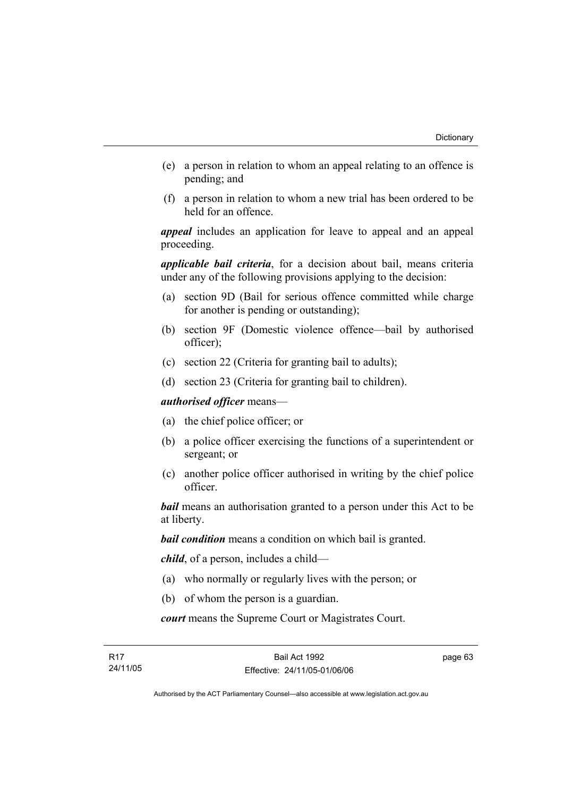- (e) a person in relation to whom an appeal relating to an offence is pending; and
- (f) a person in relation to whom a new trial has been ordered to be held for an offence.

*appeal* includes an application for leave to appeal and an appeal proceeding.

*applicable bail criteria*, for a decision about bail, means criteria under any of the following provisions applying to the decision:

- (a) section 9D (Bail for serious offence committed while charge for another is pending or outstanding);
- (b) section 9F (Domestic violence offence—bail by authorised officer);
- (c) section 22 (Criteria for granting bail to adults);
- (d) section 23 (Criteria for granting bail to children).

*authorised officer* means—

- (a) the chief police officer; or
- (b) a police officer exercising the functions of a superintendent or sergeant; or
- (c) another police officer authorised in writing by the chief police officer.

*bail* means an authorisation granted to a person under this Act to be at liberty.

*bail condition* means a condition on which bail is granted.

*child*, of a person, includes a child—

- (a) who normally or regularly lives with the person; or
- (b) of whom the person is a guardian.

*court* means the Supreme Court or Magistrates Court.

page 63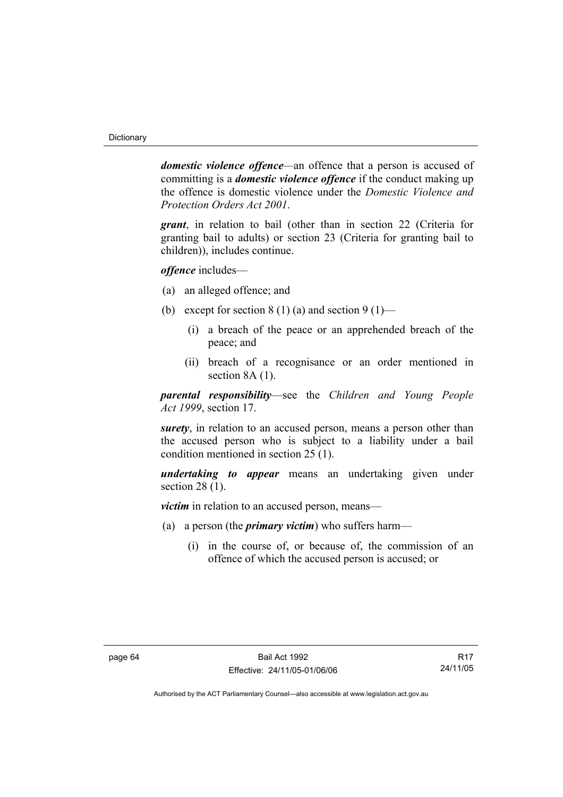*domestic violence offence—*an offence that a person is accused of committing is a *domestic violence offence* if the conduct making up the offence is domestic violence under the *Domestic Violence and Protection Orders Act 2001*.

*grant*, in relation to bail (other than in section 22 (Criteria for granting bail to adults) or section 23 (Criteria for granting bail to children)), includes continue.

*offence* includes—

- (a) an alleged offence; and
- (b) except for section 8 (1) (a) and section 9 (1)—
	- (i) a breach of the peace or an apprehended breach of the peace; and
	- (ii) breach of a recognisance or an order mentioned in section 8A  $(1)$ .

*parental responsibility*—see the *Children and Young People Act 1999*, section 17.

*surety*, in relation to an accused person, means a person other than the accused person who is subject to a liability under a bail condition mentioned in section 25 (1).

*undertaking to appear* means an undertaking given under section 28 (1).

*victim* in relation to an accused person, means—

- (a) a person (the *primary victim*) who suffers harm—
	- (i) in the course of, or because of, the commission of an offence of which the accused person is accused; or

R17 24/11/05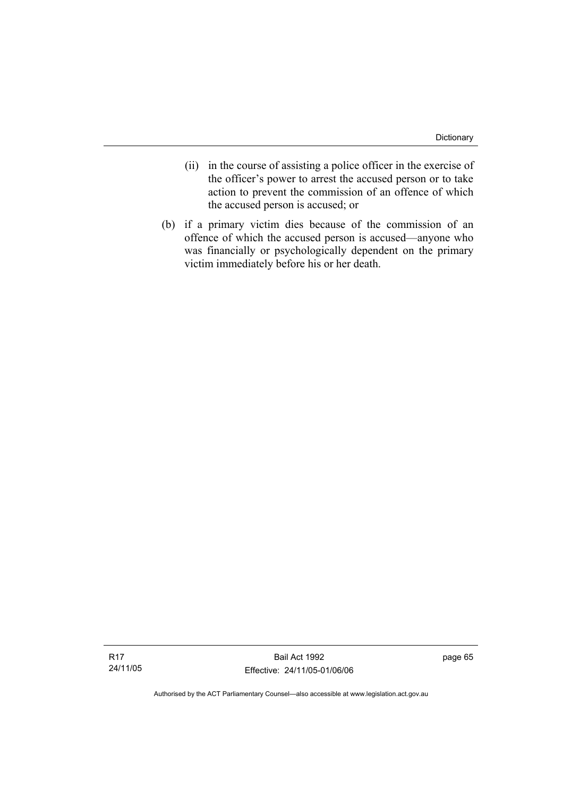- (ii) in the course of assisting a police officer in the exercise of the officer's power to arrest the accused person or to take action to prevent the commission of an offence of which the accused person is accused; or
- (b) if a primary victim dies because of the commission of an offence of which the accused person is accused—anyone who was financially or psychologically dependent on the primary victim immediately before his or her death.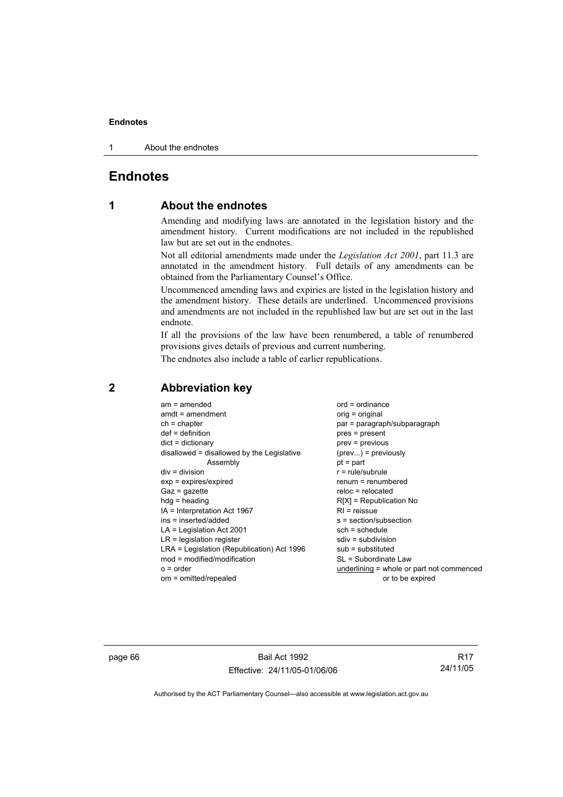#### **Endnotes**

1 About the endnotes

#### **Endnotes**

## **1 About the endnotes**

Amending and modifying laws are annotated in the legislation history and the amendment history. Current modifications are not included in the republished law but are set out in the endnotes.

Not all editorial amendments made under the *Legislation Act 2001*, part 11.3 are annotated in the amendment history. Full details of any amendments can be obtained from the Parliamentary Counsel's Office.

Uncommenced amending laws and expiries are listed in the legislation history and the amendment history. These details are underlined. Uncommenced provisions and amendments are not included in the republished law but are set out in the last endnote.

If all the provisions of the law have been renumbered, a table of renumbered provisions gives details of previous and current numbering.

The endnotes also include a table of earlier republications.

| $am = amended$                             | $ord = ordinance$                         |
|--------------------------------------------|-------------------------------------------|
| $amdt = amendment$                         | $orig = original$                         |
| $ch = chapter$                             | par = paragraph/subparagraph              |
| $def = definition$                         | $pres = present$                          |
| $dict = dictionary$                        | $prev = previous$                         |
| disallowed = disallowed by the Legislative | $(\text{prev}) = \text{previously}$       |
| Assembly                                   | $pt = part$                               |
| $div = division$                           | $r = rule/subrule$                        |
| $exp = expires/expired$                    | renum = renumbered                        |
| $Gaz = gazette$                            | $reloc = relocated$                       |
| $hdg =$ heading                            | $R[X]$ = Republication No                 |
| $IA = Interpretation Act 1967$             | $RI =$ reissue                            |
| ins = inserted/added                       | $s = section/subsection$                  |
| $LA =$ Legislation Act 2001                | $sch = schedule$                          |
| $LR =$ legislation register                | sdiv = subdivision                        |
| LRA = Legislation (Republication) Act 1996 | $sub =$ substituted                       |
| $mod = modified/modification$              | SL = Subordinate Law                      |
| $o = order$                                | underlining = whole or part not commenced |
| om = omitted/repealed                      | or to be expired                          |
|                                            |                                           |

#### **2 Abbreviation key**

page 66 Bail Act 1992 Effective: 24/11/05-01/06/06

R17 24/11/05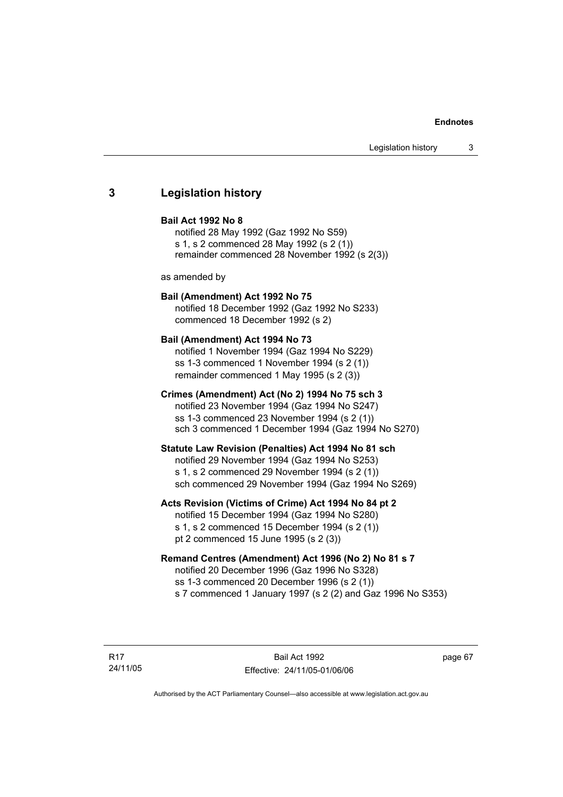# **3 Legislation history**

#### **Bail Act 1992 No 8**

notified 28 May 1992 (Gaz 1992 No S59) s 1, s 2 commenced 28 May 1992 (s 2 (1)) remainder commenced 28 November 1992 (s 2(3))

as amended by

# **Bail (Amendment) Act 1992 No 75**

notified 18 December 1992 (Gaz 1992 No S233) commenced 18 December 1992 (s 2)

### **Bail (Amendment) Act 1994 No 73**

notified 1 November 1994 (Gaz 1994 No S229) ss 1-3 commenced 1 November 1994 (s 2 (1)) remainder commenced 1 May 1995 (s 2 (3))

# **Crimes (Amendment) Act (No 2) 1994 No 75 sch 3**

notified 23 November 1994 (Gaz 1994 No S247) ss 1-3 commenced 23 November 1994 (s 2 (1)) sch 3 commenced 1 December 1994 (Gaz 1994 No S270)

### **Statute Law Revision (Penalties) Act 1994 No 81 sch**

notified 29 November 1994 (Gaz 1994 No S253) s 1, s 2 commenced 29 November 1994 (s 2 (1)) sch commenced 29 November 1994 (Gaz 1994 No S269)

# **Acts Revision (Victims of Crime) Act 1994 No 84 pt 2**

notified 15 December 1994 (Gaz 1994 No S280) s 1, s 2 commenced 15 December 1994 (s 2 (1)) pt 2 commenced 15 June 1995 (s 2 (3))

# **Remand Centres (Amendment) Act 1996 (No 2) No 81 s 7**

notified 20 December 1996 (Gaz 1996 No S328) ss 1-3 commenced 20 December 1996 (s 2 (1)) s 7 commenced 1 January 1997 (s 2 (2) and Gaz 1996 No S353)

R17 24/11/05 page 67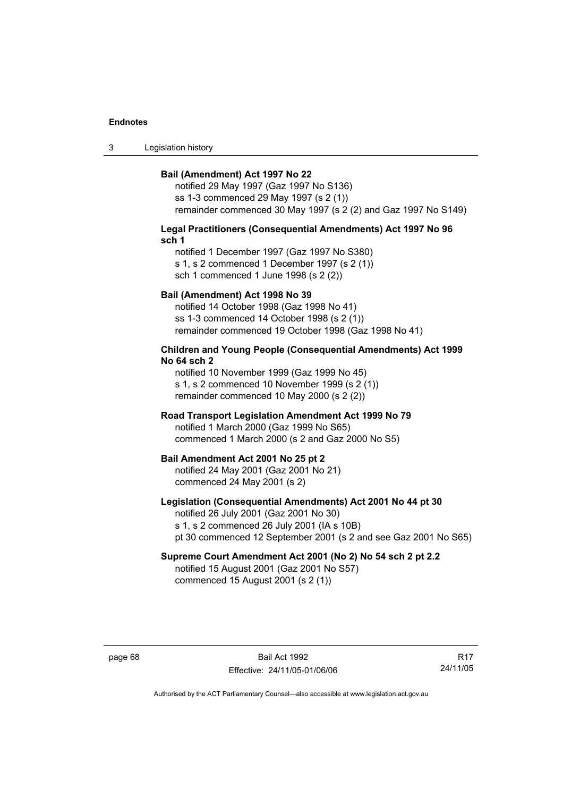3 Legislation history

### **Bail (Amendment) Act 1997 No 22**

notified 29 May 1997 (Gaz 1997 No S136) ss 1-3 commenced 29 May 1997 (s 2 (1)) remainder commenced 30 May 1997 (s 2 (2) and Gaz 1997 No S149)

#### **Legal Practitioners (Consequential Amendments) Act 1997 No 96 sch 1**

notified 1 December 1997 (Gaz 1997 No S380) s 1, s 2 commenced 1 December 1997 (s 2 (1)) sch 1 commenced 1 June 1998 (s 2 (2))

# **Bail (Amendment) Act 1998 No 39**

notified 14 October 1998 (Gaz 1998 No 41) ss 1-3 commenced 14 October 1998 (s 2 (1)) remainder commenced 19 October 1998 (Gaz 1998 No 41)

# **Children and Young People (Consequential Amendments) Act 1999 No 64 sch 2**

notified 10 November 1999 (Gaz 1999 No 45) s 1, s 2 commenced 10 November 1999 (s 2 (1)) remainder commenced 10 May 2000 (s 2 (2))

# **Road Transport Legislation Amendment Act 1999 No 79**

notified 1 March 2000 (Gaz 1999 No S65) commenced 1 March 2000 (s 2 and Gaz 2000 No S5)

#### **Bail Amendment Act 2001 No 25 pt 2**

notified 24 May 2001 (Gaz 2001 No 21) commenced 24 May 2001 (s 2)

# **Legislation (Consequential Amendments) Act 2001 No 44 pt 30**

notified 26 July 2001 (Gaz 2001 No 30) s 1, s 2 commenced 26 July 2001 (IA s 10B) pt 30 commenced 12 September 2001 (s 2 and see Gaz 2001 No S65)

# **Supreme Court Amendment Act 2001 (No 2) No 54 sch 2 pt 2.2**

notified 15 August 2001 (Gaz 2001 No S57) commenced 15 August 2001 (s 2 (1))

page 68 Bail Act 1992 Effective: 24/11/05-01/06/06

R17 24/11/05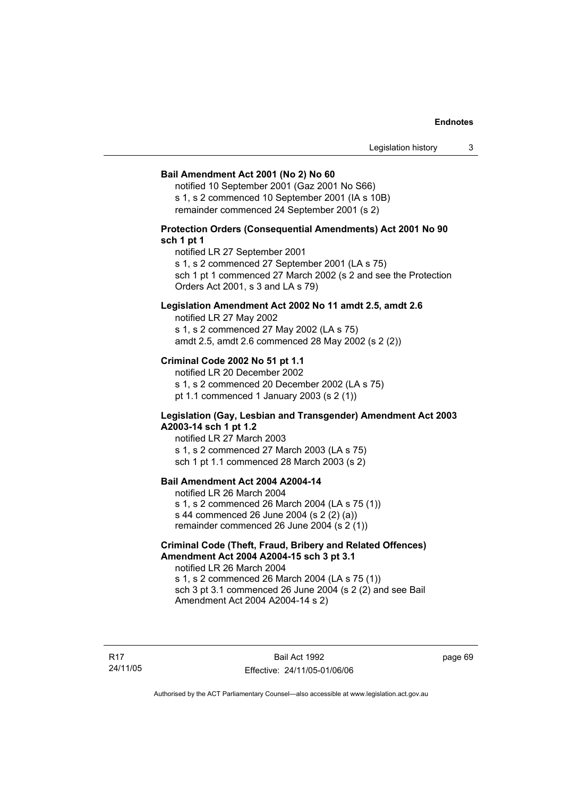### **Bail Amendment Act 2001 (No 2) No 60**

notified 10 September 2001 (Gaz 2001 No S66) s 1, s 2 commenced 10 September 2001 (IA s 10B) remainder commenced 24 September 2001 (s 2)

# **Protection Orders (Consequential Amendments) Act 2001 No 90 sch 1 pt 1**

notified LR 27 September 2001

s 1, s 2 commenced 27 September 2001 (LA s 75)

sch 1 pt 1 commenced 27 March 2002 (s 2 and see the Protection Orders Act 2001, s 3 and LA s 79)

# **Legislation Amendment Act 2002 No 11 amdt 2.5, amdt 2.6**

notified LR 27 May 2002 s 1, s 2 commenced 27 May 2002 (LA s 75) amdt 2.5, amdt 2.6 commenced 28 May 2002 (s 2 (2))

# **Criminal Code 2002 No 51 pt 1.1**

notified LR 20 December 2002 s 1, s 2 commenced 20 December 2002 (LA s 75) pt 1.1 commenced 1 January 2003 (s 2 (1))

### **Legislation (Gay, Lesbian and Transgender) Amendment Act 2003 A2003-14 sch 1 pt 1.2**

notified LR 27 March 2003 s 1, s 2 commenced 27 March 2003 (LA s 75) sch 1 pt 1.1 commenced 28 March 2003 (s 2)

# **Bail Amendment Act 2004 A2004-14**

notified LR 26 March 2004 s 1, s 2 commenced 26 March 2004 (LA s 75 (1)) s 44 commenced 26 June 2004 (s 2 (2) (a)) remainder commenced 26 June 2004 (s 2 (1))

# **Criminal Code (Theft, Fraud, Bribery and Related Offences) Amendment Act 2004 A2004-15 sch 3 pt 3.1**

notified LR 26 March 2004 s 1, s 2 commenced 26 March 2004 (LA s 75 (1)) sch 3 pt 3.1 commenced 26 June 2004 (s 2 (2) and see Bail Amendment Act 2004 A2004-14 s 2)

R17 24/11/05 page 69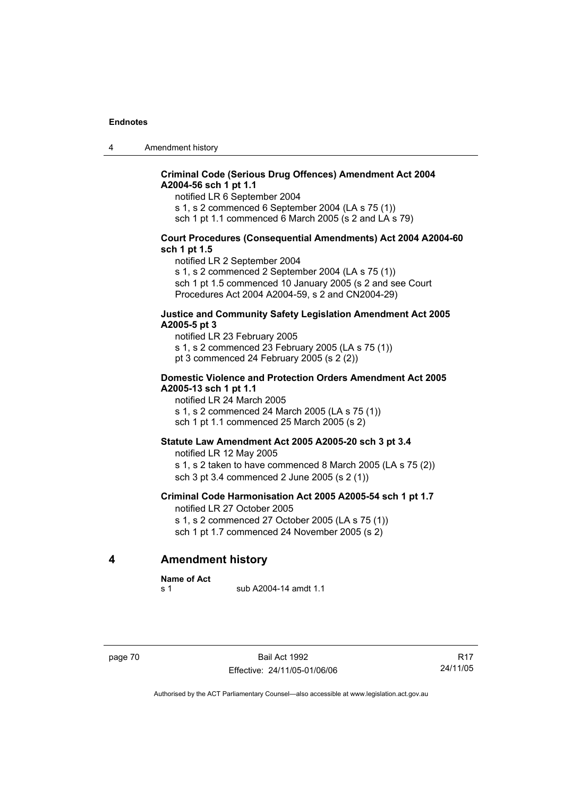4 Amendment history

# **Criminal Code (Serious Drug Offences) Amendment Act 2004 A2004-56 sch 1 pt 1.1**

notified LR 6 September 2004

s 1, s 2 commenced 6 September 2004 (LA s 75 (1))

sch 1 pt 1.1 commenced 6 March 2005 (s 2 and LA s 79)

# **Court Procedures (Consequential Amendments) Act 2004 A2004-60 sch 1 pt 1.5**

notified LR 2 September 2004

s 1, s 2 commenced 2 September 2004 (LA s 75 (1)) sch 1 pt 1.5 commenced 10 January 2005 (s 2 and see Court Procedures Act 2004 A2004-59, s 2 and CN2004-29)

# **Justice and Community Safety Legislation Amendment Act 2005 A2005-5 pt 3**

notified LR 23 February 2005 s 1, s 2 commenced 23 February 2005 (LA s 75 (1)) pt 3 commenced 24 February 2005 (s 2 (2))

# **Domestic Violence and Protection Orders Amendment Act 2005 A2005-13 sch 1 pt 1.1**

notified LR 24 March 2005 s 1, s 2 commenced 24 March 2005 (LA s 75 (1)) sch 1 pt 1.1 commenced 25 March 2005 (s 2)

### **Statute Law Amendment Act 2005 A2005-20 sch 3 pt 3.4**

notified LR 12 May 2005 s 1, s 2 taken to have commenced 8 March 2005 (LA s 75 (2)) sch 3 pt 3.4 commenced 2 June 2005 (s 2 (1))

# **Criminal Code Harmonisation Act 2005 A2005-54 sch 1 pt 1.7**  notified LR 27 October 2005

s 1, s 2 commenced 27 October 2005 (LA s 75 (1)) sch 1 pt 1.7 commenced 24 November 2005 (s 2)

**4 Amendment history** 

**Name of Act** 

s 1 sub A2004-14 amdt 1.1

page 70 Bail Act 1992 Effective: 24/11/05-01/06/06

R17 24/11/05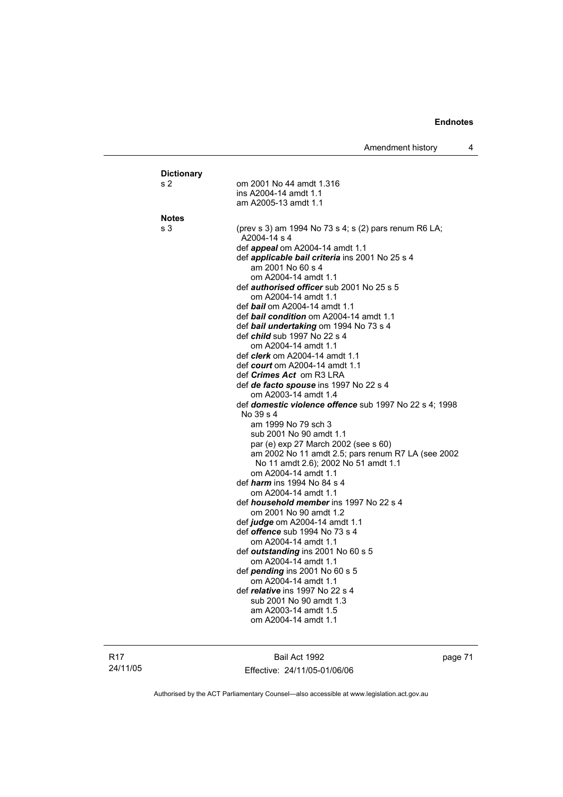| <b>Dictionary</b><br>s 2 | om 2001 No 44 amdt 1.316                                                                   |
|--------------------------|--------------------------------------------------------------------------------------------|
|                          | ins A2004-14 amdt 1.1                                                                      |
|                          | am A2005-13 amdt 1.1                                                                       |
| <b>Notes</b>             |                                                                                            |
| s <sub>3</sub>           | (prev s 3) am 1994 No 73 s 4; s (2) pars renum R6 LA;                                      |
|                          | A2004-14 s 4                                                                               |
|                          | def appeal om A2004-14 amdt 1.1                                                            |
|                          | def applicable bail criteria ins 2001 No 25 s 4                                            |
|                          | am 2001 No 60 s 4                                                                          |
|                          | om A2004-14 amdt 1.1                                                                       |
|                          | def <i>authorised officer</i> sub 2001 No 25 s 5<br>om A2004-14 amdt 1.1                   |
|                          | def <b>bail</b> om A2004-14 amdt 1.1                                                       |
|                          | def <b>bail condition</b> om A2004-14 amdt 1.1                                             |
|                          | def bail undertaking om 1994 No 73 s 4                                                     |
|                          | def <i>child</i> sub 1997 No 22 s 4                                                        |
|                          | om A2004-14 amdt 1.1                                                                       |
|                          | def <i>clerk</i> om A2004-14 amdt 1.1                                                      |
|                          | def <i>court</i> om A2004-14 amdt 1.1<br>def <i>Crimes Act</i> om R3 LRA                   |
|                          | def de facto spouse ins 1997 No 22 s 4                                                     |
|                          | om A2003-14 amdt 1.4                                                                       |
|                          | def domestic violence offence sub 1997 No 22 s 4; 1998                                     |
|                          | No 39 s 4                                                                                  |
|                          | am 1999 No 79 sch 3                                                                        |
|                          | sub 2001 No 90 amdt 1.1                                                                    |
|                          | par (e) exp 27 March 2002 (see s 60)<br>am 2002 No 11 amdt 2.5; pars renum R7 LA (see 2002 |
|                          | No 11 amdt 2.6); 2002 No 51 amdt 1.1                                                       |
|                          | om A2004-14 amdt 1.1                                                                       |
|                          | def <i>harm</i> ins 1994 No 84 s 4                                                         |
|                          | om A2004-14 amdt 1.1                                                                       |
|                          | def <i>household member</i> ins 1997 No 22 s 4                                             |
|                          | om 2001 No 90 amdt 1.2                                                                     |
|                          | def <i>judge</i> om A2004-14 amdt 1.1<br>def <i>offence</i> sub 1994 No 73 s 4             |
|                          | om A2004-14 amdt 1.1                                                                       |
|                          | def outstanding ins 2001 No 60 s 5                                                         |
|                          | om A2004-14 amdt 1.1                                                                       |
|                          | def pending ins 2001 No 60 s 5                                                             |
|                          | om A2004-14 amdt 1.1                                                                       |
|                          | def <i>relative</i> ins 1997 No 22 s 4                                                     |
|                          | sub 2001 No 90 amdt 1.3<br>am A2003-14 amdt 1.5                                            |
|                          | om A2004-14 amdt 1.1                                                                       |
|                          |                                                                                            |

Bail Act 1992 Effective: 24/11/05-01/06/06 page 71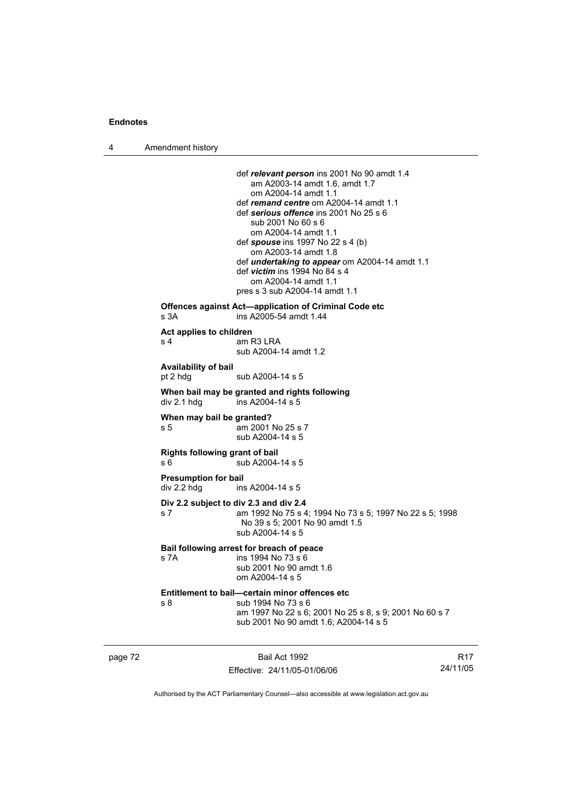4 Amendment history

|                                  | def relevant person ins 2001 No 90 amdt 1.4                                     |
|----------------------------------|---------------------------------------------------------------------------------|
|                                  | am A2003-14 amdt 1.6, amdt 1.7<br>om A2004-14 amdt 1.1                          |
|                                  | def remand centre om A2004-14 amdt 1.1                                          |
|                                  | def serious offence ins 2001 No 25 s 6                                          |
|                                  | sub 2001 No 60 s 6                                                              |
|                                  | om A2004-14 amdt 1.1                                                            |
|                                  | def <b>spouse</b> ins 1997 No 22 s 4 (b)<br>om A2003-14 amdt 1.8                |
|                                  | def <i>undertaking to appear</i> om A2004-14 amdt 1.1                           |
|                                  | def victim ins 1994 No 84 s 4                                                   |
|                                  | om A2004-14 amdt 1.1                                                            |
|                                  | pres s 3 sub A2004-14 amdt 1.1                                                  |
| s 3A                             | Offences against Act-application of Criminal Code etc<br>ins A2005-54 amdt 1.44 |
| Act applies to children          |                                                                                 |
| s 4                              | am R3 LRA                                                                       |
|                                  | sub A2004-14 amdt 1.2                                                           |
| Availability of bail             |                                                                                 |
| pt 2 hdg                         | sub A2004-14 s 5                                                                |
|                                  | When bail may be granted and rights following                                   |
| div 2.1 hdg                      | ins A2004-14 s 5                                                                |
|                                  |                                                                                 |
| When may bail be granted?<br>s 5 | am 2001 No 25 s 7                                                               |
|                                  | sub A2004-14 s 5                                                                |
| Rights following grant of bail   |                                                                                 |
| s 6                              | sub A2004-14 s 5                                                                |
| <b>Presumption for bail</b>      |                                                                                 |
| div 2.2 hdg                      | ins A2004-14 s 5                                                                |
|                                  | Div 2.2 subject to div 2.3 and div 2.4                                          |
| s 7                              | am 1992 No 75 s 4; 1994 No 73 s 5; 1997 No 22 s 5; 1998                         |
|                                  | No 39 s 5; 2001 No 90 amdt 1.5                                                  |
|                                  | sub A2004-14 s 5                                                                |
|                                  | Bail following arrest for breach of peace                                       |
| s 7A                             | ins 1994 No 73 s 6                                                              |
|                                  | sub 2001 No 90 amdt 1.6<br>om A2004-14 s 5                                      |
|                                  |                                                                                 |
| s 8                              | Entitlement to bail—certain minor offences etc<br>sub 1994 No 73 s 6            |
|                                  | am 1997 No 22 s 6; 2001 No 25 s 8, s 9; 2001 No 60 s 7                          |
|                                  | sub 2001 No 90 amdt 1.6; A2004-14 s 5                                           |

page 72 Bail Act 1992 Effective: 24/11/05-01/06/06

R17 24/11/05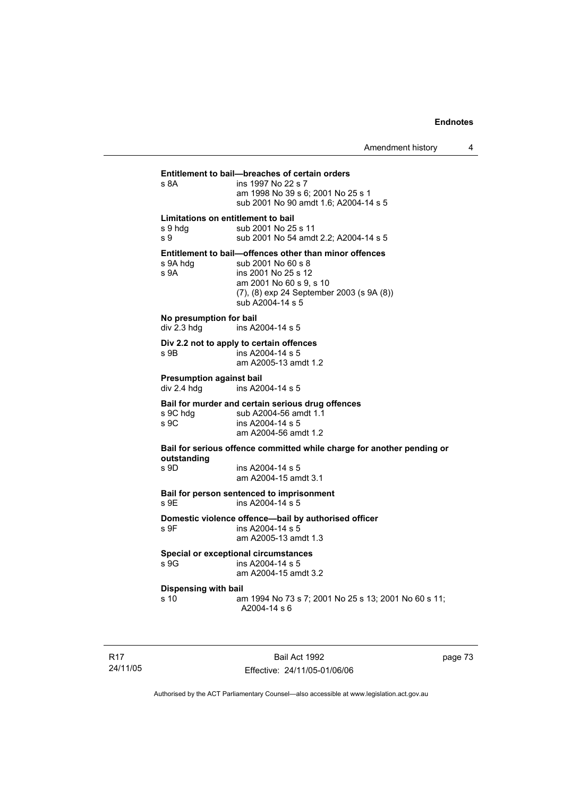# **Entitlement to bail—breaches of certain orders** ins 1997 No 22 s 7 am 1998 No 39 s 6; 2001 No 25 s 1 sub 2001 No 90 amdt 1.6; A2004-14 s 5 **Limitations on entitlement to bail**  s 9 hdg sub 2001 No 25 s 11 s 9 sub 2001 No 54 amdt 2.2; A2004-14 s 5 **Entitlement to bail—offences other than minor offences**  s 9A hdg sub 2001 No 60 s 8 s 9A ins 2001 No 25 s 12 am 2001 No 60 s 9, s 10 (7), (8) exp 24 September 2003 (s 9A (8)) sub A2004-14 s 5 **No presumption for bail**  ins A2004-14 s 5 **Div 2.2 not to apply to certain offences**  s 9B ins A2004-14 s 5 am A2005-13 amdt 1.2 **Presumption against bail<br>div 2.4 hdd** ins A20 ins A2004-14 s 5 **Bail for murder and certain serious drug offences**  s 9C hdg sub A2004-56 amdt 1.1<br>s 9C ins A2004-14 s 5  $ins A2004-14 s 5$  am A2004-56 amdt 1.2 **Bail for serious offence committed while charge for another pending or outstanding**  s 9D ins A2004-14 s 5 am A2004-15 amdt 3.1 **Bail for person sentenced to imprisonment**   $ins$  A2004-14 s 5 **Domestic violence offence—bail by authorised officer**  s 9F ins A2004-14 s 5 am A2005-13 amdt 1.3 **Special or exceptional circumstances**  ins A2004-14 s 5 am A2004-15 amdt 3.2 **Dispensing with bail**<br>s 10 ar am 1994 No 73 s 7; 2001 No 25 s 13; 2001 No 60 s 11; A2004-14 s 6

R17 24/11/05

Bail Act 1992 Effective: 24/11/05-01/06/06 page 73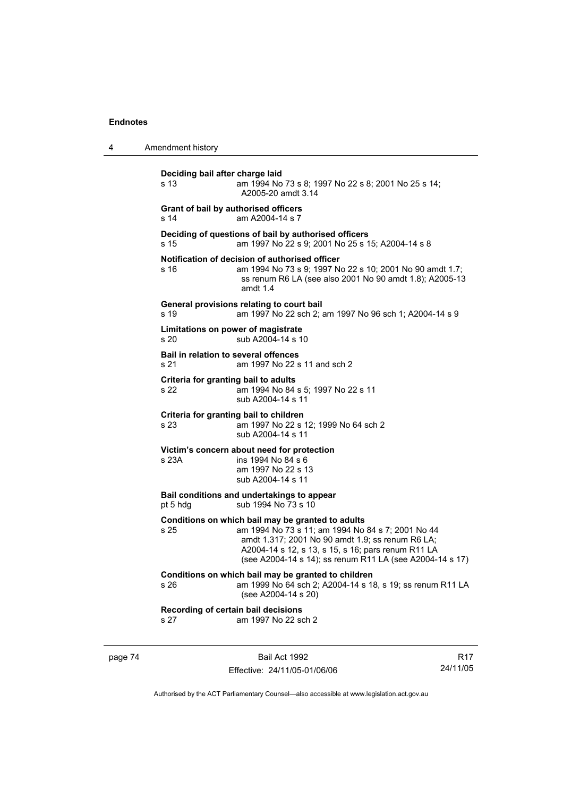4 Amendment history **Deciding bail after charge laid** s 13 am 1994 No 73 s 8; 1997 No 22 s 8; 2001 No 25 s 14; A2005-20 amdt 3.14 **Grant of bail by authorised officers**  s 14 am A2004-14 s 7 **Deciding of questions of bail by authorised officers** s 15 am 1997 No 22 s 9; 2001 No 25 s 15; A2004-14 s 8 **Notification of decision of authorised officer** s 16 am 1994 No 73 s 9; 1997 No 22 s 10; 2001 No 90 amdt 1.7; ss renum R6 LA (see also 2001 No 90 amdt 1.8); A2005-13 amdt 1.4 **General provisions relating to court bail** s 19 am 1997 No 22 sch 2; am 1997 No 96 sch 1; A2004-14 s 9 **Limitations on power of magistrate**  s 20 sub A2004-14 s 10 **Bail in relation to several offences** s 21 am 1997 No 22 s 11 and sch 2 **Criteria for granting bail to adults** s 22 am 1994 No 84 s 5; 1997 No 22 s 11 sub A2004-14 s 11 **Criteria for granting bail to children** s 23 am 1997 No 22 s 12; 1999 No 64 sch 2 sub A2004-14 s 11 **Victim's concern about need for protection**<br>s 23A ins 1994 No 84 s 6  $ins$  1994 No 84 s 6 am 1997 No 22 s 13 sub A2004-14 s 11 **Bail conditions and undertakings to appear** pt 5 hdg sub 1994 No 73 s 10 **Conditions on which bail may be granted to adults** s 25 am 1994 No 73 s 11; am 1994 No 84 s 7; 2001 No 44 amdt 1.317; 2001 No 90 amdt 1.9; ss renum R6 LA; A2004-14 s 12, s 13, s 15, s 16; pars renum R11 LA (see A2004-14 s 14); ss renum R11 LA (see A2004-14 s 17) **Conditions on which bail may be granted to children** s 26 am 1999 No 64 sch 2; A2004-14 s 18, s 19; ss renum R11 LA (see A2004-14 s 20) **Recording of certain bail decisions** s 27 am 1997 No 22 sch 2

page 74 Bail Act 1992 Effective: 24/11/05-01/06/06

R17 24/11/05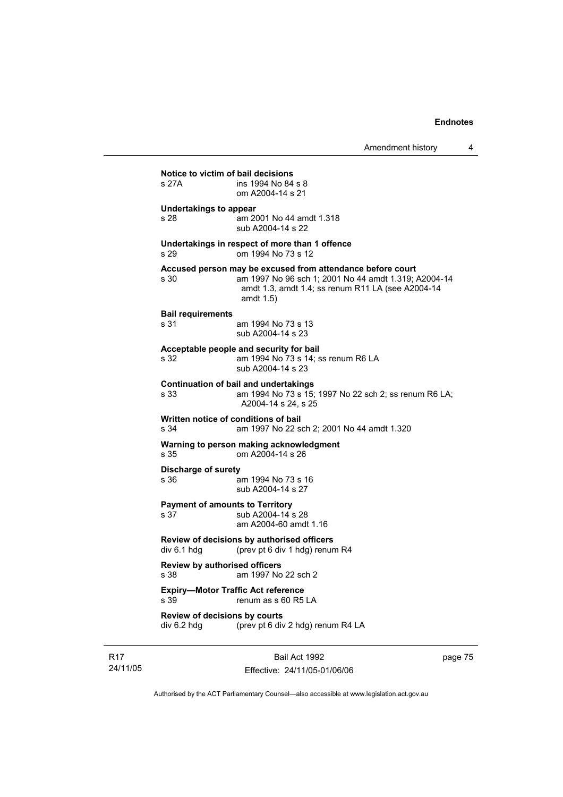| s 27A                                        | ins 1994 No 84 s 8<br>om A2004-14 s 21                                                                                                                                                  |
|----------------------------------------------|-----------------------------------------------------------------------------------------------------------------------------------------------------------------------------------------|
| <b>Undertakings to appear</b><br>s 28        | am 2001 No 44 amdt 1.318<br>sub A2004-14 s 22                                                                                                                                           |
| s 29                                         | Undertakings in respect of more than 1 offence<br>om 1994 No 73 s 12                                                                                                                    |
| s 30                                         | Accused person may be excused from attendance before court<br>am 1997 No 96 sch 1; 2001 No 44 amdt 1.319; A2004-14<br>amdt 1.3, amdt 1.4; ss renum R11 LA (see A2004-14<br>amdt $1.5$ ) |
| <b>Bail requirements</b><br>s 31             | am 1994 No 73 s 13<br>sub A2004-14 s 23                                                                                                                                                 |
| s 32                                         | Acceptable people and security for bail<br>am 1994 No 73 s 14; ss renum R6 LA<br>sub A2004-14 s 23                                                                                      |
| s 33                                         | <b>Continuation of bail and undertakings</b><br>am 1994 No 73 s 15; 1997 No 22 sch 2; ss renum R6 LA;<br>A2004-14 s 24, s 25                                                            |
| s 34                                         | Written notice of conditions of bail<br>am 1997 No 22 sch 2; 2001 No 44 amdt 1.320                                                                                                      |
| s 35                                         | Warning to person making acknowledgment<br>om A2004-14 s 26                                                                                                                             |
| Discharge of surety<br>s 36                  | am 1994 No 73 s 16<br>sub A2004-14 s 27                                                                                                                                                 |
| s 37                                         | <b>Payment of amounts to Territory</b><br>sub A2004-14 s 28<br>am A2004-60 amdt 1.16                                                                                                    |
| div 6.1 hdg                                  | Review of decisions by authorised officers<br>(prev pt 6 div 1 hdg) renum R4                                                                                                            |
| <b>Review by authorised officers</b><br>s 38 | am 1997 No 22 sch 2                                                                                                                                                                     |
| s 39                                         | <b>Expiry-Motor Traffic Act reference</b><br>renum as s 60 R5 LA                                                                                                                        |
| Review of decisions by courts<br>div 6.2 hdg | (prev pt 6 div 2 hdg) renum R4 LA                                                                                                                                                       |

R17 24/11/05

Bail Act 1992 Effective: 24/11/05-01/06/06 page 75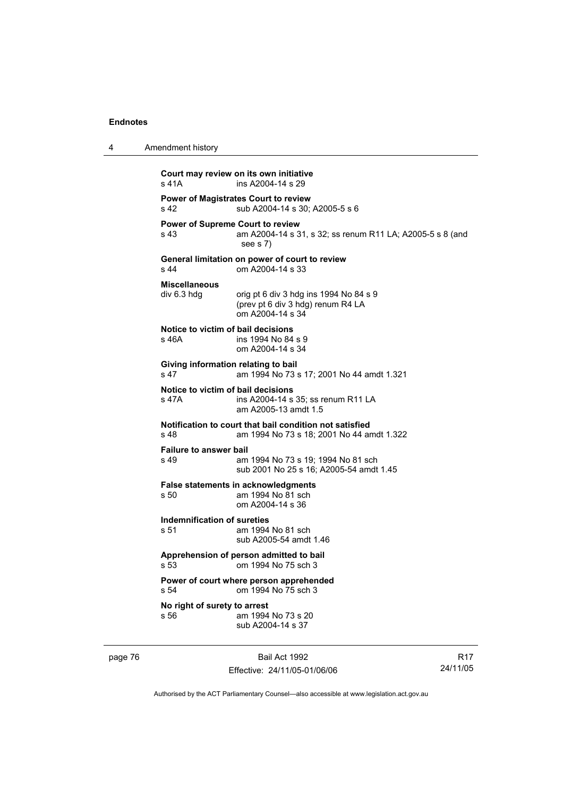| Amendment history                               |                                                                                                      |
|-------------------------------------------------|------------------------------------------------------------------------------------------------------|
| s 41A                                           | Court may review on its own initiative<br>ins A2004-14 s 29                                          |
| s 42                                            | <b>Power of Magistrates Court to review</b><br>sub A2004-14 s 30; A2005-5 s 6                        |
| <b>Power of Supreme Court to review</b><br>s 43 | am A2004-14 s 31, s 32; ss renum R11 LA; A2005-5 s 8 (and<br>see $s$ 7)                              |
| s 44                                            | General limitation on power of court to review<br>om A2004-14 s 33                                   |
| <b>Miscellaneous</b><br>div 6.3 hdg             | orig pt 6 div 3 hdg ins 1994 No 84 s 9<br>(prev pt 6 div 3 hdg) renum R4 LA<br>om A2004-14 s 34      |
| Notice to victim of bail decisions<br>s 46A     | ins 1994 No 84 s 9<br>om A2004-14 s 34                                                               |
| Giving information relating to bail<br>s 47     | am 1994 No 73 s 17; 2001 No 44 amdt 1.321                                                            |
| Notice to victim of bail decisions<br>s 47A     | ins A2004-14 s 35; ss renum R11 LA<br>am A2005-13 amdt 1.5                                           |
| s 48                                            | Notification to court that bail condition not satisfied<br>am 1994 No 73 s 18; 2001 No 44 amdt 1.322 |
| <b>Failure to answer bail</b><br>s 49           | am 1994 No 73 s 19; 1994 No 81 sch<br>sub 2001 No 25 s 16; A2005-54 amdt 1.45                        |
| s 50                                            | False statements in acknowledgments<br>am 1994 No 81 sch<br>om A2004-14 s 36                         |
| Indemnification of sureties<br>s 51             | am 1994 No 81 sch<br>sub A2005-54 amdt 1.46                                                          |
|                                                 | Apprehension of person admitted to bail<br>s 53 cm 1994 No 75 sch 3                                  |
| s 54                                            | Power of court where person apprehended<br>om 1994 No 75 sch 3                                       |
| No right of surety to arrest<br>s 56            | am 1994 No 73 s 20<br>sub A2004-14 s 37                                                              |
|                                                 |                                                                                                      |

page 76 Bail Act 1992 Effective: 24/11/05-01/06/06

R17 24/11/05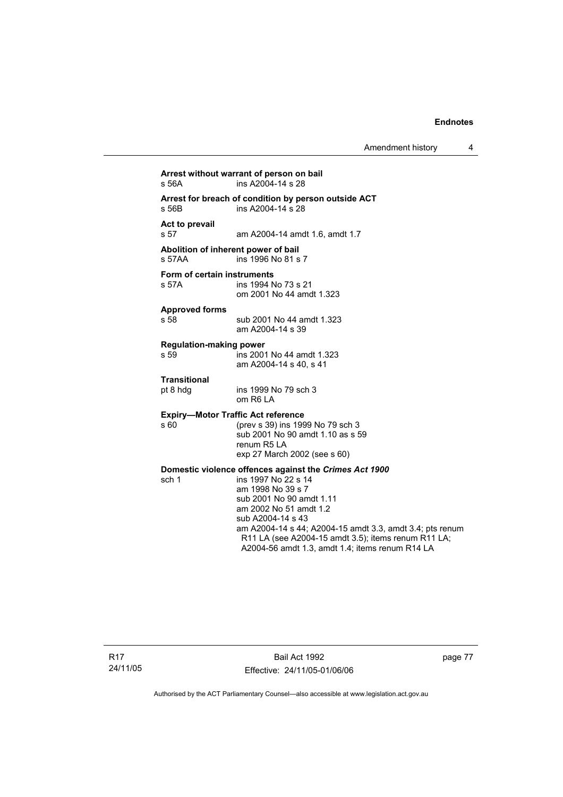| s 56A                                         | Arrest without warrant of person on bail<br>ins A2004-14 s 28                                                                                                                                                                                                                                                                                       |
|-----------------------------------------------|-----------------------------------------------------------------------------------------------------------------------------------------------------------------------------------------------------------------------------------------------------------------------------------------------------------------------------------------------------|
| s 56B                                         | Arrest for breach of condition by person outside ACT<br>ins A2004-14 s 28                                                                                                                                                                                                                                                                           |
| Act to prevail<br>s 57                        | am A2004-14 amdt 1.6, amdt 1.7                                                                                                                                                                                                                                                                                                                      |
| Abolition of inherent power of bail<br>s 57AA | ins 1996 No 81 s 7                                                                                                                                                                                                                                                                                                                                  |
| Form of certain instruments<br>s 57A          | ins 1994 No 73 s 21<br>om 2001 No 44 amdt 1.323                                                                                                                                                                                                                                                                                                     |
| <b>Approved forms</b><br>s 58                 | sub 2001 No 44 amdt 1.323<br>am A2004-14 s 39                                                                                                                                                                                                                                                                                                       |
| <b>Regulation-making power</b><br>s 59        | ins 2001 No 44 amdt 1.323<br>am A2004-14 s 40, s 41                                                                                                                                                                                                                                                                                                 |
| <b>Transitional</b><br>pt 8 hdg               | ins 1999 No 79 sch 3<br>om R6 LA                                                                                                                                                                                                                                                                                                                    |
| s 60                                          | <b>Expiry-Motor Traffic Act reference</b><br>(prev s 39) ins 1999 No 79 sch 3<br>sub 2001 No 90 amdt 1.10 as s 59<br>renum R5 LA<br>exp 27 March 2002 (see s 60)                                                                                                                                                                                    |
| sch 1                                         | Domestic violence offences against the Crimes Act 1900<br>ins 1997 No 22 s 14<br>am 1998 No 39 s 7<br>sub 2001 No 90 amdt 1.11<br>am 2002 No 51 amdt 1.2<br>sub A2004-14 s 43<br>am A2004-14 s 44; A2004-15 amdt 3.3, amdt 3.4; pts renum<br>R11 LA (see A2004-15 amdt 3.5); items renum R11 LA;<br>A2004-56 amdt 1.3, amdt 1.4; items renum R14 LA |

Bail Act 1992 Effective: 24/11/05-01/06/06 page 77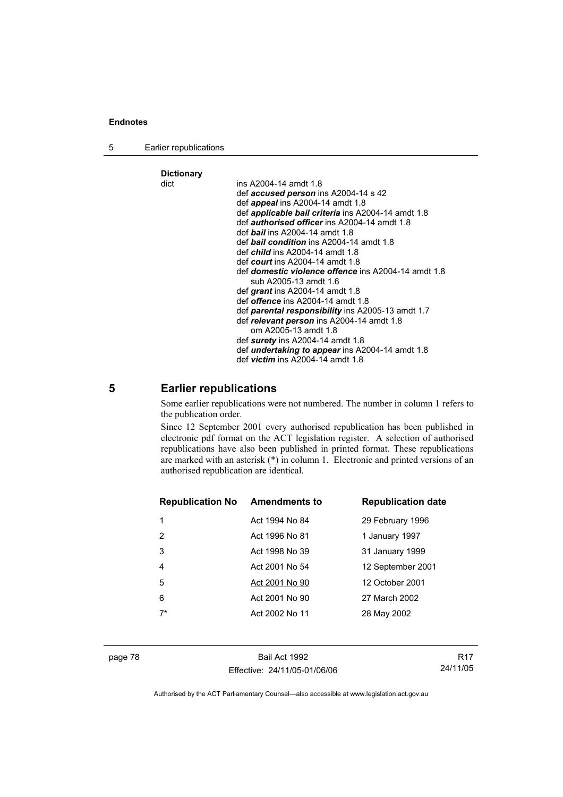5 Earlier republications

| <b>Dictionary</b> |                                                            |
|-------------------|------------------------------------------------------------|
| dict              | ins A2004-14 amdt 1.8                                      |
|                   | def accused person ins A2004-14 s 42                       |
|                   | def <i>appeal</i> ins A2004-14 amdt 1.8                    |
|                   | def <i>applicable bail criteria</i> ins A2004-14 amdt 1.8  |
|                   | def <i>authorised officer</i> ins A2004-14 amdt 1.8        |
|                   | def <b>bail</b> ins A2004-14 amdt 1.8                      |
|                   | def <b>bail condition</b> ins A2004-14 amdt 1.8            |
|                   | def <i>child</i> ins A2004-14 amdt 1.8                     |
|                   | def <i>court</i> ins A2004-14 amdt 1.8                     |
|                   | def <b>domestic violence offence</b> ins A2004-14 amdt 1.8 |
|                   | sub A2005-13 amdt 1.6                                      |
|                   | def grant ins A2004-14 amdt 1.8                            |
|                   | def <i>offence</i> ins A2004-14 amdt 1.8                   |
|                   | def parental responsibility ins A2005-13 amdt 1.7          |
|                   | def relevant person ins A2004-14 amdt 1.8                  |
|                   | om A2005-13 amdt 1.8                                       |
|                   | def surety ins $A2004-14$ amdt 1.8                         |
|                   | def <i>undertaking to appear</i> ins A2004-14 amdt 1.8     |
|                   | def <i>victim</i> ins $A2004-14$ amdt $1.8$                |

# **5 Earlier republications**

Some earlier republications were not numbered. The number in column 1 refers to the publication order.

Since 12 September 2001 every authorised republication has been published in electronic pdf format on the ACT legislation register. A selection of authorised republications have also been published in printed format. These republications are marked with an asterisk (\*) in column 1. Electronic and printed versions of an authorised republication are identical.

| <b>Republication No Amendments to</b> |                | <b>Republication date</b> |
|---------------------------------------|----------------|---------------------------|
| 1                                     | Act 1994 No 84 | 29 February 1996          |
| 2                                     | Act 1996 No 81 | 1 January 1997            |
| 3                                     | Act 1998 No 39 | 31 January 1999           |
| $\overline{4}$                        | Act 2001 No 54 | 12 September 2001         |
| 5                                     | Act 2001 No 90 | 12 October 2001           |
| 6                                     | Act 2001 No 90 | 27 March 2002             |
| $7*$                                  | Act 2002 No 11 | 28 May 2002               |
|                                       |                |                           |

page 78 Bail Act 1992 Effective: 24/11/05-01/06/06

R17 24/11/05